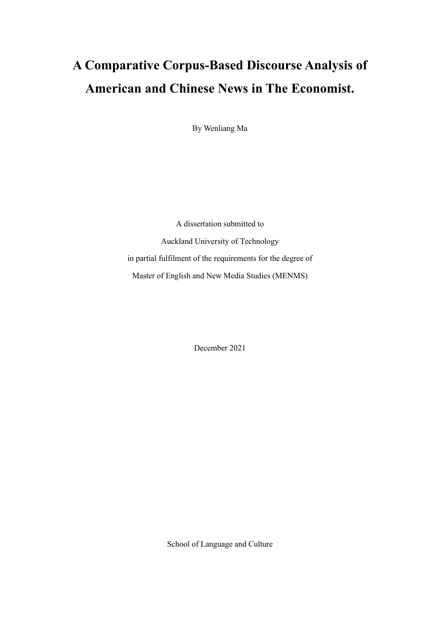# **A Comparative Corpus-Based Discourse Analysis of American and Chinese News in The Economist.**

By Wenliang Ma

A dissertation submitted to Auckland University of Technology in partial fulfilment of the requirements for the degree of Master of English and New Media Studies (MENMS)

December 2021

School of Language and Culture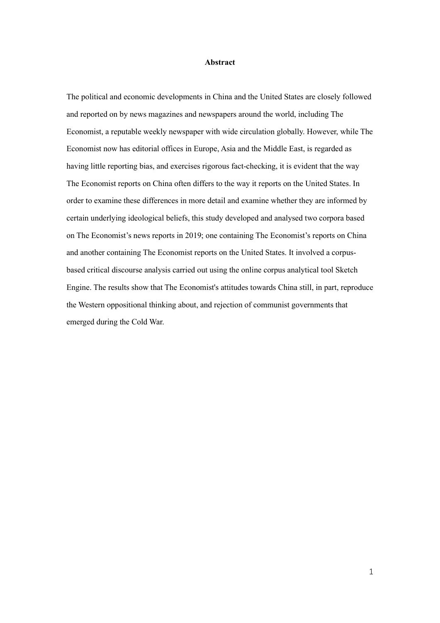### **Abstract**

The political and economic developments in China and the United States are closely followed and reported on by news magazines and newspapers around the world, including The Economist, a reputable weekly newspaper with wide circulation globally. However, while The Economist now has editorial offices in Europe, Asia and the Middle East, is regarded as having little reporting bias, and exercises rigorous fact-checking, it is evident that the way The Economist reports on China often differs to the way it reports on the United States. In order to examine these differences in more detail and examine whether they are informed by certain underlying ideological beliefs, this study developed and analysed two corpora based on The Economist's news reports in 2019; one containing The Economist's reports on China and another containing The Economist reports on the United States. It involved a corpusbased critical discourse analysis carried out using the online corpus analytical tool Sketch Engine. The results show that The Economist's attitudes towards China still, in part, reproduce the Western oppositional thinking about, and rejection of communist governments that emerged during the Cold War.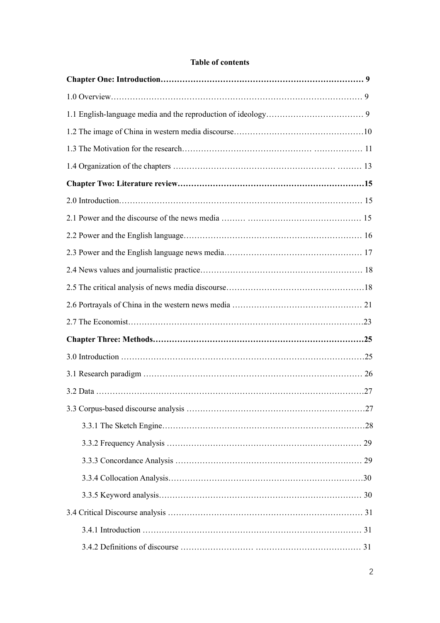# **Table of contents**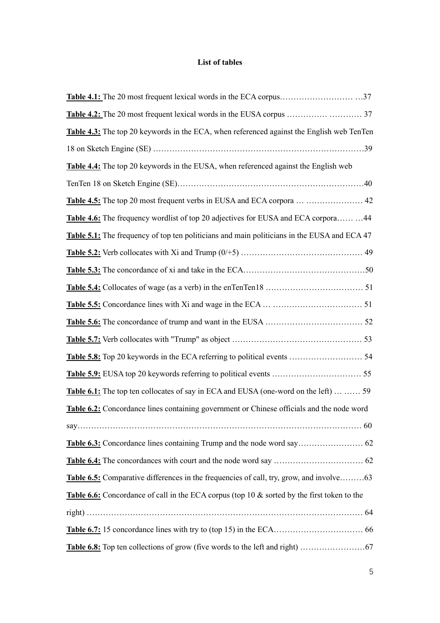# **List of tables**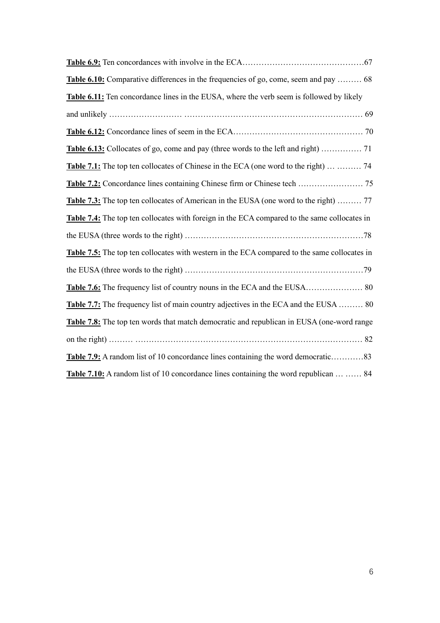| Table 6.10: Comparative differences in the frequencies of go, come, seem and pay  68         |
|----------------------------------------------------------------------------------------------|
| Table 6.11: Ten concordance lines in the EUSA, where the verb seem is followed by likely     |
|                                                                                              |
|                                                                                              |
|                                                                                              |
| Table 7.1: The top ten collocates of Chinese in the ECA (one word to the right)   74         |
|                                                                                              |
| Table 7.3: The top ten collocates of American in the EUSA (one word to the right)  77        |
| Table 7.4: The top ten collocates with foreign in the ECA compared to the same collocates in |
|                                                                                              |
| Table 7.5: The top ten collocates with western in the ECA compared to the same collocates in |
|                                                                                              |
|                                                                                              |
| Table 7.7: The frequency list of main country adjectives in the ECA and the EUSA  80         |
| Table 7.8: The top ten words that match democratic and republican in EUSA (one-word range    |
|                                                                                              |
| Table 7.9: A random list of 10 concordance lines containing the word democratic83            |
| Table 7.10: A random list of 10 concordance lines containing the word republican   84        |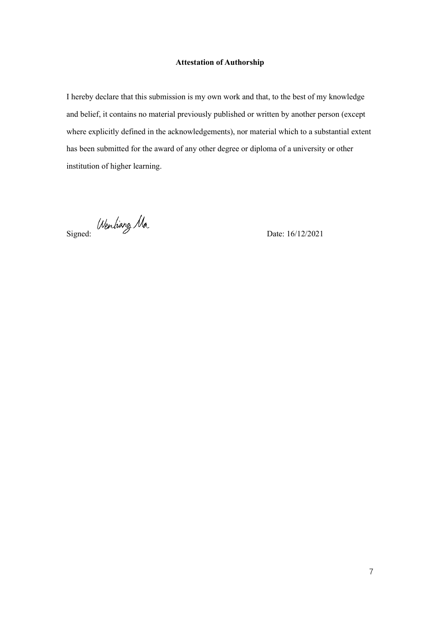# **Attestation of Authorship**

I hereby declare that this submission is my own work and that, to the best of my knowledge and belief, it contains no material previously published or written by another person (except where explicitly defined in the acknowledgements), nor material which to a substantial extent has been submitted for the award of any other degree or diploma of a university or other institution of higher learning.

Signed: Date: 16/12/2021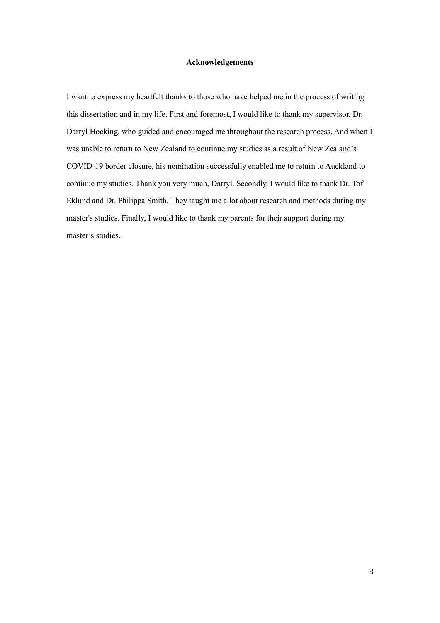# **Acknowledgements**

I want to express my heartfelt thanks to those who have helped me in the process of writing this dissertation and in my life. First and foremost, I would like to thank my supervisor, Dr. Darryl Hocking, who guided and encouraged me throughout the research process. And when I was unable to return to New Zealand to continue my studies as a result of New Zealand's COVID-19 border closure, his nomination successfully enabled me to return to Auckland to continue my studies. Thank you very much, Darryl. Secondly, I would like to thank Dr. Tof Eklund and Dr. Philippa Smith. They taught me a lot about research and methods during my master's studies. Finally, I would like to thank my parents for their support during my master's studies.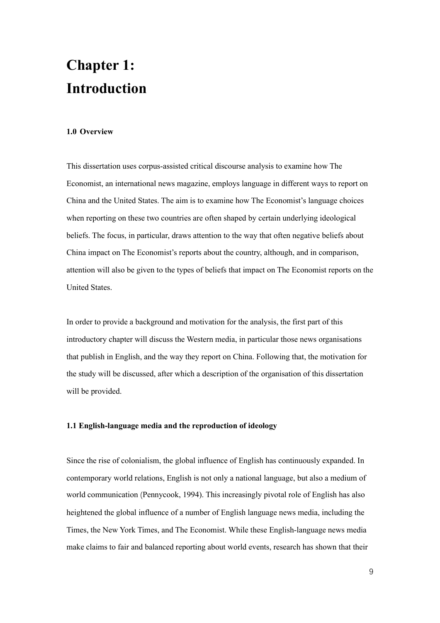# **Chapter 1: Introduction**

#### **1.0 Overview**

This dissertation uses corpus-assisted critical discourse analysis to examine how The Economist, an international news magazine, employs language in different ways to report on China and the United States. The aim is to examine how The Economist's language choices when reporting on these two countries are often shaped by certain underlying ideological beliefs. The focus, in particular, draws attention to the way that often negative beliefs about China impact on The Economist's reports about the country, although, and in comparison, attention will also be given to the types of beliefs that impact on The Economist reports on the United States.

In order to provide a background and motivation for the analysis, the first part of this introductory chapter will discuss the Western media, in particular those news organisations that publish in English, and the way they report on China. Following that, the motivation for the study will be discussed, after which a description of the organisation of this dissertation will be provided.

# **1.1 English-language media and the reproduction of ideology**

Since the rise of colonialism, the global influence of English has continuously expanded. In contemporary world relations, English is not only a national language, but also a medium of world communication (Pennycook, 1994). This increasingly pivotal role of English has also heightened the global influence of a number of English language news media, including the Times, the New York Times, and The Economist. While these English-language news media make claims to fair and balanced reporting about world events, research has shown that their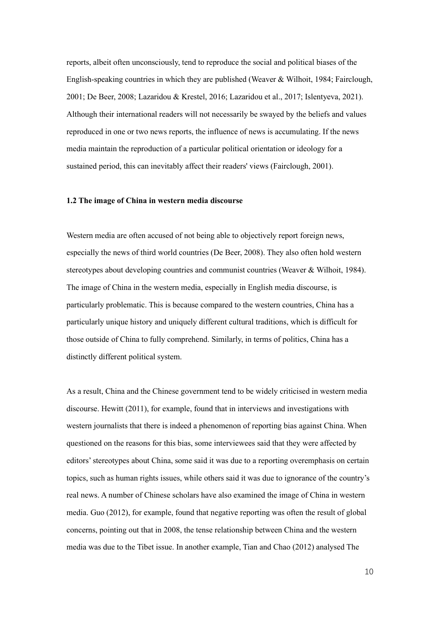reports, albeit often unconsciously, tend to reproduce the social and political biases of the English-speaking countries in which they are published (Weaver & Wilhoit, 1984; Fairclough, 2001; De Beer, 2008; Lazaridou & Krestel, 2016; Lazaridou et al., 2017; Islentyeva, 2021). Although their international readers will not necessarily be swayed by the beliefs and values reproduced in one or two news reports, the influence of news is accumulating. If the news media maintain the reproduction of a particular political orientation or ideology for a sustained period, this can inevitably affect their readers' views (Fairclough, 2001).

## **1.2 The image of China in western media discourse**

Western media are often accused of not being able to objectively report foreign news, especially the news of third world countries (De Beer, 2008). They also often hold western stereotypes about developing countries and communist countries (Weaver & Wilhoit, 1984). The image of China in the western media, especially in English media discourse, is particularly problematic. This is because compared to the western countries, China has a particularly unique history and uniquely different cultural traditions, which is difficult for those outside of China to fully comprehend. Similarly, in terms of politics, China has a distinctly different political system.

As a result, China and the Chinese government tend to be widely criticised in western media discourse. Hewitt (2011), for example, found that in interviews and investigations with western journalists that there is indeed a phenomenon of reporting bias against China. When questioned on the reasons for this bias, some interviewees said that they were affected by editors' stereotypes about China, some said it was due to a reporting overemphasis on certain topics, such as human rights issues, while others said it was due to ignorance of the country's real news. A number of Chinese scholars have also examined the image of China in western media. Guo (2012), for example, found that negative reporting was often the result of global concerns, pointing out that in 2008, the tense relationship between China and the western media was due to the Tibet issue. In another example, Tian and Chao (2012) analysed The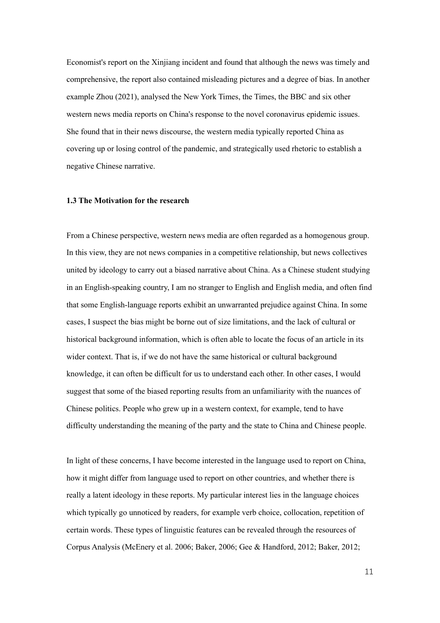Economist's report on the Xinjiang incident and found that although the news was timely and comprehensive, the report also contained misleading pictures and a degree of bias. In another example Zhou (2021), analysed the New York Times, the Times, the BBC and six other western news media reports on China's response to the novel coronavirus epidemic issues. She found that in their news discourse, the western media typically reported China as covering up or losing control of the pandemic, and strategically used rhetoric to establish a negative Chinese narrative.

## **1.3 The Motivation for the research**

From a Chinese perspective, western news media are often regarded as a homogenous group. In this view, they are not news companies in a competitive relationship, but news collectives united by ideology to carry out a biased narrative about China. As a Chinese student studying in an English-speaking country, I am no stranger to English and English media, and often find that some English-language reports exhibit an unwarranted prejudice against China. In some cases, I suspect the bias might be borne out of size limitations, and the lack of cultural or historical background information, which is often able to locate the focus of an article in its wider context. That is, if we do not have the same historical or cultural background knowledge, it can often be difficult for us to understand each other. In other cases, I would suggest that some of the biased reporting results from an unfamiliarity with the nuances of Chinese politics. People who grew up in a western context, for example, tend to have difficulty understanding the meaning of the party and the state to China and Chinese people.

In light of these concerns, I have become interested in the language used to report on China, how it might differ from language used to report on other countries, and whether there is really a latent ideology in these reports. My particular interest lies in the language choices which typically go unnoticed by readers, for example verb choice, collocation, repetition of certain words. These types of linguistic features can be revealed through the resources of Corpus Analysis (McEnery et al. 2006; Baker, 2006; Gee & Handford, 2012; Baker, 2012;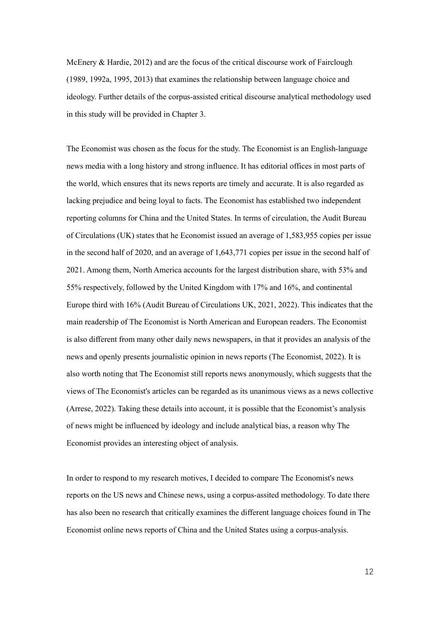McEnery & Hardie, 2012) and are the focus of the critical discourse work of Fairclough (1989, 1992a, 1995, 2013) that examines the relationship between language choice and ideology. Further details of the corpus-assisted critical discourse analytical methodology used in this study will be provided in Chapter 3.

The Economist was chosen as the focus for the study. The Economist is an English-language news media with a long history and strong influence. It has editorial offices in most parts of the world, which ensures that its news reports are timely and accurate. It is also regarded as lacking prejudice and being loyal to facts. The Economist has established two independent reporting columns for China and the United States. In terms of circulation, the Audit Bureau of Circulations (UK) states that he Economist issued an average of 1,583,955 copies per issue in the second half of 2020, and an average of 1,643,771 copies per issue in the second half of 2021. Among them, North America accounts for the largest distribution share, with 53% and 55% respectively, followed by the United Kingdom with 17% and 16%, and continental Europe third with 16% (Audit Bureau of Circulations UK, 2021, 2022). This indicates that the main readership of The Economist is North American and European readers. The Economist is also different from many other daily news newspapers, in that it provides an analysis of the news and openly presents journalistic opinion in news reports (The Economist, 2022). It is also worth noting that The Economist still reports news anonymously, which suggests that the views of The Economist's articles can be regarded as its unanimous views as a news collective (Arrese, 2022). Taking these details into account, it is possible that the Economist's analysis of news might be influenced by ideology and include analytical bias, a reason why The Economist provides an interesting object of analysis.

In order to respond to my research motives, I decided to compare The Economist's news reports on the US news and Chinese news, using a corpus-assited methodology. To date there has also been no research that critically examines the different language choices found in The Economist online news reports of China and the United States using a corpus-analysis.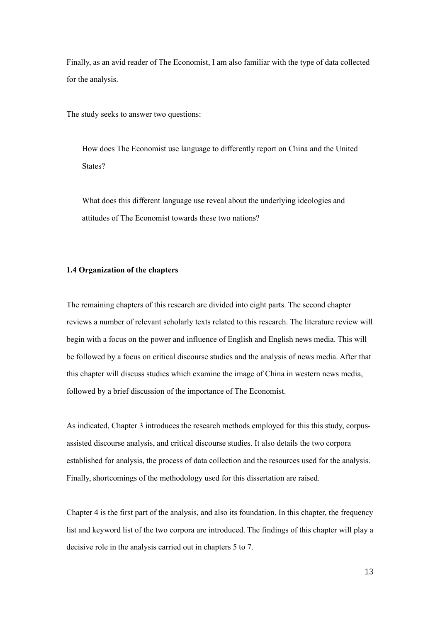Finally, as an avid reader of The Economist, I am also familiar with the type of data collected for the analysis.

The study seeks to answer two questions:

How does The Economist use language to differently report on China and the United States?

What does this different language use reveal about the underlying ideologies and attitudes of The Economist towards these two nations?

# **1.4 Organization of the chapters**

The remaining chapters of this research are divided into eight parts. The second chapter reviews a number of relevant scholarly texts related to this research. The literature review will begin with a focus on the power and influence of English and English news media. This will be followed by a focus on critical discourse studies and the analysis of news media. After that this chapter will discuss studies which examine the image of China in western news media, followed by a brief discussion of the importance of The Economist.

As indicated, Chapter 3 introduces the research methods employed for this this study, corpusassisted discourse analysis, and critical discourse studies. It also details the two corpora established for analysis, the process of data collection and the resources used for the analysis. Finally, shortcomings of the methodology used for this dissertation are raised.

Chapter 4 is the first part of the analysis, and also its foundation. In this chapter, the frequency list and keyword list of the two corpora are introduced. The findings of this chapter will play a decisive role in the analysis carried out in chapters 5 to 7.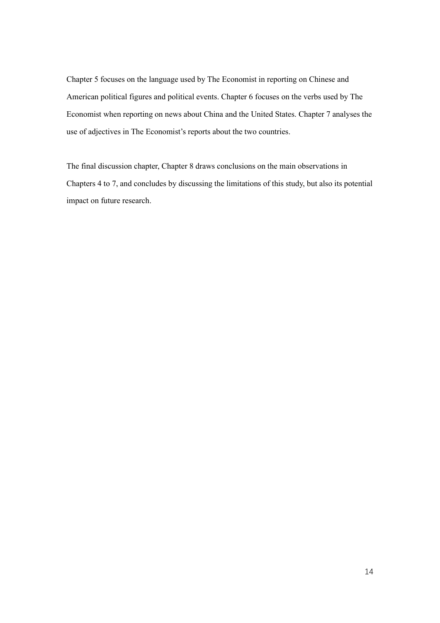Chapter 5 focuses on the language used by The Economist in reporting on Chinese and American political figures and political events. Chapter 6 focuses on the verbs used by The Economist when reporting on news about China and the United States. Chapter 7 analyses the use of adjectives in The Economist's reports about the two countries.

The final discussion chapter, Chapter 8 draws conclusions on the main observations in Chapters 4 to 7, and concludes by discussing the limitations of this study, but also its potential impact on future research.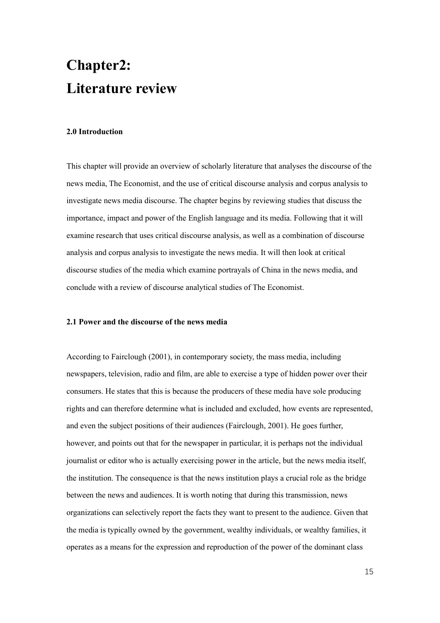# **Chapter2: Literature review**

## **2.0 Introduction**

This chapter will provide an overview of scholarly literature that analyses the discourse of the news media, The Economist, and the use of critical discourse analysis and corpus analysis to investigate news media discourse. The chapter begins by reviewing studies that discuss the importance, impact and power of the English language and its media. Following that it will examine research that uses critical discourse analysis, as well as a combination of discourse analysis and corpus analysis to investigate the news media. It will then look at critical discourse studies of the media which examine portrayals of China in the news media, and conclude with a review of discourse analytical studies of The Economist.

# **2.1 Power and the discourse of the news media**

According to Fairclough (2001), in contemporary society, the mass media, including newspapers, television, radio and film, are able to exercise a type of hidden power over their consumers. He states that this is because the producers of these media have sole producing rights and can therefore determine what is included and excluded, how events are represented, and even the subject positions of their audiences (Fairclough, 2001). He goes further, however, and points out that for the newspaper in particular, it is perhaps not the individual journalist or editor who is actually exercising power in the article, but the news media itself, the institution. The consequence is that the news institution plays a crucial role as the bridge between the news and audiences. It is worth noting that during this transmission, news organizations can selectively report the facts they want to present to the audience. Given that the media is typically owned by the government, wealthy individuals, or wealthy families, it operates as a means for the expression and reproduction of the power of the dominant class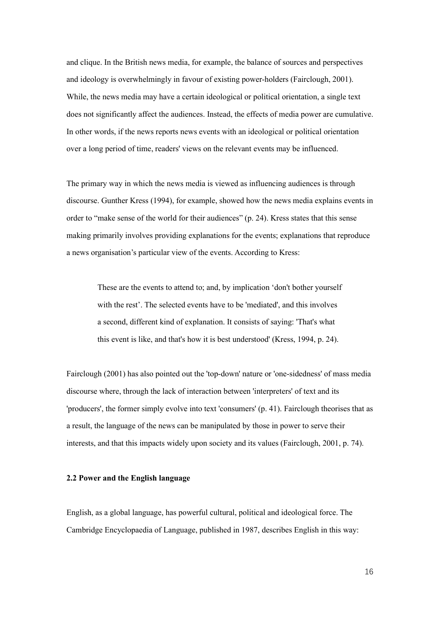and clique. In the British news media, for example, the balance of sources and perspectives and ideology is overwhelmingly in favour of existing power-holders (Fairclough, 2001). While, the news media may have a certain ideological or political orientation, a single text does not significantly affect the audiences. Instead, the effects of media power are cumulative. In other words, if the news reports news events with an ideological or political orientation over a long period of time, readers' views on the relevant events may be influenced.

The primary way in which the news media is viewed as influencing audiences is through discourse. Gunther Kress (1994), for example, showed how the news media explains events in order to "make sense of the world for their audiences" (p. 24). Kress states that this sense making primarily involves providing explanations for the events; explanations that reproduce a news organisation's particular view of the events. According to Kress:

These are the events to attend to; and, by implication 'don't bother yourself with the rest'. The selected events have to be 'mediated', and this involves a second, different kind of explanation. It consists of saying: 'That's what this event is like, and that's how it is best understood' (Kress, 1994, p. 24).

Fairclough (2001) has also pointed out the 'top-down' nature or 'one-sidedness' of mass media discourse where, through the lack of interaction between 'interpreters' of text and its 'producers', the former simply evolve into text 'consumers' (p. 41). Fairclough theorises that as a result, the language of the news can be manipulated by those in power to serve their interests, and that this impacts widely upon society and its values (Fairclough, 2001, p. 74).

## **2.2 Power and the English language**

English, as a global language, has powerful cultural, political and ideological force. The Cambridge Encyclopaedia of Language, published in 1987, describes English in this way: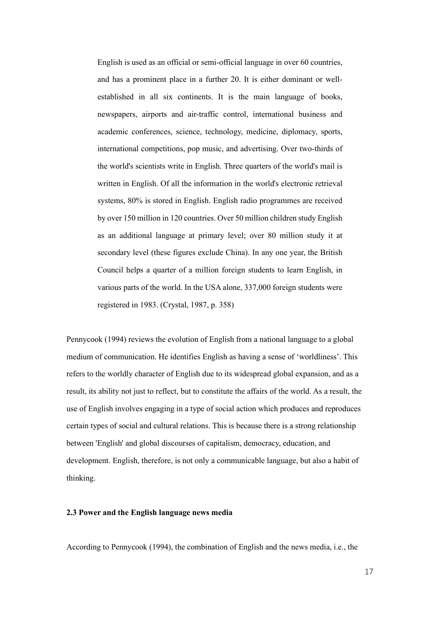English is used as an official or semi-official language in over 60 countries, and has a prominent place in a further 20. It is either dominant or wellestablished in all six continents. It is the main language of books, newspapers, airports and air-traffic control, international business and academic conferences, science, technology, medicine, diplomacy, sports, international competitions, pop music, and advertising. Over two-thirds of the world's scientists write in English. Three quarters of the world's mail is written in English. Of all the information in the world's electronic retrieval systems, 80% is stored in English. English radio programmes are received by over 150 million in 120 countries. Over 50 million children study English as an additional language at primary level; over 80 million study it at secondary level (these figures exclude China). In any one year, the British Council helps a quarter of a million foreign students to learn English, in various parts of the world. In the USA alone, 337,000 foreign students were registered in 1983. (Crystal, 1987, p. 358)

Pennycook (1994) reviews the evolution of English from a national language to a global medium of communication. He identifies English as having a sense of 'worldliness'. This refers to the worldly character of English due to its widespread global expansion, and as a result, its ability not just to reflect, but to constitute the affairs of the world. As a result, the use of English involves engaging in a type of social action which produces and reproduces certain types of social and cultural relations. This is because there is a strong relationship between 'English' and global discourses of capitalism, democracy, education, and development. English, therefore, is not only a communicable language, but also a habit of thinking.

# **2.3 Power and the English language news media**

According to Pennycook (1994), the combination of English and the news media, i.e., the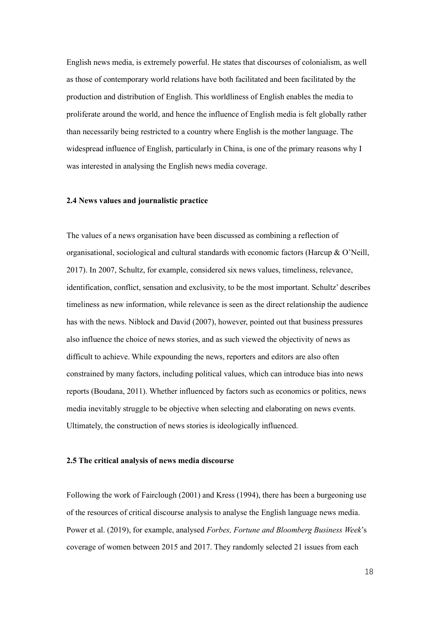English news media, is extremely powerful. He states that discourses of colonialism, as well as those of contemporary world relations have both facilitated and been facilitated by the production and distribution of English. This worldliness of English enables the media to proliferate around the world, and hence the influence of English media is felt globally rather than necessarily being restricted to a country where English is the mother language. The widespread influence of English, particularly in China, is one of the primary reasons why I was interested in analysing the English news media coverage.

## **2.4 News values and journalistic practice**

The values of a news organisation have been discussed as combining a reflection of organisational, sociological and cultural standards with economic factors (Harcup & O'Neill, 2017). In 2007, Schultz, for example, considered six news values, timeliness, relevance, identification, conflict, sensation and exclusivity, to be the most important. Schultz' describes timeliness as new information, while relevance is seen as the direct relationship the audience has with the news. Niblock and David (2007), however, pointed out that business pressures also influence the choice of news stories, and as such viewed the objectivity of news as difficult to achieve. While expounding the news, reporters and editors are also often constrained by many factors, including political values, which can introduce bias into news reports (Boudana, 2011). Whether influenced by factors such as economics or politics, news media inevitably struggle to be objective when selecting and elaborating on news events. Ultimately, the construction of news stories is ideologically influenced.

### **2.5 The critical analysis of news media discourse**

Following the work of Fairclough (2001) and Kress (1994), there has been a burgeoning use of the resources of critical discourse analysis to analyse the English language news media. Power et al. (2019), for example, analysed *Forbes, Fortune and Bloomberg Business Week*'s coverage of women between 2015 and 2017. They randomly selected 21 issues from each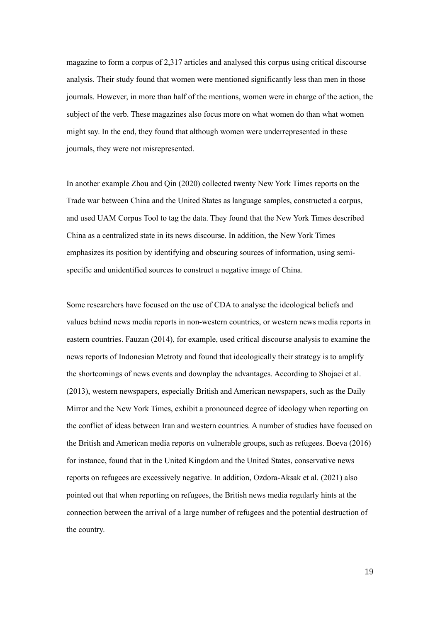magazine to form a corpus of 2,317 articles and analysed this corpus using critical discourse analysis. Their study found that women were mentioned significantly less than men in those journals. However, in more than half of the mentions, women were in charge of the action, the subject of the verb. These magazines also focus more on what women do than what women might say. In the end, they found that although women were underrepresented in these journals, they were not misrepresented.

In another example Zhou and Qin (2020) collected twenty New York Times reports on the Trade war between China and the United States as language samples, constructed a corpus, and used UAM Corpus Tool to tag the data. They found that the New York Times described China as a centralized state in its news discourse. In addition, the New York Times emphasizes its position by identifying and obscuring sources of information, using semispecific and unidentified sources to construct a negative image of China.

Some researchers have focused on the use of CDA to analyse the ideological beliefs and values behind news media reports in non-western countries, or western news media reports in eastern countries. Fauzan (2014), for example, used critical discourse analysis to examine the news reports of Indonesian Metroty and found that ideologically their strategy is to amplify the shortcomings of news events and downplay the advantages. According to Shojaei et al. (2013), western newspapers, especially British and American newspapers, such as the Daily Mirror and the New York Times, exhibit a pronounced degree of ideology when reporting on the conflict of ideas between Iran and western countries. A number of studies have focused on the British and American media reports on vulnerable groups, such as refugees. Boeva (2016) for instance, found that in the United Kingdom and the United States, conservative news reports on refugees are excessively negative. In addition, Ozdora-Aksak et al. (2021) also pointed out that when reporting on refugees, the British news media regularly hints at the connection between the arrival of a large number of refugees and the potential destruction of the country.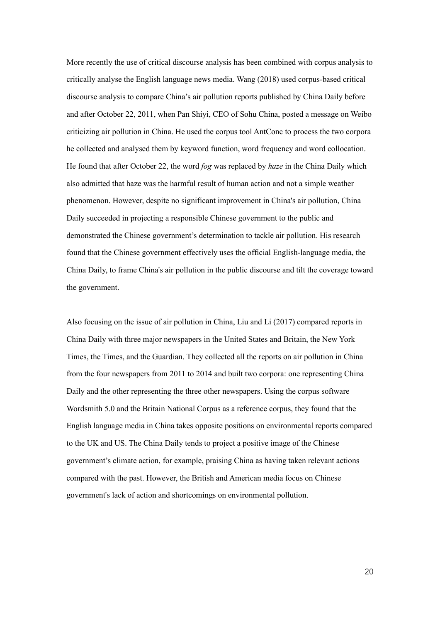More recently the use of critical discourse analysis has been combined with corpus analysis to critically analyse the English language news media. Wang (2018) used corpus-based critical discourse analysis to compare China's air pollution reports published by China Daily before and after October 22, 2011, when Pan Shiyi, CEO of Sohu China, posted a message on Weibo criticizing air pollution in China. He used the corpus tool AntConc to process the two corpora he collected and analysed them by keyword function, word frequency and word collocation. He found that after October 22, the word *fog* was replaced by *haze* in the China Daily which also admitted that haze was the harmful result of human action and not a simple weather phenomenon. However, despite no significant improvement in China's air pollution, China Daily succeeded in projecting a responsible Chinese government to the public and demonstrated the Chinese government's determination to tackle air pollution. His research found that the Chinese government effectively uses the official English-language media, the China Daily, to frame China's air pollution in the public discourse and tilt the coverage toward the government.

Also focusing on the issue of air pollution in China, Liu and Li (2017) compared reports in China Daily with three major newspapers in the United States and Britain, the New York Times, the Times, and the Guardian. They collected all the reports on air pollution in China from the four newspapers from 2011 to 2014 and built two corpora: one representing China Daily and the other representing the three other newspapers. Using the corpus software Wordsmith 5.0 and the Britain National Corpus as a reference corpus, they found that the English language media in China takes opposite positions on environmental reports compared to the UK and US. The China Daily tends to project a positive image of the Chinese government's climate action, for example, praising China as having taken relevant actions compared with the past. However, the British and American media focus on Chinese government's lack of action and shortcomings on environmental pollution.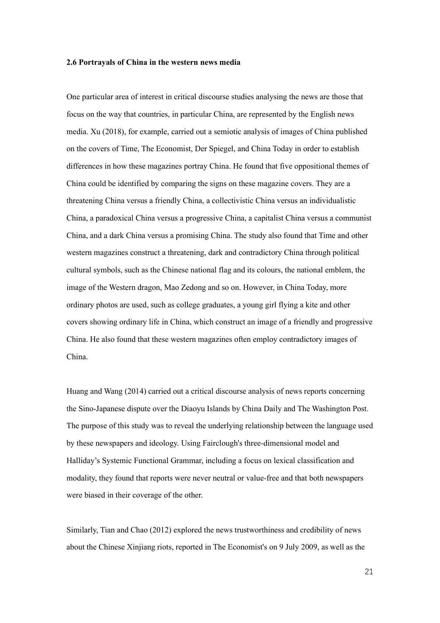### **2.6 Portrayals of China in the western news media**

One particular area of interest in critical discourse studies analysing the news are those that focus on the way that countries, in particular China, are represented by the English news media. Xu (2018), for example, carried out a semiotic analysis of images of China published on the covers of Time, The Economist, Der Spiegel, and China Today in order to establish differences in how these magazines portray China. He found that five oppositional themes of China could be identified by comparing the signs on these magazine covers. They are a threatening China versus a friendly China, a collectivistic China versus an individualistic China, a paradoxical China versus a progressive China, a capitalist China versus a communist China, and a dark China versus a promising China. The study also found that Time and other western magazines construct a threatening, dark and contradictory China through political cultural symbols, such as the Chinese national flag and its colours, the national emblem, the image of the Western dragon, Mao Zedong and so on. However, in China Today, more ordinary photos are used, such as college graduates, a young girl flying a kite and other covers showing ordinary life in China, which construct an image of a friendly and progressive China. He also found that these western magazines often employ contradictory images of China.

Huang and Wang (2014) carried out a critical discourse analysis of news reports concerning the Sino-Japanese dispute over the Diaoyu Islands by China Daily and The Washington Post. The purpose of this study was to reveal the underlying relationship between the language used by these newspapers and ideology. Using Fairclough's three-dimensional model and Halliday's Systemic Functional Grammar, including a focus on lexical classification and modality, they found that reports were never neutral or value-free and that both newspapers were biased in their coverage of the other.

Similarly, Tian and Chao (2012) explored the news trustworthiness and credibility of news about the Chinese Xinjiang riots, reported in The Economist's on 9 July 2009, as well as the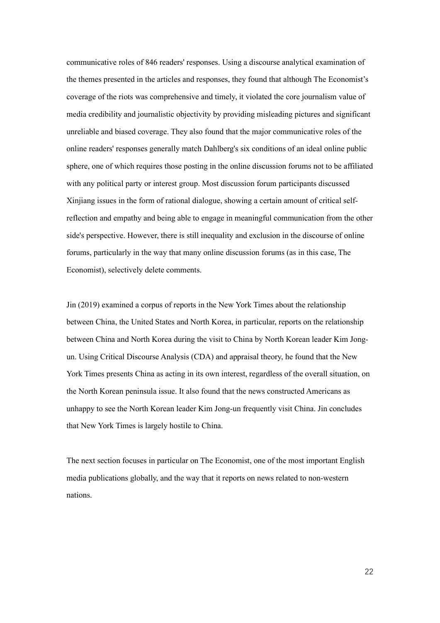communicative roles of 846 readers' responses. Using a discourse analytical examination of the themes presented in the articles and responses, they found that although The Economist's coverage of the riots was comprehensive and timely, it violated the core journalism value of media credibility and journalistic objectivity by providing misleading pictures and significant unreliable and biased coverage. They also found that the major communicative roles of the online readers' responses generally match Dahlberg's six conditions of an ideal online public sphere, one of which requires those posting in the online discussion forums not to be affiliated with any political party or interest group. Most discussion forum participants discussed Xinjiang issues in the form of rational dialogue, showing a certain amount of critical selfreflection and empathy and being able to engage in meaningful communication from the other side's perspective. However, there is still inequality and exclusion in the discourse of online forums, particularly in the way that many online discussion forums (as in this case, The Economist), selectively delete comments.

Jin (2019) examined a corpus of reports in the New York Times about the relationship between China, the United States and North Korea, in particular, reports on the relationship between China and North Korea during the visit to China by North Korean leader Kim Jongun. Using Critical Discourse Analysis (CDA) and appraisal theory, he found that the New York Times presents China as acting in its own interest, regardless of the overall situation, on the North Korean peninsula issue. It also found that the news constructed Americans as unhappy to see the North Korean leader Kim Jong-un frequently visit China. Jin concludes that New York Times is largely hostile to China.

The next section focuses in particular on The Economist, one of the most important English media publications globally, and the way that it reports on news related to non-western nations.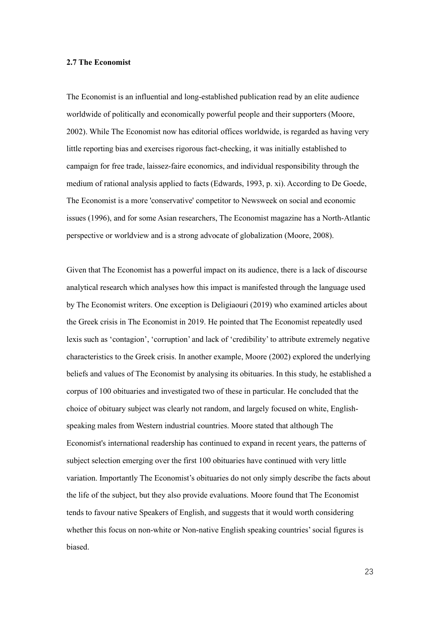## **2.7 The Economist**

The Economist is an influential and long-established publication read by an elite audience worldwide of politically and economically powerful people and their supporters (Moore, 2002). While The Economist now has editorial offices worldwide, is regarded as having very little reporting bias and exercises rigorous fact-checking, it was initially established to campaign for free trade, laissez-faire economics, and individual responsibility through the medium of rational analysis applied to facts (Edwards, 1993, p. xi). According to De Goede, The Economist is a more 'conservative' competitor to Newsweek on social and economic issues (1996), and for some Asian researchers, The Economist magazine has a North-Atlantic perspective or worldview and is a strong advocate of globalization (Moore, 2008).

Given that The Economist has a powerful impact on its audience, there is a lack of discourse analytical research which analyses how this impact is manifested through the language used by The Economist writers. One exception is Deligiaouri (2019) who examined articles about the Greek crisis in The Economist in 2019. He pointed that The Economist repeatedly used lexis such as 'contagion', 'corruption' and lack of 'credibility' to attribute extremely negative characteristics to the Greek crisis. In another example, Moore (2002) explored the underlying beliefs and values of The Economist by analysing its obituaries. In this study, he established a corpus of 100 obituaries and investigated two of these in particular. He concluded that the choice of obituary subject was clearly not random, and largely focused on white, Englishspeaking males from Western industrial countries. Moore stated that although The Economist's international readership has continued to expand in recent years, the patterns of subject selection emerging over the first 100 obituaries have continued with very little variation. Importantly The Economist's obituaries do not only simply describe the facts about the life of the subject, but they also provide evaluations. Moore found that The Economist tends to favour native Speakers of English, and suggests that it would worth considering whether this focus on non-white or Non-native English speaking countries' social figures is biased.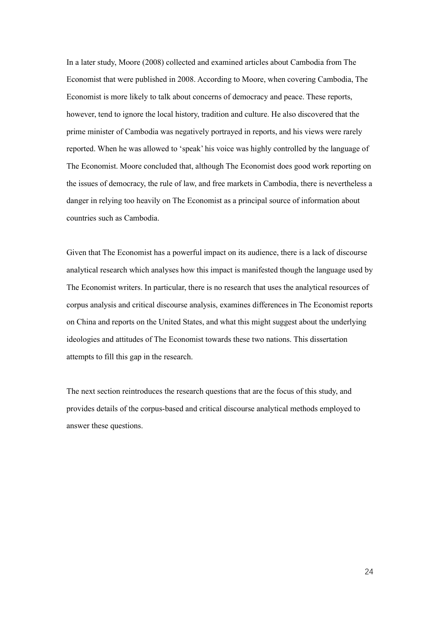In a later study, Moore (2008) collected and examined articles about Cambodia from The Economist that were published in 2008. According to Moore, when covering Cambodia, The Economist is more likely to talk about concerns of democracy and peace. These reports, however, tend to ignore the local history, tradition and culture. He also discovered that the prime minister of Cambodia was negatively portrayed in reports, and his views were rarely reported. When he was allowed to 'speak' his voice was highly controlled by the language of The Economist. Moore concluded that, although The Economist does good work reporting on the issues of democracy, the rule of law, and free markets in Cambodia, there is nevertheless a danger in relying too heavily on The Economist as a principal source of information about countries such as Cambodia.

Given that The Economist has a powerful impact on its audience, there is a lack of discourse analytical research which analyses how this impact is manifested though the language used by The Economist writers. In particular, there is no research that uses the analytical resources of corpus analysis and critical discourse analysis, examines differences in The Economist reports on China and reports on the United States, and what this might suggest about the underlying ideologies and attitudes of The Economist towards these two nations. This dissertation attempts to fill this gap in the research.

The next section reintroduces the research questions that are the focus of this study, and provides details of the corpus-based and critical discourse analytical methods employed to answer these questions.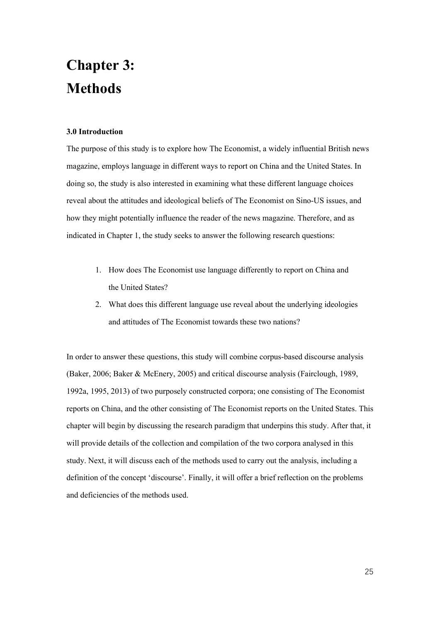# **Chapter 3: Methods**

# **3.0 Introduction**

The purpose of this study is to explore how The Economist, a widely influential British news magazine, employs language in different ways to report on China and the United States. In doing so, the study is also interested in examining what these different language choices reveal about the attitudes and ideological beliefs of The Economist on Sino-US issues, and how they might potentially influence the reader of the news magazine. Therefore, and as indicated in Chapter 1, the study seeks to answer the following research questions:

- 1. How does The Economist use language differently to report on China and the United States?
- 2. What does this different language use reveal about the underlying ideologies and attitudes of The Economist towards these two nations?

In order to answer these questions, this study will combine corpus-based discourse analysis (Baker, 2006; Baker & McEnery, 2005) and critical discourse analysis (Fairclough, 1989, 1992a, 1995, 2013) of two purposely constructed corpora; one consisting of The Economist reports on China, and the other consisting of The Economist reports on the United States. This chapter will begin by discussing the research paradigm that underpins this study. After that, it will provide details of the collection and compilation of the two corpora analysed in this study. Next, it will discuss each of the methods used to carry out the analysis, including a definition of the concept 'discourse'. Finally, it will offer a brief reflection on the problems and deficiencies of the methods used.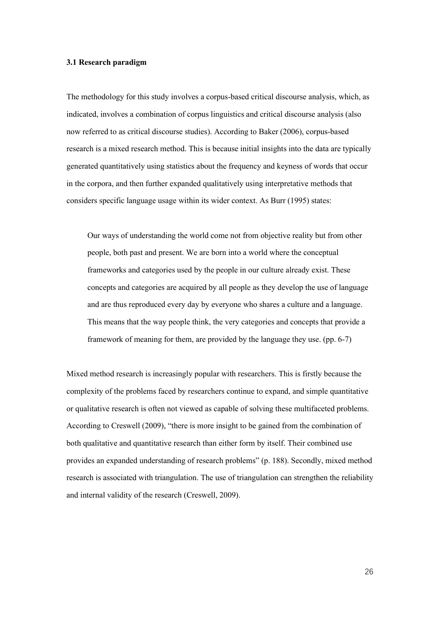## **3.1 Research paradigm**

The methodology for this study involves a corpus-based critical discourse analysis, which, as indicated, involves a combination of corpus linguistics and critical discourse analysis (also now referred to as critical discourse studies). According to Baker (2006), corpus-based research is a mixed research method. This is because initial insights into the data are typically generated quantitatively using statistics about the frequency and keyness of words that occur in the corpora, and then further expanded qualitatively using interpretative methods that considers specific language usage within its wider context. As Burr (1995) states:

Our ways of understanding the world come not from objective reality but from other people, both past and present. We are born into a world where the conceptual frameworks and categories used by the people in our culture already exist. These concepts and categories are acquired by all people as they develop the use of language and are thus reproduced every day by everyone who shares a culture and a language. This means that the way people think, the very categories and concepts that provide a framework of meaning for them, are provided by the language they use. (pp. 6-7)

Mixed method research is increasingly popular with researchers. This is firstly because the complexity of the problems faced by researchers continue to expand, and simple quantitative or qualitative research is often not viewed as capable of solving these multifaceted problems. According to Creswell (2009), "there is more insight to be gained from the combination of both qualitative and quantitative research than either form by itself. Their combined use provides an expanded understanding of research problems" (p. 188). Secondly, mixed method research is associated with triangulation. The use of triangulation can strengthen the reliability and internal validity of the research (Creswell, 2009).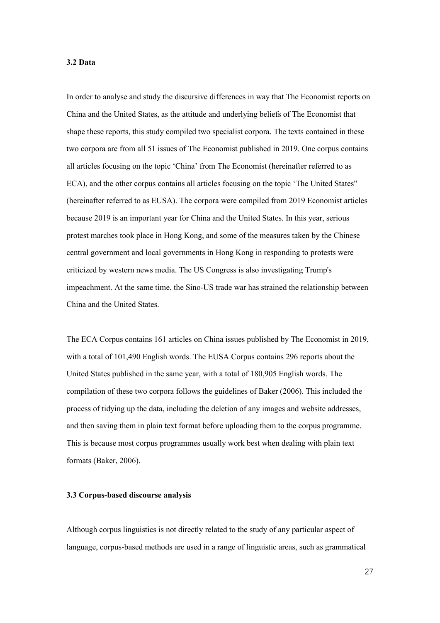### **3.2 Data**

In order to analyse and study the discursive differences in way that The Economist reports on China and the United States, as the attitude and underlying beliefs of The Economist that shape these reports, this study compiled two specialist corpora. The texts contained in these two corpora are from all 51 issues of The Economist published in 2019. One corpus contains all articles focusing on the topic 'China' from The Economist (hereinafter referred to as ECA), and the other corpus contains all articles focusing on the topic 'The United States" (hereinafter referred to as EUSA). The corpora were compiled from 2019 Economist articles because 2019 is an important year for China and the United States. In this year, serious protest marches took place in Hong Kong, and some of the measures taken by the Chinese central government and local governments in Hong Kong in responding to protests were criticized by western news media. The US Congress is also investigating Trump's impeachment. At the same time, the Sino-US trade war has strained the relationship between China and the United States.

The ECA Corpus contains 161 articles on China issues published by The Economist in 2019, with a total of 101,490 English words. The EUSA Corpus contains 296 reports about the United States published in the same year, with a total of 180,905 English words. The compilation of these two corpora follows the guidelines of Baker (2006). This included the process of tidying up the data, including the deletion of any images and website addresses, and then saving them in plain text format before uploading them to the corpus programme. This is because most corpus programmes usually work best when dealing with plain text formats (Baker, 2006).

# **3.3 Corpus-based discourse analysis**

Although corpus linguistics is not directly related to the study of any particular aspect of language, corpus-based methods are used in a range of linguistic areas, such as grammatical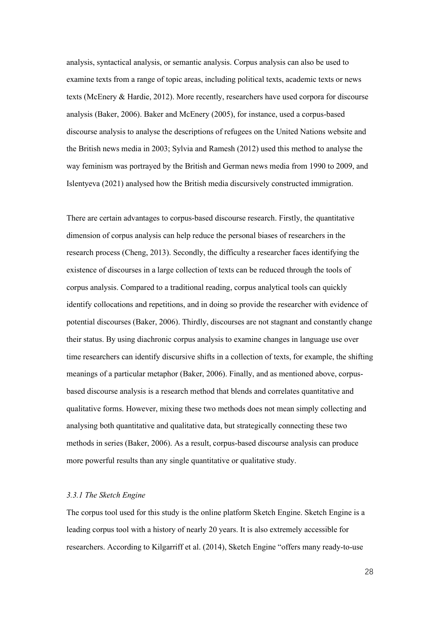analysis, syntactical analysis, or semantic analysis. Corpus analysis can also be used to examine texts from a range of topic areas, including political texts, academic texts or news texts (McEnery & Hardie, 2012). More recently, researchers have used corpora for discourse analysis (Baker, 2006). Baker and McEnery (2005), for instance, used a corpus-based discourse analysis to analyse the descriptions of refugees on the United Nations website and the British news media in 2003; Sylvia and Ramesh (2012) used this method to analyse the way feminism was portrayed by the British and German news media from 1990 to 2009, and Islentyeva (2021) analysed how the British media discursively constructed immigration.

There are certain advantages to corpus-based discourse research. Firstly, the quantitative dimension of corpus analysis can help reduce the personal biases of researchers in the research process (Cheng, 2013). Secondly, the difficulty a researcher faces identifying the existence of discourses in a large collection of texts can be reduced through the tools of corpus analysis. Compared to a traditional reading, corpus analytical tools can quickly identify collocations and repetitions, and in doing so provide the researcher with evidence of potential discourses (Baker, 2006). Thirdly, discourses are not stagnant and constantly change their status. By using diachronic corpus analysis to examine changes in language use over time researchers can identify discursive shifts in a collection of texts, for example, the shifting meanings of a particular metaphor (Baker, 2006). Finally, and as mentioned above, corpusbased discourse analysis is a research method that blends and correlates quantitative and qualitative forms. However, mixing these two methods does not mean simply collecting and analysing both quantitative and qualitative data, but strategically connecting these two methods in series (Baker, 2006). As a result, corpus-based discourse analysis can produce more powerful results than any single quantitative or qualitative study.

# *3.3.1 The Sketch Engine*

The corpus tool used for this study is the online platform Sketch Engine. Sketch Engine is a leading corpus tool with a history of nearly 20 years. It is also extremely accessible for researchers. According to Kilgarriff et al. (2014), Sketch Engine "offers many ready-to-use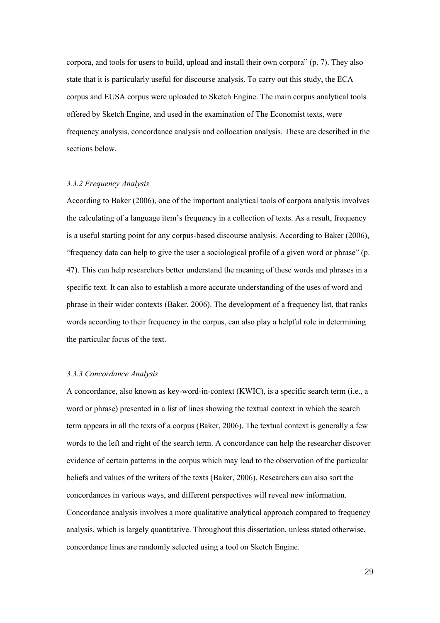corpora, and tools for users to build, upload and install their own corpora" (p. 7). They also state that it is particularly useful for discourse analysis. To carry out this study, the ECA corpus and EUSA corpus were uploaded to Sketch Engine. The main corpus analytical tools offered by Sketch Engine, and used in the examination of The Economist texts, were frequency analysis, concordance analysis and collocation analysis. These are described in the sections below.

# *3.3.2 Frequency Analysis*

According to Baker (2006), one of the important analytical tools of corpora analysis involves the calculating of a language item's frequency in a collection of texts. As a result, frequency is a useful starting point for any corpus-based discourse analysis. According to Baker (2006), "frequency data can help to give the user a sociological profile of a given word or phrase" (p. 47). This can help researchers better understand the meaning of these words and phrases in a specific text. It can also to establish a more accurate understanding of the uses of word and phrase in their wider contexts (Baker, 2006). The development of a frequency list, that ranks words according to their frequency in the corpus, can also play a helpful role in determining the particular focus of the text.

# *3.3.3 Concordance Analysis*

A concordance, also known as key-word-in-context (KWIC), is a specific search term (i.e., a word or phrase) presented in a list of lines showing the textual context in which the search term appears in all the texts of a corpus (Baker, 2006). The textual context is generally a few words to the left and right of the search term. A concordance can help the researcher discover evidence of certain patterns in the corpus which may lead to the observation of the particular beliefs and values of the writers of the texts (Baker, 2006). Researchers can also sort the concordances in various ways, and different perspectives will reveal new information. Concordance analysis involves a more qualitative analytical approach compared to frequency analysis, which is largely quantitative. Throughout this dissertation, unless stated otherwise, concordance lines are randomly selected using a tool on Sketch Engine.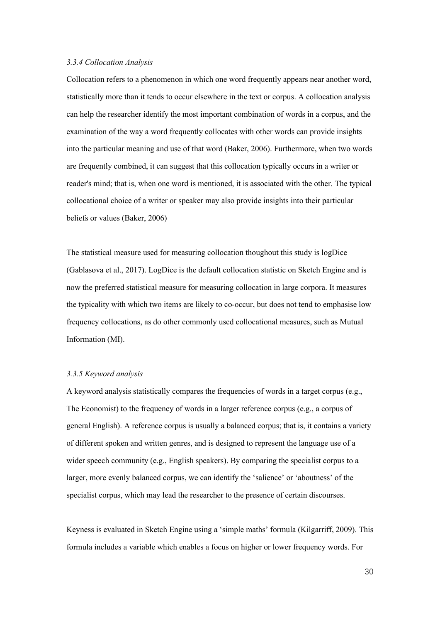# *3.3.4 Collocation Analysis*

Collocation refers to a phenomenon in which one word frequently appears near another word, statistically more than it tends to occur elsewhere in the text or corpus. A collocation analysis can help the researcher identify the most important combination of words in a corpus, and the examination of the way a word frequently collocates with other words can provide insights into the particular meaning and use of that word (Baker, 2006). Furthermore, when two words are frequently combined, it can suggest that this collocation typically occurs in a writer or reader's mind; that is, when one word is mentioned, it is associated with the other. The typical collocational choice of a writer or speaker may also provide insights into their particular beliefs or values (Baker, 2006)

The statistical measure used for measuring collocation thoughout this study is logDice (Gablasova et al., 2017). LogDice is the default collocation statistic on Sketch Engine and is now the preferred statistical measure for measuring collocation in large corpora. It measures the typicality with which two items are likely to co-occur, but does not tend to emphasise low frequency collocations, as do other commonly used collocational measures, such as Mutual Information (MI).

# *3.3.5 Keyword analysis*

A keyword analysis statistically compares the frequencies of words in a target corpus (e.g., The Economist) to the frequency of words in a larger reference corpus (e.g., a corpus of general English). A reference corpus is usually a balanced corpus; that is, it contains a variety of different spoken and written genres, and is designed to represent the language use of a wider speech community (e.g., English speakers). By comparing the specialist corpus to a larger, more evenly balanced corpus, we can identify the 'salience' or 'aboutness' of the specialist corpus, which may lead the researcher to the presence of certain discourses.

Keyness is evaluated in Sketch Engine using a 'simple maths' formula (Kilgarriff, 2009). This formula includes a variable which enables a focus on higher or lower frequency words. For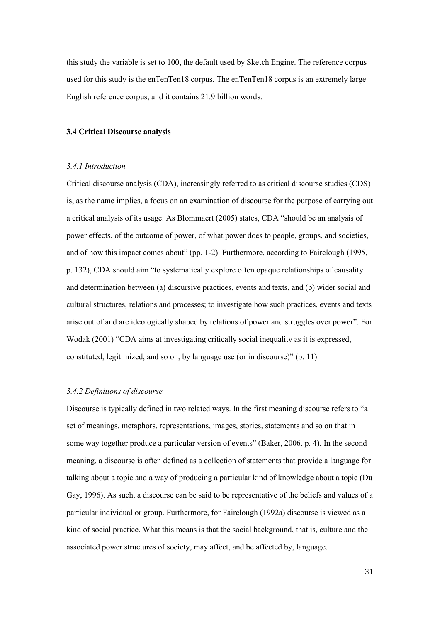this study the variable is set to 100, the default used by Sketch Engine. The reference corpus used for this study is the enTenTen18 corpus. The enTenTen18 corpus is an extremely large English reference corpus, and it contains 21.9 billion words.

# **3.4 Critical Discourse analysis**

## *3.4.1 Introduction*

Critical discourse analysis (CDA), increasingly referred to as critical discourse studies (CDS) is, as the name implies, a focus on an examination of discourse for the purpose of carrying out a critical analysis of its usage. As Blommaert (2005) states, CDA "should be an analysis of power effects, of the outcome of power, of what power does to people, groups, and societies, and of how this impact comes about" (pp. 1-2). Furthermore, according to Fairclough (1995, p. 132), CDA should aim "to systematically explore often opaque relationships of causality and determination between (a) discursive practices, events and texts, and (b) wider social and cultural structures, relations and processes; to investigate how such practices, events and texts arise out of and are ideologically shaped by relations of power and struggles over power". For Wodak (2001) "CDA aims at investigating critically social inequality as it is expressed, constituted, legitimized, and so on, by language use (or in discourse)" (p. 11).

# *3.4.2 Definitions of discourse*

Discourse is typically defined in two related ways. In the first meaning discourse refers to "a set of meanings, metaphors, representations, images, stories, statements and so on that in some way together produce a particular version of events" (Baker, 2006. p. 4). In the second meaning, a discourse is often defined as a collection of statements that provide a language for talking about a topic and a way of producing a particular kind of knowledge about a topic (Du Gay, 1996). As such, a discourse can be said to be representative of the beliefs and values of a particular individual or group. Furthermore, for Fairclough (1992a) discourse is viewed as a kind of social practice. What this means is that the social background, that is, culture and the associated power structures of society, may affect, and be affected by, language.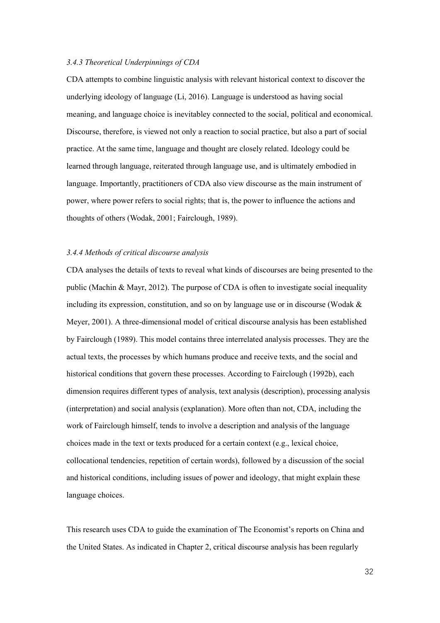## *3.4.3 Theoretical Underpinnings of CDA*

CDA attempts to combine linguistic analysis with relevant historical context to discover the underlying ideology of language (Li, 2016). Language is understood as having social meaning, and language choice is inevitabley connected to the social, political and economical. Discourse, therefore, is viewed not only a reaction to social practice, but also a part of social practice. At the same time, language and thought are closely related. Ideology could be learned through language, reiterated through language use, and is ultimately embodied in language. Importantly, practitioners of CDA also view discourse as the main instrument of power, where power refers to social rights; that is, the power to influence the actions and thoughts of others (Wodak, 2001; Fairclough, 1989).

# *3.4.4 Methods of critical discourse analysis*

CDA analyses the details of texts to reveal what kinds of discourses are being presented to the public (Machin & Mayr, 2012). The purpose of CDA is often to investigate social inequality including its expression, constitution, and so on by language use or in discourse (Wodak & Meyer, 2001). A three-dimensional model of critical discourse analysis has been established by Fairclough (1989). This model contains three interrelated analysis processes. They are the actual texts, the processes by which humans produce and receive texts, and the social and historical conditions that govern these processes. According to Fairclough (1992b), each dimension requires different types of analysis, text analysis (description), processing analysis (interpretation) and social analysis (explanation). More often than not, CDA, including the work of Fairclough himself, tends to involve a description and analysis of the language choices made in the text or texts produced for a certain context (e.g., lexical choice, collocational tendencies, repetition of certain words), followed by a discussion of the social and historical conditions, including issues of power and ideology, that might explain these language choices.

This research uses CDA to guide the examination of The Economist's reports on China and the United States. As indicated in Chapter 2, critical discourse analysis has been regularly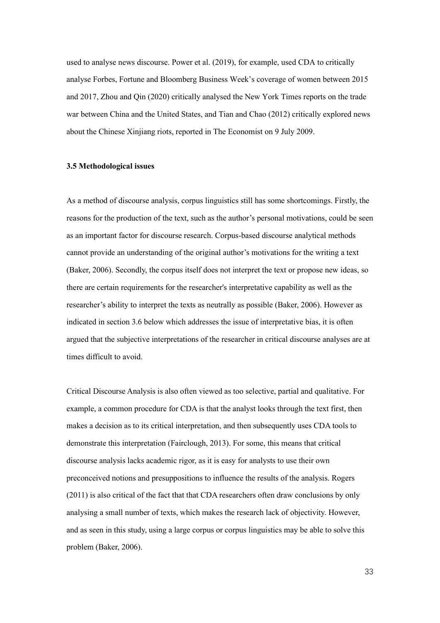used to analyse news discourse. Power et al. (2019), for example, used CDA to critically analyse Forbes, Fortune and Bloomberg Business Week's coverage of women between 2015 and 2017, Zhou and Qin (2020) critically analysed the New York Times reports on the trade war between China and the United States, and Tian and Chao (2012) critically explored news about the Chinese Xinjiang riots, reported in The Economist on 9 July 2009.

## **3.5 Methodological issues**

As a method of discourse analysis, corpus linguistics still has some shortcomings. Firstly, the reasons for the production of the text, such as the author's personal motivations, could be seen as an important factor for discourse research. Corpus-based discourse analytical methods cannot provide an understanding of the original author's motivations for the writing a text (Baker, 2006). Secondly, the corpus itself does not interpret the text or propose new ideas, so there are certain requirements for the researcher's interpretative capability as well as the researcher's ability to interpret the texts as neutrally as possible (Baker, 2006). However as indicated in section 3.6 below which addresses the issue of interpretative bias, it is often argued that the subjective interpretations of the researcher in critical discourse analyses are at times difficult to avoid.

Critical Discourse Analysis is also often viewed as too selective, partial and qualitative. For example, a common procedure for CDA is that the analyst looks through the text first, then makes a decision as to its critical interpretation, and then subsequently uses CDA tools to demonstrate this interpretation (Fairclough, 2013). For some, this means that critical discourse analysis lacks academic rigor, as it is easy for analysts to use their own preconceived notions and presuppositions to influence the results of the analysis. Rogers (2011) is also critical of the fact that that CDA researchers often draw conclusions by only analysing a small number of texts, which makes the research lack of objectivity. However, and as seen in this study, using a large corpus or corpus linguistics may be able to solve this problem (Baker, 2006).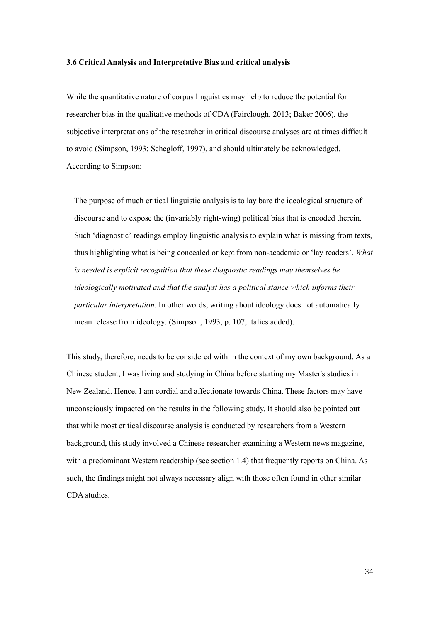#### **3.6 Critical Analysis and Interpretative Bias and critical analysis**

While the quantitative nature of corpus linguistics may help to reduce the potential for researcher bias in the qualitative methods of CDA (Fairclough, 2013; Baker 2006), the subjective interpretations of the researcher in critical discourse analyses are at times difficult to avoid (Simpson, 1993; Schegloff, 1997), and should ultimately be acknowledged. According to Simpson:

The purpose of much critical linguistic analysis is to lay bare the ideological structure of discourse and to expose the (invariably right-wing) political bias that is encoded therein. Such 'diagnostic' readings employ linguistic analysis to explain what is missing from texts, thus highlighting what is being concealed or kept from non-academic or 'lay readers'. *What is needed is explicit recognition that these diagnostic readings may themselves be ideologically motivated and that the analyst has a political stance which informs their particular interpretation.* In other words, writing about ideology does not automatically mean release from ideology. (Simpson, 1993, p. 107, italics added).

This study, therefore, needs to be considered with in the context of my own background. As a Chinese student, I was living and studying in China before starting my Master's studies in New Zealand. Hence, I am cordial and affectionate towards China. These factors may have unconsciously impacted on the results in the following study. It should also be pointed out that while most critical discourse analysis is conducted by researchers from a Western background, this study involved a Chinese researcher examining a Western news magazine, with a predominant Western readership (see section 1.4) that frequently reports on China. As such, the findings might not always necessary align with those often found in other similar CDA studies.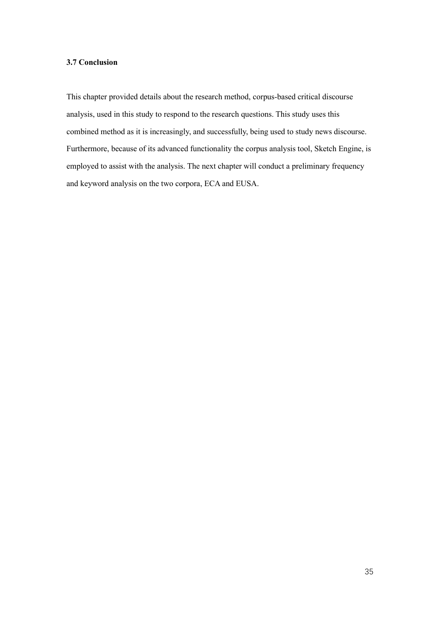# **3.7 Conclusion**

This chapter provided details about the research method, corpus-based critical discourse analysis, used in this study to respond to the research questions. This study uses this combined method as it is increasingly, and successfully, being used to study news discourse. Furthermore, because of its advanced functionality the corpus analysis tool, Sketch Engine, is employed to assist with the analysis. The next chapter will conduct a preliminary frequency and keyword analysis on the two corpora, ECA and EUSA.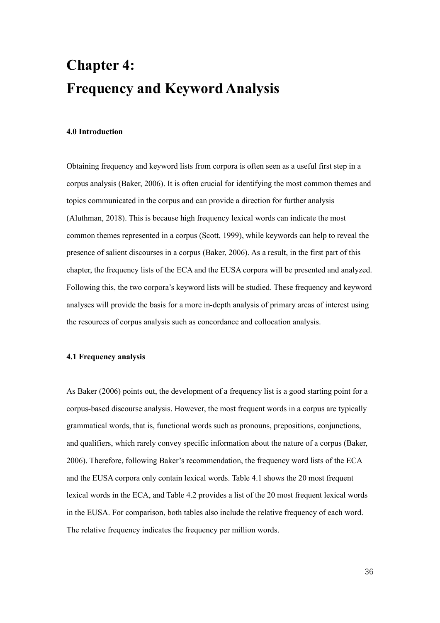# **Chapter 4: Frequency and Keyword Analysis**

#### **4.0 Introduction**

Obtaining frequency and keyword lists from corpora is often seen as a useful first step in a corpus analysis (Baker, 2006). It is often crucial for identifying the most common themes and topics communicated in the corpus and can provide a direction for further analysis (Aluthman, 2018). This is because high frequency lexical words can indicate the most common themes represented in a corpus (Scott, 1999), while keywords can help to reveal the presence of salient discourses in a corpus (Baker, 2006). As a result, in the first part of this chapter, the frequency lists of the ECA and the EUSA corpora will be presented and analyzed. Following this, the two corpora's keyword lists will be studied. These frequency and keyword analyses will provide the basis for a more in-depth analysis of primary areas of interest using the resources of corpus analysis such as concordance and collocation analysis.

#### **4.1 Frequency analysis**

As Baker (2006) points out, the development of a frequency list is a good starting point for a corpus-based discourse analysis. However, the most frequent words in a corpus are typically grammatical words, that is, functional words such as pronouns, prepositions, conjunctions, and qualifiers, which rarely convey specific information about the nature of a corpus (Baker, 2006). Therefore, following Baker's recommendation, the frequency word lists of the ECA and the EUSA corpora only contain lexical words. Table 4.1 shows the 20 most frequent lexical words in the ECA, and Table 4.2 provides a list of the 20 most frequent lexical words in the EUSA. For comparison, both tables also include the relative frequency of each word. The relative frequency indicates the frequency per million words.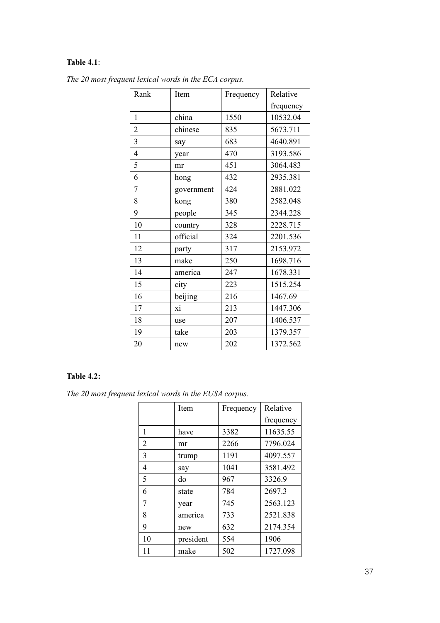# **Table 4.1**:

| Rank                    | Item       | Frequency | Relative  |  |
|-------------------------|------------|-----------|-----------|--|
|                         |            |           | frequency |  |
| $\mathbf{1}$            | china      | 1550      | 10532.04  |  |
| $\overline{2}$          | chinese    | 835       | 5673.711  |  |
| $\overline{\mathbf{3}}$ | say        | 683       | 4640.891  |  |
| $\overline{4}$          | year       | 470       | 3193.586  |  |
| 5                       | mr         | 451       | 3064.483  |  |
| 6                       | hong       | 432       | 2935.381  |  |
| $\overline{7}$          | government | 424       | 2881.022  |  |
| 8                       | kong       | 380       | 2582.048  |  |
| 9                       | people     | 345       | 2344.228  |  |
| 10                      | country    | 328       | 2228.715  |  |
| 11                      | official   | 324       | 2201.536  |  |
| 12                      | party      | 317       | 2153.972  |  |
| 13                      | make       | 250       | 1698.716  |  |
| 14                      | america    | 247       | 1678.331  |  |
| 15                      | city       | 223       | 1515.254  |  |
| 16                      | beijing    | 216       | 1467.69   |  |
| 17                      | хi         | 213       | 1447.306  |  |
| 18                      | use        | 207       | 1406.537  |  |
| 19                      | take       | 203       | 1379.357  |  |
| 20                      | new        | 202       | 1372.562  |  |

*The 20 most frequent lexical words in the ECA corpus.*

# **Table 4.2:**

*The 20 most frequent lexical words in the EUSA corpus.*

|                | Item      | Frequency | Relative  |
|----------------|-----------|-----------|-----------|
|                |           |           | frequency |
| 1              | have      | 3382      | 11635.55  |
| $\overline{2}$ | mr        | 2266      | 7796.024  |
| 3              | trump     | 1191      | 4097.557  |
| $\overline{4}$ | say       | 1041      | 3581.492  |
| 5              | do        | 967       | 3326.9    |
| 6              | state     | 784       | 2697.3    |
| 7              | year      | 745       | 2563.123  |
| 8              | america   | 733       | 2521.838  |
| 9              | new       | 632       | 2174.354  |
| 10             | president | 554       | 1906      |
| 11             | make      | 502       | 1727.098  |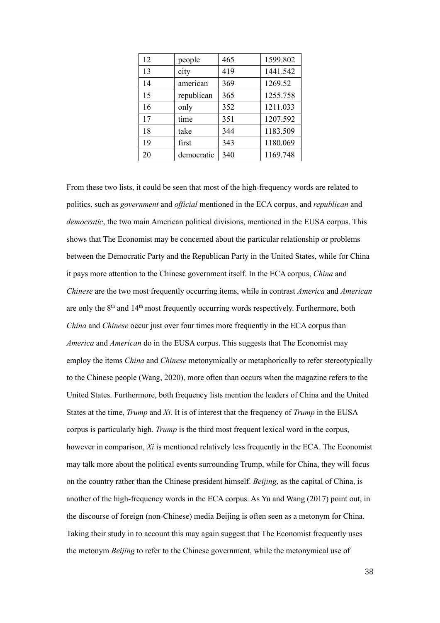| 12 | people     | 465 | 1599.802 |
|----|------------|-----|----------|
| 13 | city       | 419 | 1441.542 |
| 14 | american   | 369 | 1269.52  |
| 15 | republican | 365 | 1255.758 |
| 16 | only       | 352 | 1211.033 |
| 17 | time       | 351 | 1207.592 |
| 18 | take       | 344 | 1183.509 |
| 19 | first      | 343 | 1180.069 |
| 20 | democratic | 340 | 1169.748 |

From these two lists, it could be seen that most of the high-frequency words are related to politics, such as *government* and *official* mentioned in the ECA corpus, and *republican* and *democratic*, the two main American political divisions, mentioned in the EUSA corpus. This shows that The Economist may be concerned about the particular relationship or problems between the Democratic Party and the Republican Party in the United States, while for China it pays more attention to the Chinese government itself. In the ECA corpus, *China* and *Chinese* are the two most frequently occurring items, while in contrast *America* and *American* are only the 8<sup>th</sup> and 14<sup>th</sup> most frequently occurring words respectively. Furthermore, both *China* and *Chinese* occur just over four times more frequently in the ECA corpus than *America* and *American* do in the EUSA corpus. This suggests that The Economist may employ the items *China* and *Chinese* metonymically or metaphorically to refer stereotypically to the Chinese people (Wang, 2020), more often than occurs when the magazine refers to the United States. Furthermore, both frequency lists mention the leaders of China and the United States at the time, *Trump* and *Xi*. It is of interest that the frequency of *Trump* in the EUSA corpus is particularly high. *Trump* is the third most frequent lexical word in the corpus, however in comparison, *Xi* is mentioned relatively less frequently in the ECA. The Economist may talk more about the political events surrounding Trump, while for China, they will focus on the country rather than the Chinese president himself. *Beijing*, as the capital of China, is another of the high-frequency words in the ECA corpus. As Yu and Wang (2017) point out, in the discourse of foreign (non-Chinese) media Beijing is often seen as a metonym for China. Taking their study in to account this may again suggest that The Economist frequently uses the metonym *Beijing* to refer to the Chinese government, while the metonymical use of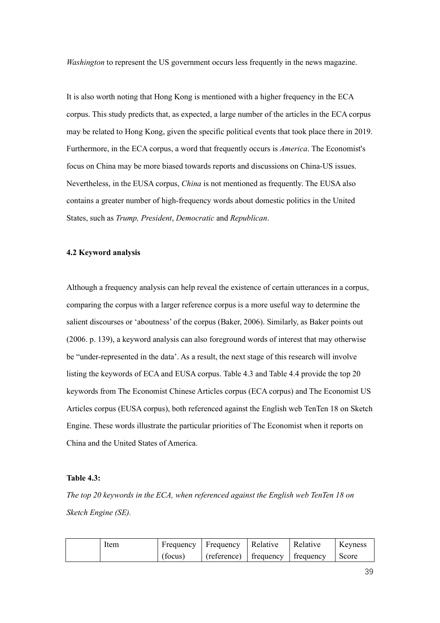*Washington* to represent the US government occurs less frequently in the news magazine.

It is also worth noting that Hong Kong is mentioned with a higher frequency in the ECA corpus. This study predicts that, as expected, a large number of the articles in the ECA corpus may be related to Hong Kong, given the specific political events that took place there in 2019. Furthermore, in the ECA corpus, a word that frequently occurs is *America*. The Economist's focus on China may be more biased towards reports and discussions on China-US issues. Nevertheless, in the EUSA corpus, *China* is not mentioned as frequently. The EUSA also contains a greater number of high-frequency words about domestic politics in the United States, such as *Trump, President*, *Democratic* and *Republican*.

#### **4.2 Keyword analysis**

Although a frequency analysis can help reveal the existence of certain utterances in a corpus, comparing the corpus with a larger reference corpus is a more useful way to determine the salient discourses or 'aboutness' of the corpus (Baker, 2006). Similarly, as Baker points out (2006. p. 139), a keyword analysis can also foreground words of interest that may otherwise be "under-represented in the data'. As a result, the next stage of this research will involve listing the keywords of ECA and EUSA corpus. Table 4.3 and Table 4.4 provide the top 20 keywords from The Economist Chinese Articles corpus (ECA corpus) and The Economist US Articles corpus (EUSA corpus), both referenced against the English web TenTen 18 on Sketch Engine. These words illustrate the particular priorities of The Economist when it reports on China and the United States of America.

#### **Table 4.3:**

*The top 20 keywords in the ECA, when referenced against the English web TenTen 18 on Sketch Engine (SE).*

| Item |         | Frequency   Frequency   Relative |                     | Relative | Keyness |
|------|---------|----------------------------------|---------------------|----------|---------|
|      | (focus) | (reference)                      | frequency frequency |          | Score   |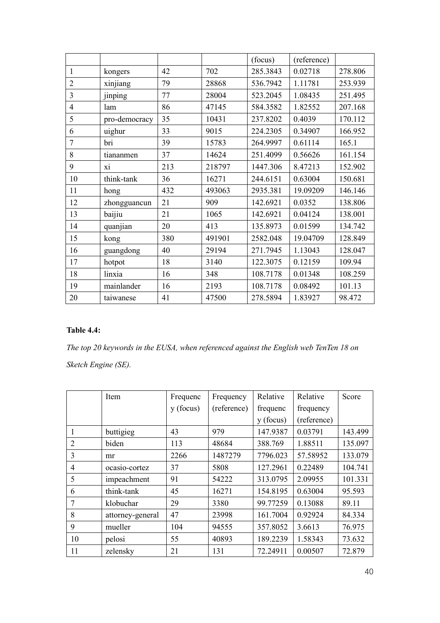|                |               |     |        | (focus)  | (reference) |         |
|----------------|---------------|-----|--------|----------|-------------|---------|
| $\mathbf{1}$   | kongers       | 42  | 702    | 285.3843 | 0.02718     | 278.806 |
| $\overline{2}$ | xinjiang      | 79  | 28868  | 536.7942 | 1.11781     | 253.939 |
| 3              | jinping       | 77  | 28004  | 523.2045 | 1.08435     | 251.495 |
| $\overline{4}$ | lam           | 86  | 47145  | 584.3582 | 1.82552     | 207.168 |
| 5              | pro-democracy | 35  | 10431  | 237.8202 | 0.4039      | 170.112 |
| 6              | uighur        | 33  | 9015   | 224.2305 | 0.34907     | 166.952 |
| 7              | bri           | 39  | 15783  | 264.9997 | 0.61114     | 165.1   |
| 8              | tiananmen     | 37  | 14624  | 251.4099 | 0.56626     | 161.154 |
| 9              | X1            | 213 | 218797 | 1447.306 | 8.47213     | 152.902 |
| 10             | think-tank    | 36  | 16271  | 244.6151 | 0.63004     | 150.681 |
| 11             | hong          | 432 | 493063 | 2935.381 | 19.09209    | 146.146 |
| 12             | zhongguancun  | 21  | 909    | 142.6921 | 0.0352      | 138.806 |
| 13             | baijiu        | 21  | 1065   | 142.6921 | 0.04124     | 138.001 |
| 14             | quanjian      | 20  | 413    | 135.8973 | 0.01599     | 134.742 |
| 15             | kong          | 380 | 491901 | 2582.048 | 19.04709    | 128.849 |
| 16             | guangdong     | 40  | 29194  | 271.7945 | 1.13043     | 128.047 |
| 17             | hotpot        | 18  | 3140   | 122.3075 | 0.12159     | 109.94  |
| 18             | linxia        | 16  | 348    | 108.7178 | 0.01348     | 108.259 |
| 19             | mainlander    | 16  | 2193   | 108.7178 | 0.08492     | 101.13  |
| 20             | taiwanese     | 41  | 47500  | 278.5894 | 1.83927     | 98.472  |

# **Table 4.4:**

*The top 20 keywords in the EUSA, when referenced against the English web TenTen 18 on Sketch Engine (SE).*

|                | Item             | Frequenc    | Frequency   | Relative  | Relative    | Score   |
|----------------|------------------|-------------|-------------|-----------|-------------|---------|
|                |                  | $y$ (focus) | (reference) | frequenc  | frequency   |         |
|                |                  |             |             | y (focus) | (reference) |         |
|                | buttigieg        | 43          | 979         | 147.9387  | 0.03791     | 143.499 |
| $\overline{2}$ | biden            | 113         | 48684       | 388.769   | 1.88511     | 135.097 |
| 3              | mr               | 2266        | 1487279     | 7796.023  | 57.58952    | 133.079 |
| $\overline{4}$ | ocasio-cortez    | 37          | 5808        | 127.2961  | 0.22489     | 104.741 |
| 5              | impeachment      | 91          | 54222       | 313.0795  | 2.09955     | 101.331 |
| 6              | think-tank       | 45          | 16271       | 154.8195  | 0.63004     | 95.593  |
| 7              | klobuchar        | 29          | 3380        | 99.77259  | 0.13088     | 89.11   |
| 8              | attorney-general | 47          | 23998       | 161.7004  | 0.92924     | 84.334  |
| 9              | mueller          | 104         | 94555       | 357.8052  | 3.6613      | 76.975  |
| 10             | pelosi           | 55          | 40893       | 189.2239  | 1.58343     | 73.632  |
| 11             | zelensky         | 21          | 131         | 72.24911  | 0.00507     | 72.879  |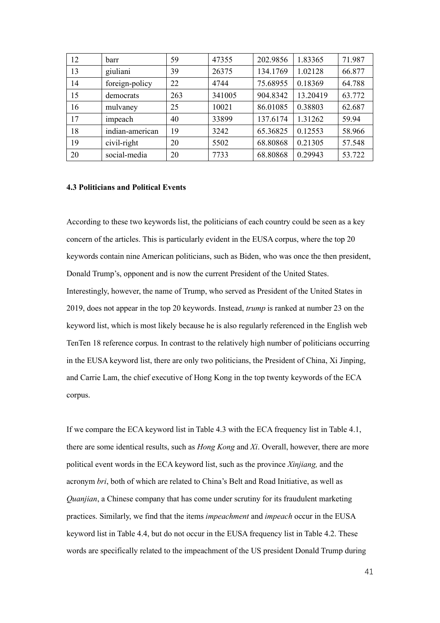| 12 | barr            | 59  | 47355  | 202.9856 | 1.83365  | 71.987 |
|----|-----------------|-----|--------|----------|----------|--------|
| 13 | giuliani        | 39  | 26375  | 134.1769 | 1.02128  | 66.877 |
| 14 | foreign-policy  | 22  | 4744   | 75.68955 | 0.18369  | 64.788 |
| 15 | democrats       | 263 | 341005 | 904.8342 | 13.20419 | 63.772 |
| 16 | mulvaney        | 25  | 10021  | 86.01085 | 0.38803  | 62.687 |
| 17 | impeach         | 40  | 33899  | 137.6174 | 1.31262  | 59.94  |
| 18 | indian-american | 19  | 3242   | 65.36825 | 0.12553  | 58.966 |
| 19 | civil-right     | 20  | 5502   | 68.80868 | 0.21305  | 57.548 |
| 20 | social-media    | 20  | 7733   | 68.80868 | 0.29943  | 53.722 |

#### **4.3 Politicians and Political Events**

According to these two keywords list, the politicians of each country could be seen as a key concern of the articles. This is particularly evident in the EUSA corpus, where the top 20 keywords contain nine American politicians, such as Biden, who was once the then president, Donald Trump's, opponent and is now the current President of the United States. Interestingly, however, the name of Trump, who served as President of the United States in 2019, does not appear in the top 20 keywords. Instead, *trump* is ranked at number 23 on the keyword list, which is most likely because he is also regularly referenced in the English web TenTen 18 reference corpus. In contrast to the relatively high number of politicians occurring in the EUSA keyword list, there are only two politicians, the President of China, Xi Jinping, and Carrie Lam, the chief executive of Hong Kong in the top twenty keywords of the ECA corpus.

If we compare the ECA keyword list in Table 4.3 with the ECA frequency list in Table 4.1, there are some identical results, such as *Hong Kong* and *Xi*. Overall, however, there are more political event words in the ECA keyword list, such as the province *Xinjiang,* and the acronym *bri*, both of which are related to China's Belt and Road Initiative, as well as *Quanjian*, a Chinese company that has come under scrutiny for its fraudulent marketing practices. Similarly, we find that the items *impeachment* and *impeach* occur in the EUSA keyword list in Table 4.4, but do not occur in the EUSA frequency list in Table 4.2. These words are specifically related to the impeachment of the US president Donald Trump during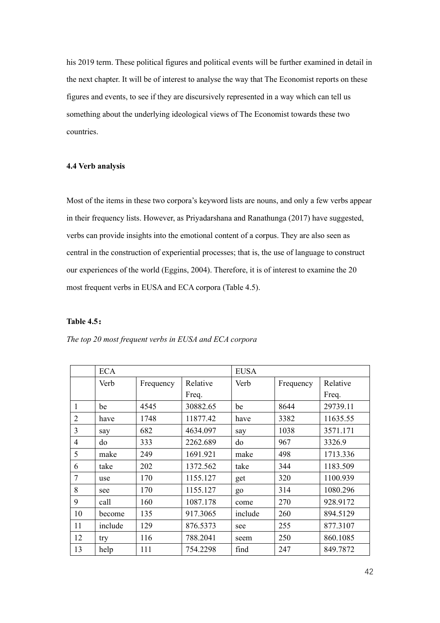his 2019 term. These political figures and political events will be further examined in detail in the next chapter. It will be of interest to analyse the way that The Economist reports on these figures and events, to see if they are discursively represented in a way which can tell us something about the underlying ideological views of The Economist towards these two countries.

## **4.4 Verb analysis**

Most of the items in these two corpora's keyword lists are nouns, and only a few verbs appear in their frequency lists. However, as Priyadarshana and Ranathunga (2017) have suggested, verbs can provide insights into the emotional content of a corpus. They are also seen as central in the construction of experiential processes; that is, the use of language to construct our experiences of the world (Eggins, 2004). Therefore, it is of interest to examine the 20 most frequent verbs in EUSA and ECA corpora (Table 4.5).

## **Table 4.5:**

|                | <b>ECA</b> |           |          | <b>EUSA</b> |           |          |
|----------------|------------|-----------|----------|-------------|-----------|----------|
|                | Verb       | Frequency | Relative | Verb        | Frequency | Relative |
|                |            |           | Freq.    |             |           | Freq.    |
| $\mathbf{1}$   | be         | 4545      | 30882.65 | be          | 8644      | 29739.11 |
| $\overline{2}$ | have       | 1748      | 11877.42 | have        | 3382      | 11635.55 |
| 3              | say        | 682       | 4634.097 | say         | 1038      | 3571.171 |
| $\overline{4}$ | do         | 333       | 2262.689 | do          | 967       | 3326.9   |
| 5              | make       | 249       | 1691.921 | make        | 498       | 1713.336 |
| 6              | take       | 202       | 1372.562 | take        | 344       | 1183.509 |
| $\tau$         | use        | 170       | 1155.127 | get         | 320       | 1100.939 |
| 8              | see        | 170       | 1155.127 | go          | 314       | 1080.296 |
| 9              | call       | 160       | 1087.178 | come        | 270       | 928.9172 |
| 10             | become     | 135       | 917.3065 | include     | 260       | 894.5129 |
| 11             | include    | 129       | 876.5373 | see         | 255       | 877.3107 |
| 12             | try        | 116       | 788.2041 | seem        | 250       | 860.1085 |
| 13             | help       | 111       | 754.2298 | find        | 247       | 849.7872 |

*The top 20 most frequent verbs in EUSA and ECA corpora*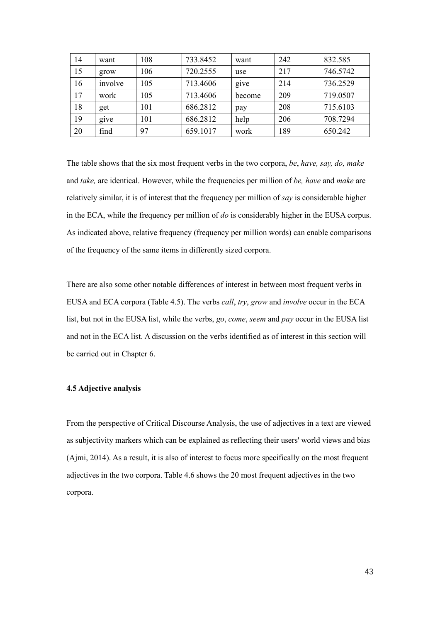| 14 | want              | 108 | 733.8452 | want   | 242 | 832.585  |
|----|-------------------|-----|----------|--------|-----|----------|
| 15 | grow              | 106 | 720.2555 | use    | 217 | 746.5742 |
| 16 | involve           | 105 | 713.4606 | give   | 214 | 736.2529 |
| 17 | work              | 105 | 713.4606 | become | 209 | 719.0507 |
| 18 | get               | 101 | 686.2812 | pay    | 208 | 715.6103 |
| 19 | g <sub>1</sub> ve | 101 | 686.2812 | help   | 206 | 708.7294 |
| 20 | find              | 97  | 659.1017 | work   | 189 | 650.242  |

The table shows that the six most frequent verbs in the two corpora, *be*, *have, say, do, make*  and *take,* are identical. However, while the frequencies per million of *be, have* and *make* are relatively similar, it is of interest that the frequency per million of *say* is considerable higher in the ECA, while the frequency per million of *do* is considerably higher in the EUSA corpus. As indicated above, relative frequency (frequency per million words) can enable comparisons of the frequency of the same items in differently sized corpora.

There are also some other notable differences of interest in between most frequent verbs in EUSA and ECA corpora (Table 4.5). The verbs *call*, *try*, *grow* and *involve* occur in the ECA list, but not in the EUSA list, while the verbs, *go*, *come*, *seem* and *pay* occur in the EUSA list and not in the ECA list. A discussion on the verbs identified as of interest in this section will be carried out in Chapter 6.

#### **4.5 Adjective analysis**

From the perspective of Critical Discourse Analysis, the use of adjectives in a text are viewed as subjectivity markers which can be explained as reflecting their users' world views and bias (Ajmi, 2014). As a result, it is also of interest to focus more specifically on the most frequent adjectives in the two corpora. Table 4.6 shows the 20 most frequent adjectives in the two corpora.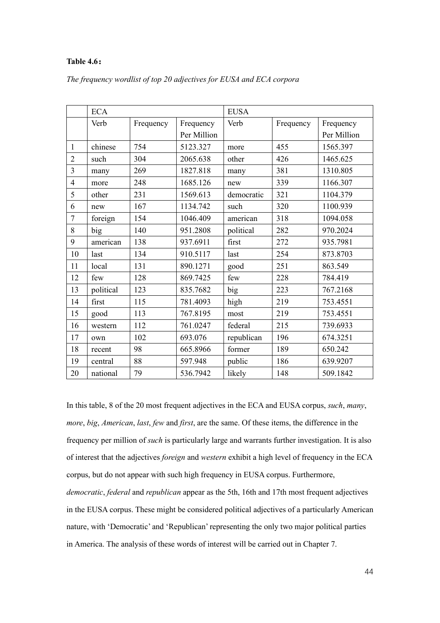## **Table 4.6:**

|                | <b>ECA</b> |           | <b>EUSA</b> |            |           |             |
|----------------|------------|-----------|-------------|------------|-----------|-------------|
|                | Verb       | Frequency | Frequency   | Verb       | Frequency | Frequency   |
|                |            |           | Per Million |            |           | Per Million |
| $\mathbf{1}$   | chinese    | 754       | 5123.327    | more       | 455       | 1565.397    |
| $\overline{2}$ | such       | 304       | 2065.638    | other      | 426       | 1465.625    |
| $\overline{3}$ | many       | 269       | 1827.818    | many       | 381       | 1310.805    |
| $\overline{4}$ | more       | 248       | 1685.126    | new        | 339       | 1166.307    |
| 5              | other      | 231       | 1569.613    | democratic | 321       | 1104.379    |
| 6              | new        | 167       | 1134.742    | such       | 320       | 1100.939    |
| $\overline{7}$ | foreign    | 154       | 1046.409    | american   | 318       | 1094.058    |
| 8              | big        | 140       | 951.2808    | political  | 282       | 970.2024    |
| 9              | american   | 138       | 937.6911    | first      | 272       | 935.7981    |
| 10             | last       | 134       | 910.5117    | last       | 254       | 873.8703    |
| 11             | local      | 131       | 890.1271    | good       | 251       | 863.549     |
| 12             | few        | 128       | 869.7425    | few        | 228       | 784.419     |
| 13             | political  | 123       | 835.7682    | big        | 223       | 767.2168    |
| 14             | first      | 115       | 781.4093    | high       | 219       | 753.4551    |
| 15             | good       | 113       | 767.8195    | most       | 219       | 753.4551    |
| 16             | western    | 112       | 761.0247    | federal    | 215       | 739.6933    |
| 17             | own        | 102       | 693.076     | republican | 196       | 674.3251    |
| 18             | recent     | 98        | 665.8966    | former     | 189       | 650.242     |
| 19             | central    | 88        | 597.948     | public     | 186       | 639.9207    |
| 20             | national   | 79        | 536.7942    | likely     | 148       | 509.1842    |

*The frequency wordlist of top 20 adjectives for EUSA and ECA corpora*

In this table, 8 of the 20 most frequent adjectives in the ECA and EUSA corpus, *such*, *many*, *more*, *big*, *American*, *last*, *few* and *first*, are the same. Of these items, the difference in the frequency per million of *such* is particularly large and warrants further investigation. It is also of interest that the adjectives *foreign* and *western* exhibit a high level of frequency in the ECA corpus, but do not appear with such high frequency in EUSA corpus. Furthermore, *democratic*, *federal* and *republican* appear as the 5th, 16th and 17th most frequent adjectives in the EUSA corpus. These might be considered political adjectives of a particularly American nature, with 'Democratic' and 'Republican' representing the only two major political parties in America. The analysis of these words of interest will be carried out in Chapter 7.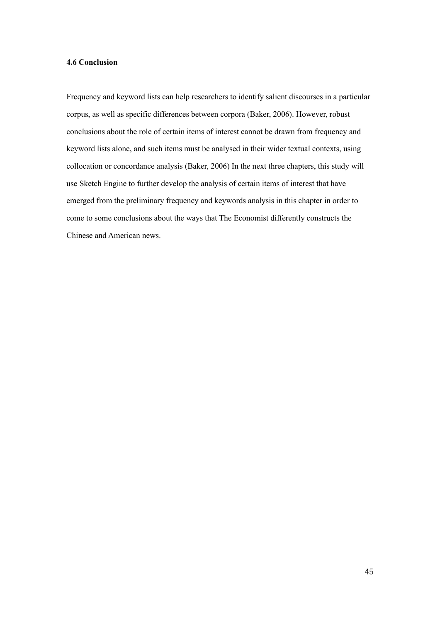#### **4.6 Conclusion**

Frequency and keyword lists can help researchers to identify salient discourses in a particular corpus, as well as specific differences between corpora (Baker, 2006). However, robust conclusions about the role of certain items of interest cannot be drawn from frequency and keyword lists alone, and such items must be analysed in their wider textual contexts, using collocation or concordance analysis (Baker, 2006) In the next three chapters, this study will use Sketch Engine to further develop the analysis of certain items of interest that have emerged from the preliminary frequency and keywords analysis in this chapter in order to come to some conclusions about the ways that The Economist differently constructs the Chinese and American news.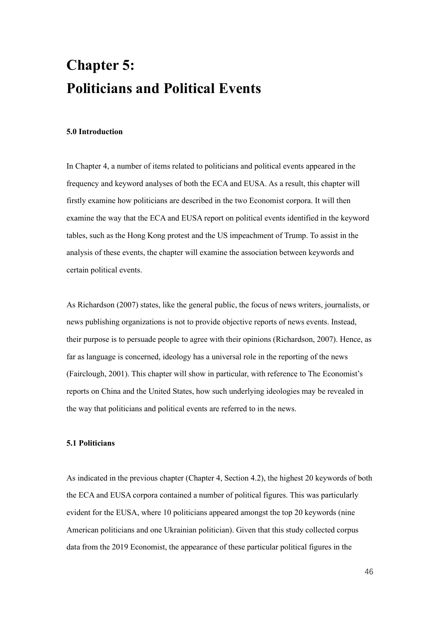# **Chapter 5: Politicians and Political Events**

#### **5.0 Introduction**

In Chapter 4, a number of items related to politicians and political events appeared in the frequency and keyword analyses of both the ECA and EUSA. As a result, this chapter will firstly examine how politicians are described in the two Economist corpora. It will then examine the way that the ECA and EUSA report on political events identified in the keyword tables, such as the Hong Kong protest and the US impeachment of Trump. To assist in the analysis of these events, the chapter will examine the association between keywords and certain political events.

As Richardson (2007) states, like the general public, the focus of news writers, journalists, or news publishing organizations is not to provide objective reports of news events. Instead, their purpose is to persuade people to agree with their opinions (Richardson, 2007). Hence, as far as language is concerned, ideology has a universal role in the reporting of the news (Fairclough, 2001). This chapter will show in particular, with reference to The Economist's reports on China and the United States, how such underlying ideologies may be revealed in the way that politicians and political events are referred to in the news.

#### **5.1 Politicians**

As indicated in the previous chapter (Chapter 4, Section 4.2), the highest 20 keywords of both the ECA and EUSA corpora contained a number of political figures. This was particularly evident for the EUSA, where 10 politicians appeared amongst the top 20 keywords (nine American politicians and one Ukrainian politician). Given that this study collected corpus data from the 2019 Economist, the appearance of these particular political figures in the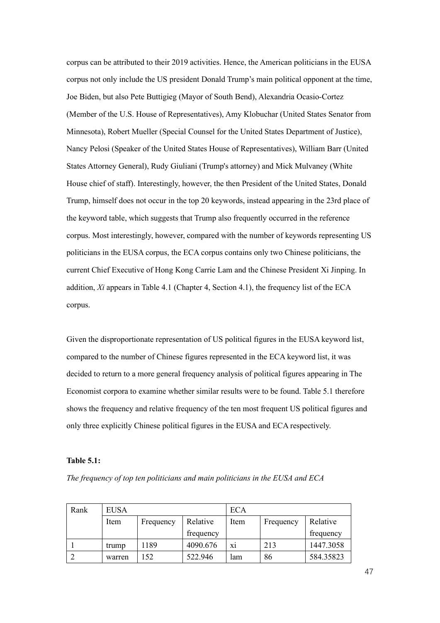corpus can be attributed to their 2019 activities. Hence, the American politicians in the EUSA corpus not only include the US president Donald Trump's main political opponent at the time, Joe Biden, but also Pete Buttigieg (Mayor of South Bend), Alexandria Ocasio-Cortez (Member of the U.S. House of Representatives), Amy Klobuchar (United States Senator from Minnesota), Robert Mueller (Special Counsel for the United States Department of Justice), Nancy Pelosi (Speaker of the United States House of Representatives), William Barr (United States Attorney General), Rudy Giuliani (Trump's attorney) and Mick Mulvaney (White House chief of staff). Interestingly, however, the then President of the United States, Donald Trump, himself does not occur in the top 20 keywords, instead appearing in the 23rd place of the keyword table, which suggests that Trump also frequently occurred in the reference corpus. Most interestingly, however, compared with the number of keywords representing US politicians in the EUSA corpus, the ECA corpus contains only two Chinese politicians, the current Chief Executive of Hong Kong Carrie Lam and the Chinese President Xi Jinping. In addition, *Xi* appears in Table 4.1 (Chapter 4, Section 4.1), the frequency list of the ECA corpus.

Given the disproportionate representation of US political figures in the EUSA keyword list, compared to the number of Chinese figures represented in the ECA keyword list, it was decided to return to a more general frequency analysis of political figures appearing in The Economist corpora to examine whether similar results were to be found. Table 5.1 therefore shows the frequency and relative frequency of the ten most frequent US political figures and only three explicitly Chinese political figures in the EUSA and ECA respectively.

#### **Table 5.1:**

*The frequency of top ten politicians and main politicians in the EUSA and ECA*

| Rank | <b>EUSA</b> |               |           | <b>ECA</b>     |           |           |
|------|-------------|---------------|-----------|----------------|-----------|-----------|
|      | Item        | Frequency     | Relative  | Item           | Frequency | Relative  |
|      |             |               | frequency |                |           | frequency |
|      | trump       | 1189          | 4090.676  | X <sub>1</sub> | 213       | 1447.3058 |
|      | warren      | <sup>52</sup> | 522.946   | lam            | 86        | 584.35823 |

47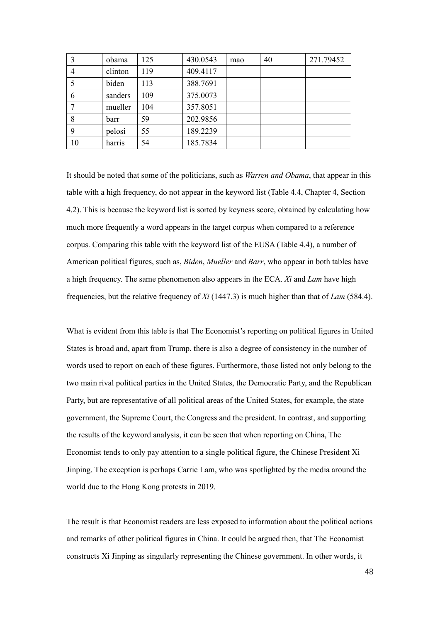| 3  | obama   | 125 | 430.0543 | mao | 40 | 271.79452 |
|----|---------|-----|----------|-----|----|-----------|
|    | clinton | 119 | 409.4117 |     |    |           |
|    | biden   | 113 | 388.7691 |     |    |           |
| 6  | sanders | 109 | 375.0073 |     |    |           |
|    | mueller | 104 | 357.8051 |     |    |           |
| 8  | barr    | 59  | 202.9856 |     |    |           |
| 9  | pelosi  | 55  | 189.2239 |     |    |           |
| 10 | harris  | 54  | 185.7834 |     |    |           |

It should be noted that some of the politicians, such as *Warren and Obama*, that appear in this table with a high frequency, do not appear in the keyword list (Table 4.4, Chapter 4, Section 4.2). This is because the keyword list is sorted by keyness score, obtained by calculating how much more frequently a word appears in the target corpus when compared to a reference corpus. Comparing this table with the keyword list of the EUSA (Table 4.4), a number of American political figures, such as, *Biden*, *Mueller* and *Barr*, who appear in both tables have a high frequency. The same phenomenon also appears in the ECA. *Xi* and *Lam* have high frequencies, but the relative frequency of *Xi* (1447.3) is much higher than that of *Lam* (584.4).

What is evident from this table is that The Economist's reporting on political figures in United States is broad and, apart from Trump, there is also a degree of consistency in the number of words used to report on each of these figures. Furthermore, those listed not only belong to the two main rival political parties in the United States, the Democratic Party, and the Republican Party, but are representative of all political areas of the United States, for example, the state government, the Supreme Court, the Congress and the president. In contrast, and supporting the results of the keyword analysis, it can be seen that when reporting on China, The Economist tends to only pay attention to a single political figure, the Chinese President Xi Jinping. The exception is perhaps Carrie Lam, who was spotlighted by the media around the world due to the Hong Kong protests in 2019.

The result is that Economist readers are less exposed to information about the political actions and remarks of other political figures in China. It could be argued then, that The Economist constructs Xi Jinping as singularly representing the Chinese government. In other words, it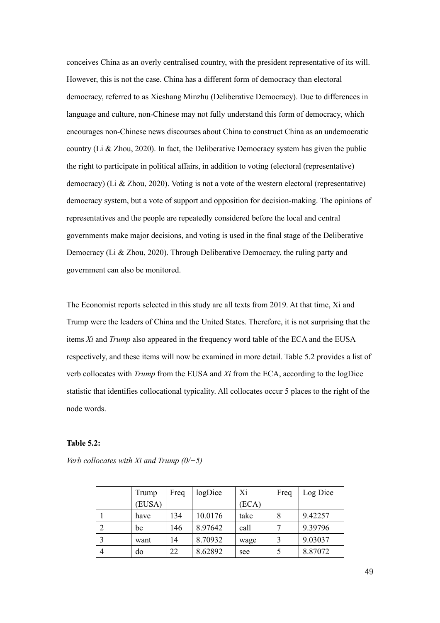conceives China as an overly centralised country, with the president representative of its will. However, this is not the case. China has a different form of democracy than electoral democracy, referred to as Xieshang Minzhu (Deliberative Democracy). Due to differences in language and culture, non-Chinese may not fully understand this form of democracy, which encourages non-Chinese news discourses about China to construct China as an undemocratic country (Li & Zhou, 2020). In fact, the Deliberative Democracy system has given the public the right to participate in political affairs, in addition to voting (electoral (representative) democracy) (Li & Zhou, 2020). Voting is not a vote of the western electoral (representative) democracy system, but a vote of support and opposition for decision-making. The opinions of representatives and the people are repeatedly considered before the local and central governments make major decisions, and voting is used in the final stage of the Deliberative Democracy (Li & Zhou, 2020). Through Deliberative Democracy, the ruling party and government can also be monitored.

The Economist reports selected in this study are all texts from 2019. At that time, Xi and Trump were the leaders of China and the United States. Therefore, it is not surprising that the items *Xi* and *Trump* also appeared in the frequency word table of the ECA and the EUSA respectively, and these items will now be examined in more detail. Table 5.2 provides a list of verb collocates with *Trump* from the EUSA and *Xi* from the ECA, according to the logDice statistic that identifies collocational typicality. All collocates occur 5 places to the right of the node words.

## **Table 5.2:**

|   | Trump  | Freq | logDice | Xi    | Freq | Log Dice |
|---|--------|------|---------|-------|------|----------|
|   | (EUSA) |      |         | (ECA) |      |          |
|   | have   | 134  | 10.0176 | take  | 8    | 9.42257  |
| 2 | be     | 146  | 8.97642 | call  |      | 9.39796  |
|   | want   | 14   | 8.70932 | wage  |      | 9.03037  |
| 4 | do     | 22   | 8.62892 | see   |      | 8.87072  |

*Verb collocates with Xi and Trump (0/+5)*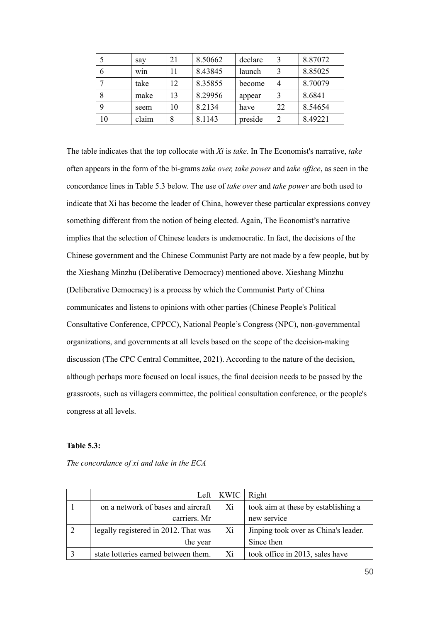|    | say   | 21 | 8.50662 | declare |    | 8.87072 |
|----|-------|----|---------|---------|----|---------|
| 6  | win   | 11 | 8.43845 | launch  |    | 8.85025 |
|    | take  | 12 | 8.35855 | become  |    | 8.70079 |
| 8  | make  | 13 | 8.29956 | appear  |    | 8.6841  |
| 9  | seem  | 10 | 8.2134  | have    | 22 | 8.54654 |
| 10 | claim |    | 8.1143  | preside |    | 8.49221 |

The table indicates that the top collocate with *Xi* is *take*. In The Economist's narrative, *take*  often appears in the form of the bi-grams *take over, take power* and *take office*, as seen in the concordance lines in Table 5.3 below. The use of *take over* and *take power* are both used to indicate that Xi has become the leader of China, however these particular expressions convey something different from the notion of being elected. Again, The Economist's narrative implies that the selection of Chinese leaders is undemocratic. In fact, the decisions of the Chinese government and the Chinese Communist Party are not made by a few people, but by the Xieshang Minzhu (Deliberative Democracy) mentioned above. Xieshang Minzhu (Deliberative Democracy) is a process by which the Communist Party of China communicates and listens to opinions with other parties (Chinese People's Political Consultative Conference, CPPCC), National People's Congress (NPC), non-governmental organizations, and governments at all levels based on the scope of the decision-making discussion (The CPC Central Committee, 2021). According to the nature of the decision, although perhaps more focused on local issues, the final decision needs to be passed by the grassroots, such as villagers committee, the political consultation conference, or the people's congress at all levels.

## **Table 5.3:**

|                                      | Left   $KWIC$   Right |                                      |
|--------------------------------------|-----------------------|--------------------------------------|
| on a network of bases and aircraft   | Xi                    | took aim at these by establishing a  |
| carriers. Mr                         |                       | new service                          |
| legally registered in 2012. That was | Xi                    | Jinping took over as China's leader. |
| the year                             |                       | Since then                           |
| state lotteries earned between them. | Xi                    | took office in 2013, sales have      |

*The concordance of xi and take in the ECA*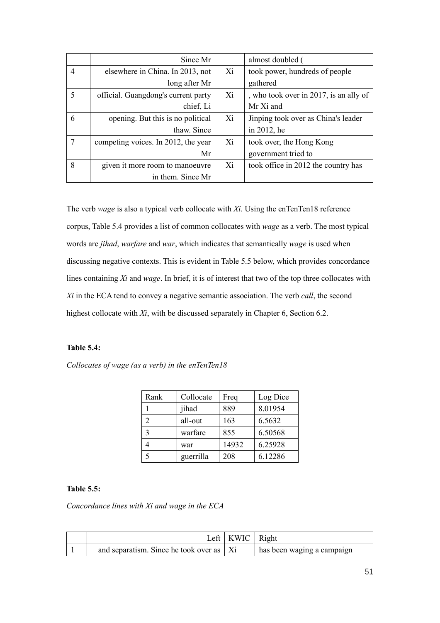|                          | Since Mr                            |    | almost doubled (                       |
|--------------------------|-------------------------------------|----|----------------------------------------|
| 4                        | elsewhere in China. In 2013, not    | Xi | took power, hundreds of people         |
|                          | long after Mr                       |    | gathered                               |
| $\overline{\mathcal{L}}$ | official. Guangdong's current party | Xi | , who took over in 2017, is an ally of |
|                          | chief, Li                           |    | Mr Xi and                              |
| 6                        | opening. But this is no political   | Xi | Jinping took over as China's leader    |
|                          | thaw. Since                         |    | in 2012, he                            |
|                          | competing voices. In 2012, the year | Xi | took over, the Hong Kong               |
|                          | Mr                                  |    | government tried to                    |
| 8                        | given it more room to manoeuvre     | Xi | took office in 2012 the country has    |
|                          | in them. Since Mr                   |    |                                        |

The verb *wage* is also a typical verb collocate with *Xi*. Using the enTenTen18 reference corpus, Table 5.4 provides a list of common collocates with *wage* as a verb. The most typical words are *jihad*, *warfare* and *war*, which indicates that semantically *wage* is used when discussing negative contexts. This is evident in Table 5.5 below, which provides concordance lines containing *Xi* and *wage*. In brief, it is of interest that two of the top three collocates with *Xi* in the ECA tend to convey a negative semantic association. The verb *call*, the second highest collocate with *Xi*, with be discussed separately in Chapter 6, Section 6.2.

## **Table 5.4:**

*Collocates of wage (as a verb) in the enTenTen18*

| Rank | Collocate | Freq  | Log Dice |
|------|-----------|-------|----------|
|      | jihad     | 889   | 8.01954  |
| 2    | all-out   | 163   | 6.5632   |
| ζ    | warfare   | 855   | 6.50568  |
|      | war       | 14932 | 6.25928  |
|      | guerrilla | 208   | 6.12286  |

#### **Table 5.5:**

*Concordance lines with Xi and wage in the ECA*

|                                            | Left   $KWIC$   Right |                            |
|--------------------------------------------|-----------------------|----------------------------|
| and separatism. Since he took over as   Xi |                       | has been waging a campaign |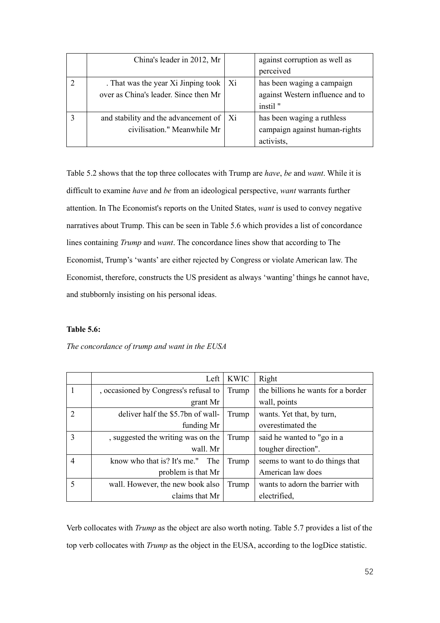| China's leader in 2012, Mr                                                                | against corruption as well as<br>perceived                                 |
|-------------------------------------------------------------------------------------------|----------------------------------------------------------------------------|
| . That was the year $Xi$ Jinping took $\vert$ Xi<br>over as China's leader. Since then Mr | has been waging a campaign<br>against Western influence and to<br>instil " |
| and stability and the advancement of   Xi<br>civilisation." Meanwhile Mr                  | has been waging a ruthless<br>campaign against human-rights<br>activists,  |

Table 5.2 shows that the top three collocates with Trump are *have*, *be* and *want*. While it is difficult to examine *have* and *be* from an ideological perspective, *want* warrants further attention. In The Economist's reports on the United States, *want* is used to convey negative narratives about Trump. This can be seen in Table 5.6 which provides a list of concordance lines containing *Trump* and *want*. The concordance lines show that according to The Economist, Trump's 'wants' are either rejected by Congress or violate American law. The Economist, therefore, constructs the US president as always 'wanting' things he cannot have, and stubbornly insisting on his personal ideas.

# **Table 5.6:**

*The concordance of trump and want in the EUSA*

|                | Left                                  | <b>KWIC</b> | Right                              |
|----------------|---------------------------------------|-------------|------------------------------------|
|                | , occasioned by Congress's refusal to | Trump       | the billions he wants for a border |
|                | grant Mr                              |             | wall, points                       |
| $\overline{2}$ | deliver half the \$5.7bn of wall-     | Trump       | wants. Yet that, by turn,          |
|                | funding Mr                            |             | overestimated the                  |
| 3              | , suggested the writing was on the    | Trump       | said he wanted to "go in a         |
|                | wall. Mr                              |             | tougher direction".                |
|                | know who that is? It's me."<br>The    | Trump       | seems to want to do things that    |
|                | problem is that Mr                    |             | American law does                  |
| 5              | wall. However, the new book also      | Trump       | wants to adorn the barrier with    |
|                | claims that Mr                        |             | electrified,                       |

Verb collocates with *Trump* as the object are also worth noting. Table 5.7 provides a list of the top verb collocates with *Trump* as the object in the EUSA, according to the logDice statistic.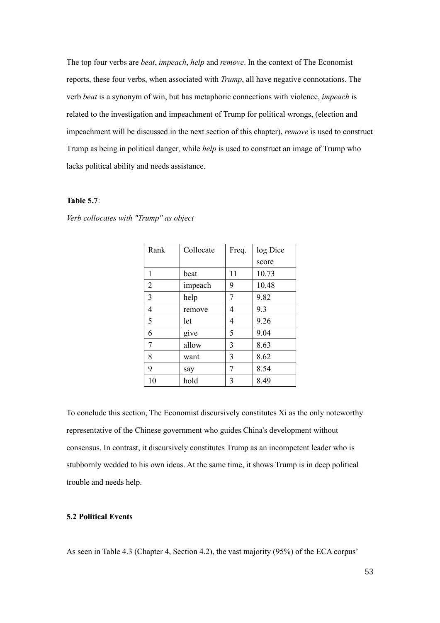The top four verbs are *beat*, *impeach*, *help* and *remove*. In the context of The Economist reports, these four verbs, when associated with *Trump*, all have negative connotations. The verb *beat* is a synonym of win, but has metaphoric connections with violence, *impeach* is related to the investigation and impeachment of Trump for political wrongs, (election and impeachment will be discussed in the next section of this chapter), *remove* is used to construct Trump as being in political danger, while *help* is used to construct an image of Trump who lacks political ability and needs assistance.

#### **Table 5.7**:

| Rank           | Collocate | Freq. | log Dice |
|----------------|-----------|-------|----------|
|                |           |       | score    |
| $\mathbf{1}$   | beat      | 11    | 10.73    |
| $\overline{2}$ | impeach   | 9     | 10.48    |
| $\overline{3}$ | help      | 7     | 9.82     |
| $\overline{4}$ | remove    | 4     | 9.3      |
| 5              | let       | 4     | 9.26     |
| 6              | give      | 5     | 9.04     |
| $\overline{7}$ | allow     | 3     | 8.63     |
| 8              | want      | 3     | 8.62     |
| 9              | say       | 7     | 8.54     |
| 10             | hold      | 3     | 8.49     |

*Verb collocates with "Trump" as object*

To conclude this section, The Economist discursively constitutes Xi as the only noteworthy representative of the Chinese government who guides China's development without consensus. In contrast, it discursively constitutes Trump as an incompetent leader who is stubbornly wedded to his own ideas. At the same time, it shows Trump is in deep political trouble and needs help.

## **5.2 Political Events**

As seen in Table 4.3 (Chapter 4, Section 4.2), the vast majority (95%) of the ECA corpus'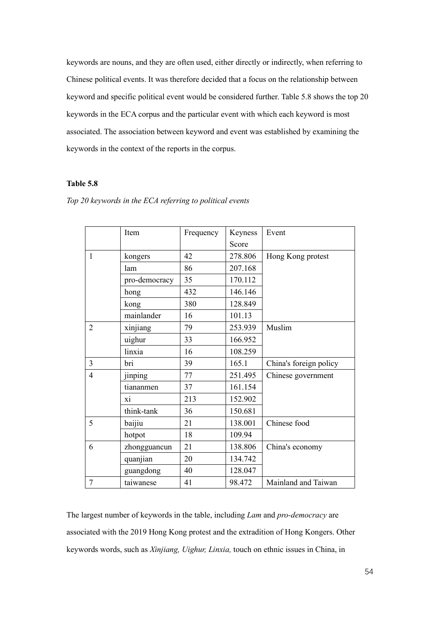keywords are nouns, and they are often used, either directly or indirectly, when referring to Chinese political events. It was therefore decided that a focus on the relationship between keyword and specific political event would be considered further. Table 5.8 shows the top 20 keywords in the ECA corpus and the particular event with which each keyword is most associated. The association between keyword and event was established by examining the keywords in the context of the reports in the corpus.

# **Table 5.8**

|                          | Item          | Frequency | Keyness | Event                  |
|--------------------------|---------------|-----------|---------|------------------------|
|                          |               |           | Score   |                        |
|                          |               |           |         |                        |
| $\mathbf{1}$             | kongers       | 42        | 278.806 | Hong Kong protest      |
|                          | lam           | 86        | 207.168 |                        |
|                          | pro-democracy | 35        | 170.112 |                        |
|                          | hong          | 432       | 146.146 |                        |
|                          | kong          | 380       | 128.849 |                        |
|                          | mainlander    | 16        | 101.13  |                        |
| $\overline{2}$           | xinjiang      | 79        | 253.939 | Muslim                 |
|                          | uighur        | 33        | 166.952 |                        |
|                          | linxia        | 16        | 108.259 |                        |
| $\overline{3}$           | bri           | 39        | 165.1   | China's foreign policy |
| $\overline{\mathcal{A}}$ | jinping       | 77        | 251.495 | Chinese government     |
|                          | tiananmen     | 37        | 161.154 |                        |
|                          | xi            | 213       | 152.902 |                        |
|                          | think-tank    | 36        | 150.681 |                        |
| 5                        | baijiu        | 21        | 138.001 | Chinese food           |
|                          | hotpot        | 18        | 109.94  |                        |
| 6                        | zhongguancun  | 21        | 138.806 | China's economy        |
|                          | quanjian      | 20        | 134.742 |                        |
|                          | guangdong     | 40        | 128.047 |                        |
| 7                        | taiwanese     | 41        | 98.472  | Mainland and Taiwan    |

*Top 20 keywords in the ECA referring to political events*

The largest number of keywords in the table, including *Lam* and *pro-democracy* are associated with the 2019 Hong Kong protest and the extradition of Hong Kongers. Other keywords words, such as *Xinjiang, Uighur, Linxia,* touch on ethnic issues in China, in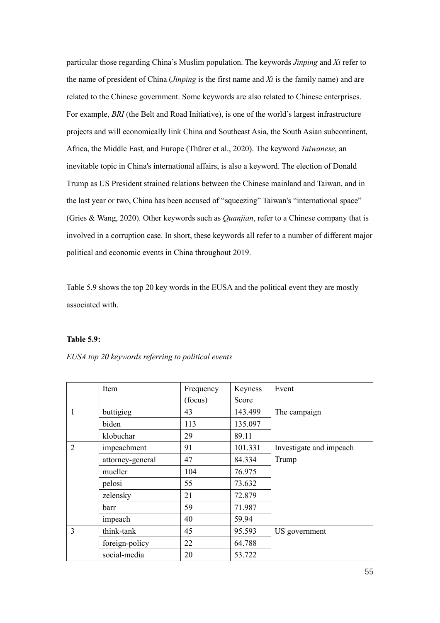particular those regarding China's Muslim population. The keywords *Jinping* and *Xi* refer to the name of president of China (*Jinping* is the first name and *Xi* is the family name) and are related to the Chinese government. Some keywords are also related to Chinese enterprises. For example, *BRI* (the Belt and Road Initiative), is one of the world's largest infrastructure projects and will economically link China and Southeast Asia, the South Asian subcontinent, Africa, the Middle East, and Europe (Thürer et al., 2020). The keyword *Taiwanese*, an inevitable topic in China's international affairs, is also a keyword. The election of Donald Trump as US President strained relations between the Chinese mainland and Taiwan, and in the last year or two, China has been accused of "squeezing" Taiwan's "international space" (Gries & Wang, 2020). Other keywords such as *Quanjian*, refer to a Chinese company that is involved in a corruption case. In short, these keywords all refer to a number of different major political and economic events in China throughout 2019.

Table 5.9 shows the top 20 key words in the EUSA and the political event they are mostly associated with.

#### **Table 5.9:**

|                | Item             | Frequency | Keyness | Event                   |
|----------------|------------------|-----------|---------|-------------------------|
|                |                  | (focus)   | Score   |                         |
|                | buttigieg        | 43        | 143.499 | The campaign            |
|                | biden            | 113       | 135.097 |                         |
|                | klobuchar        | 29        | 89.11   |                         |
| $\overline{2}$ | impeachment      | 91        | 101.331 | Investigate and impeach |
|                | attorney-general | 47        | 84.334  | Trump                   |
|                | mueller          | 104       | 76.975  |                         |
|                | pelosi           | 55        | 73.632  |                         |
|                | zelensky         | 21        | 72.879  |                         |
|                | barr             | 59        | 71.987  |                         |
|                | impeach          | 40        | 59.94   |                         |
| 3              | think-tank       | 45        | 95.593  | US government           |
|                | foreign-policy   | 22        | 64.788  |                         |
|                | social-media     | 20        | 53.722  |                         |

### *EUSA top 20 keywords referring to political events*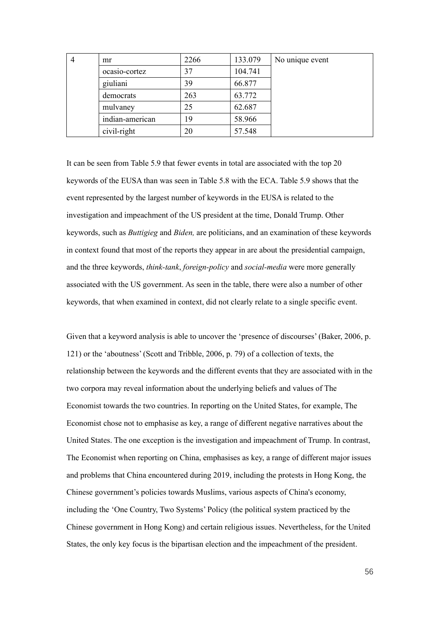| mr              | 2266 | 133.079 | No unique event |
|-----------------|------|---------|-----------------|
| ocasio-cortez   | 37   | 104.741 |                 |
| giuliani        | 39   | 66.877  |                 |
| democrats       | 263  | 63.772  |                 |
| mulvaney        | 25   | 62.687  |                 |
| indian-american | 19   | 58.966  |                 |
| civil-right     | 20   | 57.548  |                 |

It can be seen from Table 5.9 that fewer events in total are associated with the top 20 keywords of the EUSA than was seen in Table 5.8 with the ECA. Table 5.9 shows that the event represented by the largest number of keywords in the EUSA is related to the investigation and impeachment of the US president at the time, Donald Trump. Other keywords, such as *Buttigieg* and *Biden,* are politicians, and an examination of these keywords in context found that most of the reports they appear in are about the presidential campaign, and the three keywords, *think-tank*, *foreign-policy* and *social-media* were more generally associated with the US government. As seen in the table, there were also a number of other keywords, that when examined in context, did not clearly relate to a single specific event.

Given that a keyword analysis is able to uncover the 'presence of discourses' (Baker, 2006, p. 121) or the 'aboutness' (Scott and Tribble, 2006, p. 79) of a collection of texts, the relationship between the keywords and the different events that they are associated with in the two corpora may reveal information about the underlying beliefs and values of The Economist towards the two countries. In reporting on the United States, for example, The Economist chose not to emphasise as key, a range of different negative narratives about the United States. The one exception is the investigation and impeachment of Trump. In contrast, The Economist when reporting on China, emphasises as key, a range of different major issues and problems that China encountered during 2019, including the protests in Hong Kong, the Chinese government's policies towards Muslims, various aspects of China's economy, including the 'One Country, Two Systems' Policy (the political system practiced by the Chinese government in Hong Kong) and certain religious issues. Nevertheless, for the United States, the only key focus is the bipartisan election and the impeachment of the president.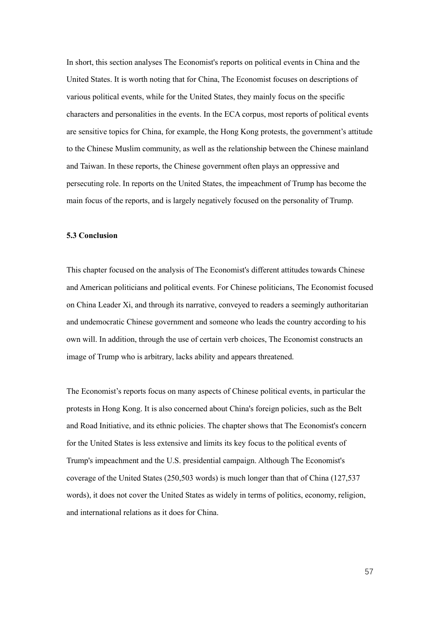In short, this section analyses The Economist's reports on political events in China and the United States. It is worth noting that for China, The Economist focuses on descriptions of various political events, while for the United States, they mainly focus on the specific characters and personalities in the events. In the ECA corpus, most reports of political events are sensitive topics for China, for example, the Hong Kong protests, the government's attitude to the Chinese Muslim community, as well as the relationship between the Chinese mainland and Taiwan. In these reports, the Chinese government often plays an oppressive and persecuting role. In reports on the United States, the impeachment of Trump has become the main focus of the reports, and is largely negatively focused on the personality of Trump.

#### **5.3 Conclusion**

This chapter focused on the analysis of The Economist's different attitudes towards Chinese and American politicians and political events. For Chinese politicians, The Economist focused on China Leader Xi, and through its narrative, conveyed to readers a seemingly authoritarian and undemocratic Chinese government and someone who leads the country according to his own will. In addition, through the use of certain verb choices, The Economist constructs an image of Trump who is arbitrary, lacks ability and appears threatened.

The Economist's reports focus on many aspects of Chinese political events, in particular the protests in Hong Kong. It is also concerned about China's foreign policies, such as the Belt and Road Initiative, and its ethnic policies. The chapter shows that The Economist's concern for the United States is less extensive and limits its key focus to the political events of Trump's impeachment and the U.S. presidential campaign. Although The Economist's coverage of the United States (250,503 words) is much longer than that of China (127,537 words), it does not cover the United States as widely in terms of politics, economy, religion, and international relations as it does for China.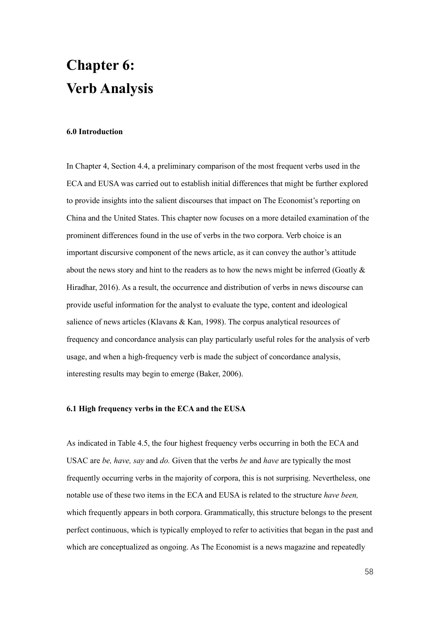# **Chapter 6: Verb Analysis**

#### **6.0 Introduction**

In Chapter 4, Section 4.4, a preliminary comparison of the most frequent verbs used in the ECA and EUSA was carried out to establish initial differences that might be further explored to provide insights into the salient discourses that impact on The Economist's reporting on China and the United States. This chapter now focuses on a more detailed examination of the prominent differences found in the use of verbs in the two corpora. Verb choice is an important discursive component of the news article, as it can convey the author's attitude about the news story and hint to the readers as to how the news might be inferred (Goatly & Hiradhar, 2016). As a result, the occurrence and distribution of verbs in news discourse can provide useful information for the analyst to evaluate the type, content and ideological salience of news articles (Klavans & Kan, 1998). The corpus analytical resources of frequency and concordance analysis can play particularly useful roles for the analysis of verb usage, and when a high-frequency verb is made the subject of concordance analysis, interesting results may begin to emerge (Baker, 2006).

## **6.1 High frequency verbs in the ECA and the EUSA**

As indicated in Table 4.5, the four highest frequency verbs occurring in both the ECA and USAC are *be, have, say* and *do.* Given that the verbs *be* and *have* are typically the most frequently occurring verbs in the majority of corpora, this is not surprising. Nevertheless, one notable use of these two items in the ECA and EUSA is related to the structure *have been,*  which frequently appears in both corpora. Grammatically, this structure belongs to the present perfect continuous, which is typically employed to refer to activities that began in the past and which are conceptualized as ongoing. As The Economist is a news magazine and repeatedly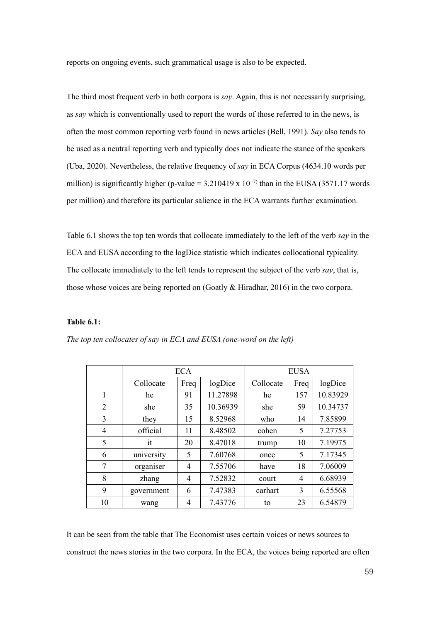reports on ongoing events, such grammatical usage is also to be expected.

The third most frequent verb in both corpora is *say*. Again, this is not necessarily surprising, as *say* which is conventionally used to report the words of those referred to in the news, is often the most common reporting verb found in news articles (Bell, 1991). *Say* also tends to be used as a neutral reporting verb and typically does not indicate the stance of the speakers (Uba, 2020). Nevertheless, the relative frequency of *say* in ECA Corpus (4634.10 words per million) is significantly higher (p-value =  $3.210419 \times 10^{-7}$ ) than in the EUSA (3571.17 words per million) and therefore its particular salience in the ECA warrants further examination.

Table 6.1 shows the top ten words that collocate immediately to the left of the verb *say* in the ECA and EUSA according to the logDice statistic which indicates collocational typicality. The collocate immediately to the left tends to represent the subject of the verb *say*, that is, those whose voices are being reported on (Goatly & Hiradhar, 2016) in the two corpora.

#### **Table 6.1:**

|    | <b>ECA</b> |                |          | <b>EUSA</b> |      |          |
|----|------------|----------------|----------|-------------|------|----------|
|    | Collocate  | Freq           | logDice  | Collocate   | Freq | logDice  |
| 1  | he         | 91             | 11.27898 | he          | 157  | 10.83929 |
| 2  | she        | 35             | 10.36939 | she         | 59   | 10.34737 |
| 3  | they       | 15             | 8.52968  | who         | 14   | 7.85899  |
| 4  | official   | 11             | 8.48502  | cohen       | 5    | 7.27753  |
| 5  | it         | 20             | 8.47018  | trump       | 10   | 7.19975  |
| 6  | university | 5              | 7.60768  | once        | 5    | 7.17345  |
| 7  | organiser  | $\overline{4}$ | 7.55706  | have        | 18   | 7.06009  |
| 8  | zhang      | 4              | 7.52832  | court       | 4    | 6.68939  |
| 9  | government | 6              | 7.47383  | carhart     | 3    | 6.55568  |
| 10 | wang       | 4              | 7.43776  | to          | 23   | 6.54879  |

*The top ten collocates of say in ECA and EUSA (one-word on the left)*

It can be seen from the table that The Economist uses certain voices or news sources to construct the news stories in the two corpora. In the ECA, the voices being reported are often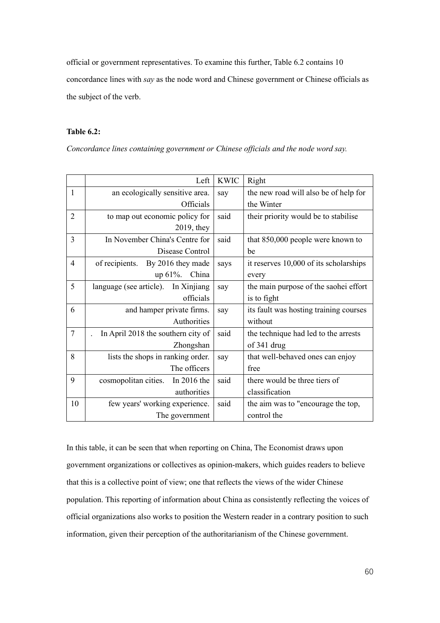official or government representatives. To examine this further, Table 6.2 contains 10 concordance lines with *say* as the node word and Chinese government or Chinese officials as the subject of the verb.

## **Table 6.2:**

*Concordance lines containing government or Chinese officials and the node word say.*

|                | Left                                | <b>KWIC</b> | Right                                  |
|----------------|-------------------------------------|-------------|----------------------------------------|
| 1              | an ecologically sensitive area.     | say         | the new road will also be of help for  |
|                | Officials                           |             | the Winter                             |
| $\overline{2}$ | to map out economic policy for      | said        | their priority would be to stabilise   |
|                | $2019$ , they                       |             |                                        |
| 3              | In November China's Centre for      | said        | that 850,000 people were known to      |
|                | Disease Control                     |             | be                                     |
| $\overline{4}$ | of recipients.<br>By 2016 they made | says        | it reserves 10,000 of its scholarships |
|                | up 61%. China                       |             | every                                  |
| 5              | language (see article). In Xinjiang | say         | the main purpose of the saohei effort  |
|                | officials                           |             | is to fight                            |
| 6              | and hamper private firms.           | say         | its fault was hosting training courses |
|                | Authorities                         |             | without                                |
| $\overline{7}$ | In April 2018 the southern city of  | said        | the technique had led to the arrests   |
|                | Zhongshan                           |             | of 341 drug                            |
| 8              | lists the shops in ranking order.   | say         | that well-behaved ones can enjoy       |
|                | The officers                        |             | free                                   |
| 9              | cosmopolitan cities.<br>In 2016 the | said        | there would be three tiers of          |
|                | authorities                         |             | classification                         |
| 10             | few years' working experience.      | said        | the aim was to "encourage the top,     |
|                | The government                      |             | control the                            |

In this table, it can be seen that when reporting on China, The Economist draws upon government organizations or collectives as opinion-makers, which guides readers to believe that this is a collective point of view; one that reflects the views of the wider Chinese population. This reporting of information about China as consistently reflecting the voices of official organizations also works to position the Western reader in a contrary position to such information, given their perception of the authoritarianism of the Chinese government.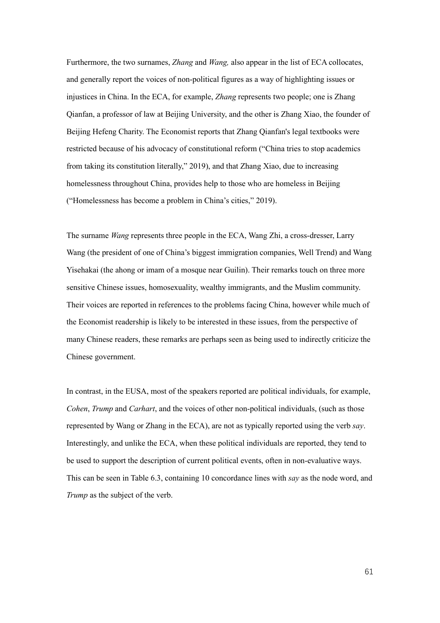Furthermore, the two surnames, *Zhang* and *Wang,* also appear in the list of ECA collocates, and generally report the voices of non-political figures as a way of highlighting issues or injustices in China. In the ECA, for example, *Zhang* represents two people; one is Zhang Qianfan, a professor of law at Beijing University, and the other is Zhang Xiao, the founder of Beijing Hefeng Charity. The Economist reports that Zhang Qianfan's legal textbooks were restricted because of his advocacy of constitutional reform ("China tries to stop academics from taking its constitution literally," 2019), and that Zhang Xiao, due to increasing homelessness throughout China, provides help to those who are homeless in Beijing ("Homelessness has become a problem in China's cities," 2019).

The surname *Wang* represents three people in the ECA, Wang Zhi, a cross-dresser, Larry Wang (the president of one of China's biggest immigration companies, Well Trend) and Wang Yisehakai (the ahong or imam of a mosque near Guilin). Their remarks touch on three more sensitive Chinese issues, homosexuality, wealthy immigrants, and the Muslim community. Their voices are reported in references to the problems facing China, however while much of the Economist readership is likely to be interested in these issues, from the perspective of many Chinese readers, these remarks are perhaps seen as being used to indirectly criticize the Chinese government.

In contrast, in the EUSA, most of the speakers reported are political individuals, for example, *Cohen*, *Trump* and *Carhart*, and the voices of other non-political individuals, (such as those represented by Wang or Zhang in the ECA), are not as typically reported using the verb *say*. Interestingly, and unlike the ECA, when these political individuals are reported, they tend to be used to support the description of current political events, often in non-evaluative ways. This can be seen in Table 6.3, containing 10 concordance lines with *say* as the node word, and *Trump* as the subject of the verb.

61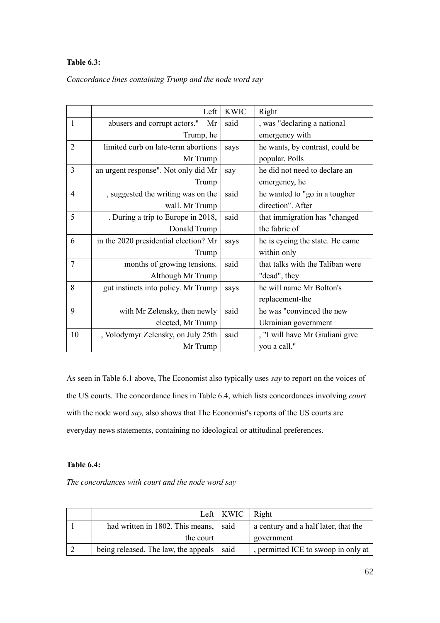# **Table 6.3:**

*Concordance lines containing Trump and the node word say*

|                | Left                                  | <b>KWIC</b> | Right                            |
|----------------|---------------------------------------|-------------|----------------------------------|
| 1              | abusers and corrupt actors."<br>Mr    | said        | , was "declaring a national      |
|                | Trump, he                             |             | emergency with                   |
| $\overline{2}$ | limited curb on late-term abortions   | says        | he wants, by contrast, could be  |
|                | Mr Trump                              |             | popular. Polls                   |
| 3              | an urgent response". Not only did Mr  | say         | he did not need to declare an    |
|                | Trump                                 |             | emergency, he                    |
| $\overline{4}$ | , suggested the writing was on the    | said        | he wanted to "go in a tougher    |
|                | wall. Mr Trump                        |             | direction". After                |
| 5              | . During a trip to Europe in 2018,    | said        | that immigration has "changed    |
|                | Donald Trump                          |             | the fabric of                    |
| 6              | in the 2020 presidential election? Mr | says        | he is eyeing the state. He came  |
|                | Trump                                 |             | within only                      |
| $\overline{7}$ | months of growing tensions.           | said        | that talks with the Taliban were |
|                | Although Mr Trump                     |             | "dead", they                     |
| 8              | gut instincts into policy. Mr Trump   | says        | he will name Mr Bolton's         |
|                |                                       |             | replacement-the                  |
| 9              | with Mr Zelensky, then newly          | said        | he was "convinced the new        |
|                | elected, Mr Trump                     |             | Ukrainian government             |
| 10             | , Volodymyr Zelensky, on July 25th    | said        | , "I will have Mr Giuliani give  |
|                | Mr Trump                              |             | you a call."                     |

As seen in Table 6.1 above, The Economist also typically uses *say* to report on the voices of the US courts. The concordance lines in Table 6.4, which lists concordances involving *court* with the node word *say,* also shows that The Economist's reports of the US courts are everyday news statements, containing no ideological or attitudinal preferences.

## **Table 6.4:**

*The concordances with court and the node word say*

|                                             | Left   $KWIC$   Right |                                      |
|---------------------------------------------|-----------------------|--------------------------------------|
| had written in 1802. This means, said       |                       | a century and a half later, that the |
| the court                                   |                       | government                           |
| being released. The law, the appeals   said |                       | , permitted ICE to swoop in only at  |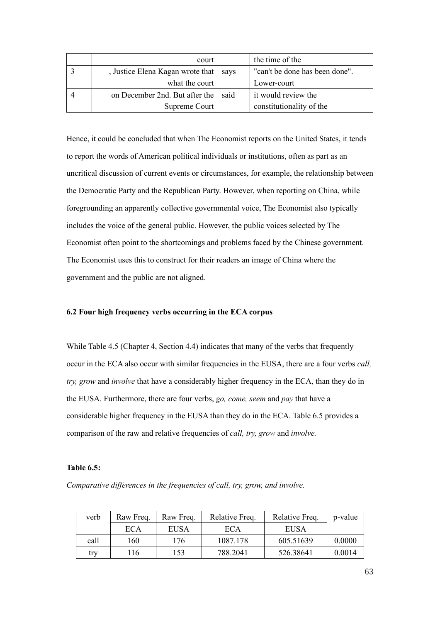| court                                   | the time of the                |
|-----------------------------------------|--------------------------------|
| , Justice Elena Kagan wrote that   says | "can't be done has been done". |
| what the court                          | Lower-court                    |
| on December 2nd. But after the said     | it would review the            |
| Supreme Court                           | constitutionality of the       |

Hence, it could be concluded that when The Economist reports on the United States, it tends to report the words of American political individuals or institutions, often as part as an uncritical discussion of current events or circumstances, for example, the relationship between the Democratic Party and the Republican Party. However, when reporting on China, while foregrounding an apparently collective governmental voice, The Economist also typically includes the voice of the general public. However, the public voices selected by The Economist often point to the shortcomings and problems faced by the Chinese government. The Economist uses this to construct for their readers an image of China where the government and the public are not aligned.

## **6.2 Four high frequency verbs occurring in the ECA corpus**

While Table 4.5 (Chapter 4, Section 4.4) indicates that many of the verbs that frequently occur in the ECA also occur with similar frequencies in the EUSA, there are a four verbs *call, try, grow* and *involve* that have a considerably higher frequency in the ECA, than they do in the EUSA. Furthermore, there are four verbs, *go, come, seem* and *pay* that have a considerable higher frequency in the EUSA than they do in the ECA. Table 6.5 provides a comparison of the raw and relative frequencies of *call, try, grow* and *involve.*

#### **Table 6.5:**

*Comparative differences in the frequencies of call, try, grow, and involve.*

| verb | Raw Freq. | Raw Freq.   | Relative Freq. | Relative Freq. | p-value |
|------|-----------|-------------|----------------|----------------|---------|
|      | ECA       | <b>EUSA</b> | ECA            | <b>EUSA</b>    |         |
| call | 160       | 176         | 1087.178       | 605.51639      | 0.0000  |
| try  | 116       | 153         | 788.2041       | 526.38641      | 0.0014  |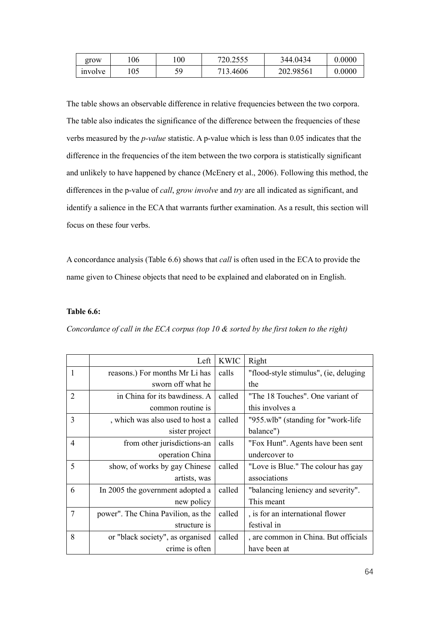| grow    | ' 06 | 00 | 720.2555 | 344.0434  | 0.0000 |
|---------|------|----|----------|-----------|--------|
| involve | l 05 | 59 | 713.4606 | 202.98561 | 0.0000 |

The table shows an observable difference in relative frequencies between the two corpora. The table also indicates the significance of the difference between the frequencies of these verbs measured by the *p-value* statistic. A p-value which is less than 0.05 indicates that the difference in the frequencies of the item between the two corpora is statistically significant and unlikely to have happened by chance (McEnery et al., 2006). Following this method, the differences in the p-value of *call*, *grow involve* and *try* are all indicated as significant, and identify a salience in the ECA that warrants further examination. As a result, this section will focus on these four verbs.

A concordance analysis (Table 6.6) shows that *call* is often used in the ECA to provide the name given to Chinese objects that need to be explained and elaborated on in English.

## **Table 6.6:**

*Concordance of call in the ECA corpus (top 10 & sorted by the first token to the right)*

|                | Left                               | <b>KWIC</b> | Right                                 |
|----------------|------------------------------------|-------------|---------------------------------------|
|                | reasons.) For months Mr Li has     | calls       | "flood-style stimulus", (ie, deluging |
|                | sworn off what he                  |             | the                                   |
| $\overline{2}$ | in China for its bawdiness. A      | called      | "The 18 Touches". One variant of      |
|                | common routine is                  |             | this involves a                       |
| $\overline{3}$ | , which was also used to host a    | called      | "955.wlb" (standing for "work-life"   |
|                | sister project                     |             | balance")                             |
| $\overline{4}$ | from other jurisdictions-an        | calls       | "Fox Hunt". Agents have been sent     |
|                | operation China                    |             | undercover to                         |
| 5              | show, of works by gay Chinese      | called      | "Love is Blue." The colour has gay    |
|                | artists, was                       |             | associations                          |
| 6              | In 2005 the government adopted a   | called      | "balancing leniency and severity".    |
|                | new policy                         |             | This meant                            |
| $\overline{7}$ | power". The China Pavilion, as the | called      | , is for an international flower      |
|                | structure is                       |             | festival in                           |
| 8              | or "black society", as organised   | called      | , are common in China. But officials  |
|                | crime is often                     |             | have been at                          |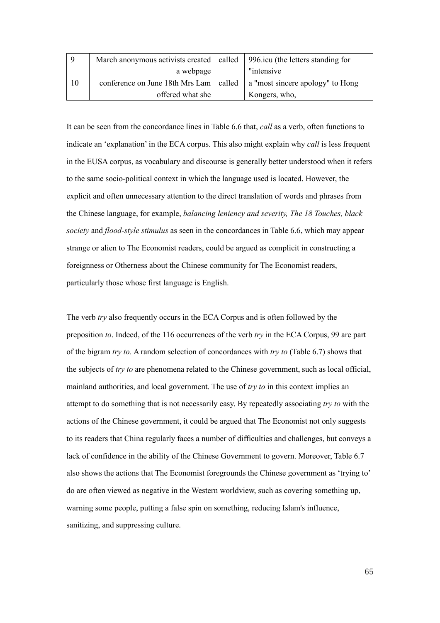| . 9 | March anonymous activists created   called   996.icu (the letters standing for          |               |
|-----|-----------------------------------------------------------------------------------------|---------------|
|     | a webpage                                                                               | "intensive"   |
| 10  | conference on June 18th Mrs Lam $\vert$ called $\vert$ a "most sincere apology" to Hong |               |
|     | offered what she                                                                        | Kongers, who, |

It can be seen from the concordance lines in Table 6.6 that, *call* as a verb, often functions to indicate an 'explanation' in the ECA corpus. This also might explain why *call* is less frequent in the EUSA corpus, as vocabulary and discourse is generally better understood when it refers to the same socio-political context in which the language used is located. However, the explicit and often unnecessary attention to the direct translation of words and phrases from the Chinese language, for example, *balancing leniency and severity, The 18 Touches, black society* and *flood-style stimulus* as seen in the concordances in Table 6.6, which may appear strange or alien to The Economist readers, could be argued as complicit in constructing a foreignness or Otherness about the Chinese community for The Economist readers, particularly those whose first language is English.

The verb *try* also frequently occurs in the ECA Corpus and is often followed by the preposition *to*. Indeed, of the 116 occurrences of the verb *try* in the ECA Corpus, 99 are part of the bigram *try to.* A random selection of concordances with *try to* (Table 6.7) shows that the subjects of *try to* are phenomena related to the Chinese government, such as local official, mainland authorities, and local government. The use of *try to* in this context implies an attempt to do something that is not necessarily easy. By repeatedly associating *try to* with the actions of the Chinese government, it could be argued that The Economist not only suggests to its readers that China regularly faces a number of difficulties and challenges, but conveys a lack of confidence in the ability of the Chinese Government to govern. Moreover, Table 6.7 also shows the actions that The Economist foregrounds the Chinese government as 'trying to' do are often viewed as negative in the Western worldview, such as covering something up, warning some people, putting a false spin on something, reducing Islam's influence, sanitizing, and suppressing culture.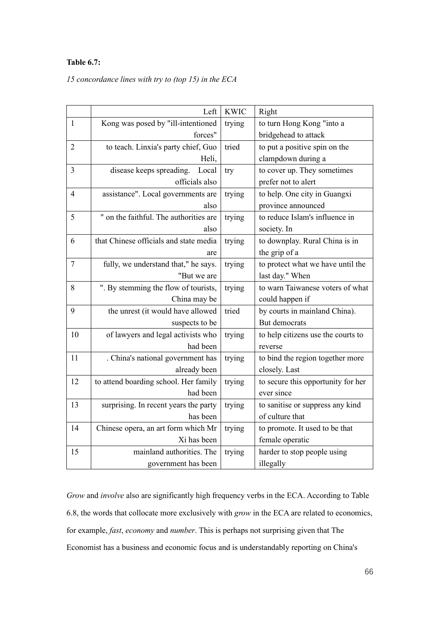# **Table 6.7:**

## *15 concordance lines with try to (top 15) in the ECA*

|                | Left                                   | <b>KWIC</b> | Right                              |
|----------------|----------------------------------------|-------------|------------------------------------|
| $\mathbf{1}$   | Kong was posed by "ill-intentioned     | trying      | to turn Hong Kong "into a          |
|                | forces"                                |             | bridgehead to attack               |
| $\overline{2}$ | to teach. Linxia's party chief, Guo    | tried       | to put a positive spin on the      |
|                | Heli,                                  |             | clampdown during a                 |
| 3              | Local<br>disease keeps spreading.      | try         | to cover up. They sometimes        |
|                | officials also                         |             | prefer not to alert                |
| $\overline{4}$ | assistance". Local governments are     | trying      | to help. One city in Guangxi       |
|                | also                                   |             | province announced                 |
| 5              | " on the faithful. The authorities are | trying      | to reduce Islam's influence in     |
|                | also                                   |             | society. In                        |
| 6              | that Chinese officials and state media | trying      | to downplay. Rural China is in     |
|                | are                                    |             | the grip of a                      |
| 7              | fully, we understand that," he says.   | trying      | to protect what we have until the  |
|                | "But we are                            |             | last day." When                    |
| 8              | ". By stemming the flow of tourists,   | trying      | to warn Taiwanese voters of what   |
|                | China may be                           |             | could happen if                    |
| 9              | the unrest (it would have allowed      | tried       | by courts in mainland China).      |
|                | suspects to be                         |             | But democrats                      |
| 10             | of lawyers and legal activists who     | trying      | to help citizens use the courts to |
|                | had been                               |             | reverse                            |
| 11             | . China's national government has      | trying      | to bind the region together more   |
|                | already been                           |             | closely. Last                      |
| 12             | to attend boarding school. Her family  | trying      | to secure this opportunity for her |
|                | had been                               |             | ever since                         |
| 13             | surprising. In recent years the party  | trying      | to sanitise or suppress any kind   |
|                | has been                               |             | of culture that                    |
| 14             | Chinese opera, an art form which Mr    | trying      | to promote. It used to be that     |
|                | Xi has been                            |             | female operatic                    |
| 15             | mainland authorities. The              | trying      | harder to stop people using        |
|                | government has been                    |             | illegally                          |

*Grow* and *involve* also are significantly high frequency verbs in the ECA. According to Table 6.8, the words that collocate more exclusively with *grow* in the ECA are related to economics, for example, *fast*, *economy* and *number*. This is perhaps not surprising given that The Economist has a business and economic focus and is understandably reporting on China's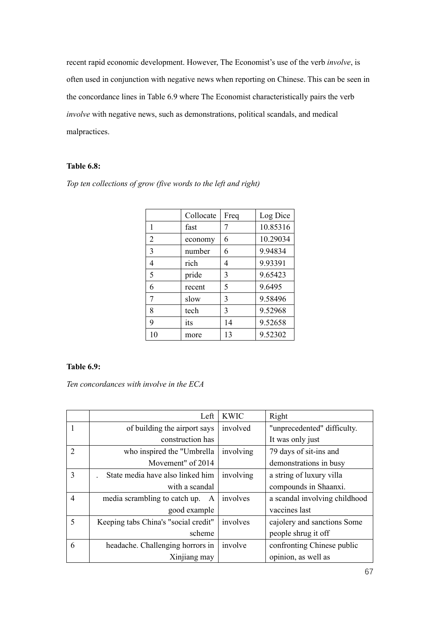recent rapid economic development. However, The Economist's use of the verb *involve*, is often used in conjunction with negative news when reporting on Chinese. This can be seen in the concordance lines in Table 6.9 where The Economist characteristically pairs the verb *involve* with negative news, such as demonstrations, political scandals, and medical malpractices.

## **Table 6.8:**

|                             | Collocate | Freq | Log Dice |
|-----------------------------|-----------|------|----------|
| 1                           | fast      |      | 10.85316 |
| $\mathcal{D}_{\mathcal{L}}$ | economy   | 6    | 10.29034 |
| 3                           | number    | 6    | 9.94834  |
| 4                           | rich      | 4    | 9.93391  |
| 5                           | pride     | 3    | 9.65423  |
| 6                           | recent    | 5    | 9.6495   |
| 7                           | slow      | 3    | 9.58496  |
| 8                           | tech      | 3    | 9.52968  |
| 9                           | its       | 14   | 9.52658  |
| 10                          | more      | 13   | 9.52302  |

*Top ten collections of grow (five words to the left and right)*

## **Table 6.9:**

*Ten concordances with involve in the ECA*

|                | Left                                 | <b>KWIC</b> | Right                         |
|----------------|--------------------------------------|-------------|-------------------------------|
|                | of building the airport says         | involved    | "unprecedented" difficulty.   |
|                | construction has                     |             | It was only just              |
| $\overline{2}$ | who inspired the "Umbrella           | involving   | 79 days of sit-ins and        |
|                | Movement" of 2014                    |             | demonstrations in busy        |
| 3              | State media have also linked him     | involving   | a string of luxury villa      |
|                | with a scandal                       |             | compounds in Shaanxi.         |
| $\overline{4}$ | media scrambling to catch up.<br>A   | involves    | a scandal involving childhood |
|                | good example                         |             | vaccines last                 |
| 5              | Keeping tabs China's "social credit" | involves    | cajolery and sanctions Some   |
|                | scheme                               |             | people shrug it off           |
| 6              | headache. Challenging horrors in     | involve     | confronting Chinese public    |
|                | Xinjiang may                         |             | opinion, as well as           |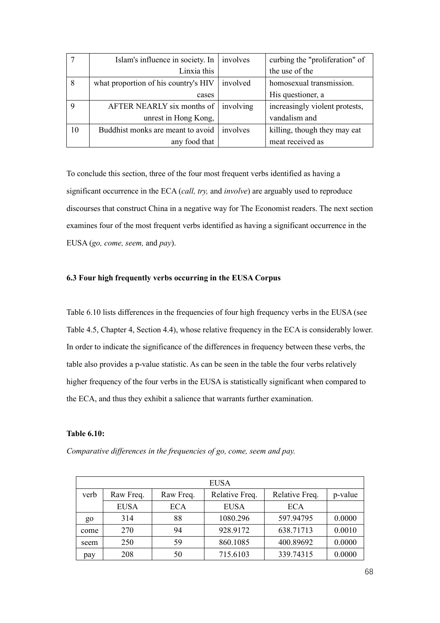|    | Islam's influence in society. In     | involves | curbing the "proliferation" of |
|----|--------------------------------------|----------|--------------------------------|
|    | Linxia this                          |          | the use of the                 |
| 8  | what proportion of his country's HIV | involved | homosexual transmission.       |
|    | cases                                |          | His questioner, a              |
|    | AFTER NEARLY six months of involving |          | increasingly violent protests, |
|    | unrest in Hong Kong,                 |          | vandalism and                  |
| 10 | Buddhist monks are meant to avoid    | involves | killing, though they may eat   |
|    | any food that                        |          | meat received as               |

To conclude this section, three of the four most frequent verbs identified as having a significant occurrence in the ECA (*call, try,* and *involve*) are arguably used to reproduce discourses that construct China in a negative way for The Economist readers. The next section examines four of the most frequent verbs identified as having a significant occurrence in the EUSA (*go, come, seem,* and *pay*).

## **6.3 Four high frequently verbs occurring in the EUSA Corpus**

Table 6.10 lists differences in the frequencies of four high frequency verbs in the EUSA (see Table 4.5, Chapter 4, Section 4.4), whose relative frequency in the ECA is considerably lower. In order to indicate the significance of the differences in frequency between these verbs, the table also provides a p-value statistic. As can be seen in the table the four verbs relatively higher frequency of the four verbs in the EUSA is statistically significant when compared to the ECA, and thus they exhibit a salience that warrants further examination.

## **Table 6.10:**

| Comparative differences in the frequencies of go, come, seem and pay. |  |  |  |
|-----------------------------------------------------------------------|--|--|--|
|-----------------------------------------------------------------------|--|--|--|

| <b>EUSA</b> |             |            |                |                |         |  |
|-------------|-------------|------------|----------------|----------------|---------|--|
| verb        | Raw Freq.   | Raw Freq.  | Relative Freq. | Relative Freq. | p-value |  |
|             | <b>EUSA</b> | <b>ECA</b> | <b>EUSA</b>    | <b>ECA</b>     |         |  |
| go          | 314         | 88         | 1080.296       | 597.94795      | 0.0000  |  |
| come        | 270         | 94         | 928.9172       | 638.71713      | 0.0010  |  |
| seem        | 250         | 59         | 860.1085       | 400.89692      | 0.0000  |  |
| pay         | 208         | 50         | 715.6103       | 339.74315      | 0.0000  |  |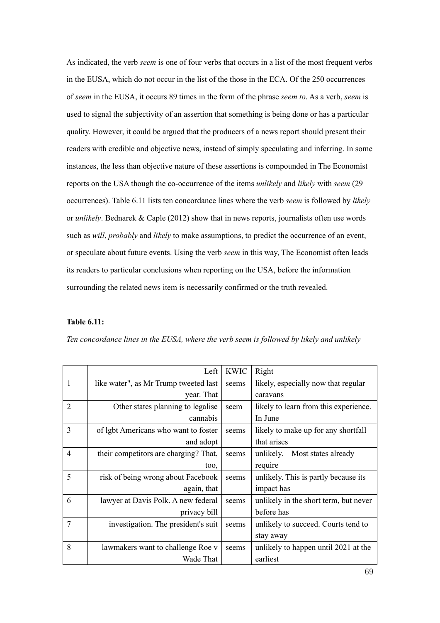As indicated, the verb *seem* is one of four verbs that occurs in a list of the most frequent verbs in the EUSA, which do not occur in the list of the those in the ECA. Of the 250 occurrences of *seem* in the EUSA, it occurs 89 times in the form of the phrase *seem to*. As a verb, *seem* is used to signal the subjectivity of an assertion that something is being done or has a particular quality. However, it could be argued that the producers of a news report should present their readers with credible and objective news, instead of simply speculating and inferring. In some instances, the less than objective nature of these assertions is compounded in The Economist reports on the USA though the co-occurrence of the items *unlikely* and *likely* with *seem* (29 occurrences). Table 6.11 lists ten concordance lines where the verb *seem* is followed by *likely* or *unlikely*. Bednarek & Caple (2012) show that in news reports, journalists often use words such as *will*, *probably* and *likely* to make assumptions, to predict the occurrence of an event, or speculate about future events. Using the verb *seem* in this way, The Economist often leads its readers to particular conclusions when reporting on the USA, before the information surrounding the related news item is necessarily confirmed or the truth revealed.

#### **Table 6.11:**

|                | Left                                  | <b>KWIC</b> | Right                                 |
|----------------|---------------------------------------|-------------|---------------------------------------|
|                | like water", as Mr Trump tweeted last | seems       | likely, especially now that regular   |
|                | year. That                            |             | caravans                              |
| $\overline{2}$ | Other states planning to legalise     | seem        | likely to learn from this experience. |
|                | cannabis                              |             | In June                               |
| $\overline{3}$ | of lgbt Americans who want to foster  | seems       | likely to make up for any shortfall   |
|                | and adopt                             |             | that arises                           |
| $\overline{4}$ | their competitors are charging? That, | seems       | unlikely.<br>Most states already      |
|                | too,                                  |             | require                               |
| 5              | risk of being wrong about Facebook    | seems       | unlikely. This is partly because its  |
|                | again, that                           |             | impact has                            |
| 6              | lawyer at Davis Polk. A new federal   | seems       | unlikely in the short term, but never |
|                | privacy bill                          |             | before has                            |
| 7              | investigation. The president's suit   | seems       | unlikely to succeed. Courts tend to   |
|                |                                       |             | stay away                             |
| 8              | lawmakers want to challenge Roe v     | seems       | unlikely to happen until 2021 at the  |
|                | Wade That                             |             | earliest                              |

*Ten concordance lines in the EUSA, where the verb seem is followed by likely and unlikely*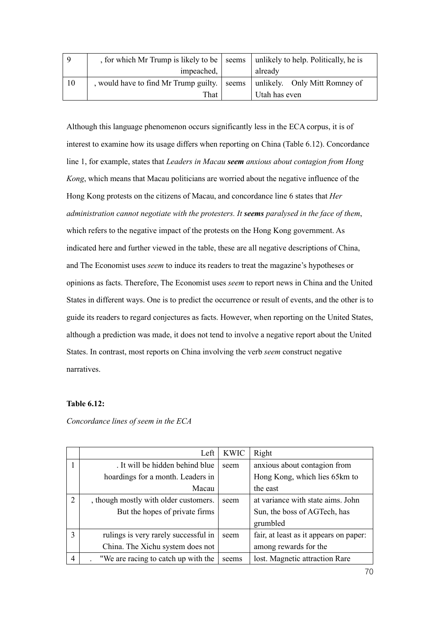|    | , for which Mr Trump is likely to be seems |  | unlikely to help. Politically, he is |  |
|----|--------------------------------------------|--|--------------------------------------|--|
|    | impeached,                                 |  | already                              |  |
| 10 | would have to find Mr Trump guilty. Seems  |  | unlikely. Only Mitt Romney of        |  |
|    | That                                       |  | Utah has even                        |  |

Although this language phenomenon occurs significantly less in the ECA corpus, it is of interest to examine how its usage differs when reporting on China (Table 6.12). Concordance line 1, for example, states that *Leaders in Macau seem anxious about contagion from Hong Kong*, which means that Macau politicians are worried about the negative influence of the Hong Kong protests on the citizens of Macau, and concordance line 6 states that *Her administration cannot negotiate with the protesters. It seems paralysed in the face of them*, which refers to the negative impact of the protests on the Hong Kong government. As indicated here and further viewed in the table, these are all negative descriptions of China, and The Economist uses *seem* to induce its readers to treat the magazine's hypotheses or opinions as facts. Therefore, The Economist uses *seem* to report news in China and the United States in different ways. One is to predict the occurrence or result of events, and the other is to guide its readers to regard conjectures as facts. However, when reporting on the United States, although a prediction was made, it does not tend to involve a negative report about the United States. In contrast, most reports on China involving the verb *seem* construct negative narratives.

#### **Table 6.12:**

*Concordance lines of seem in the ECA*

|               | Left                                  | <b>KWIC</b> | Right                                  |
|---------------|---------------------------------------|-------------|----------------------------------------|
|               | . It will be hidden behind blue       | seem        | anxious about contagion from           |
|               | hoardings for a month. Leaders in     |             | Hong Kong, which lies 65km to          |
|               | Macau                                 |             | the east                               |
| $\mathcal{D}$ | , though mostly with older customers. | seem        | at variance with state aims. John      |
|               | But the hopes of private firms        |             | Sun, the boss of AGTech, has           |
|               |                                       |             | grumbled                               |
| $\mathbf{3}$  | rulings is very rarely successful in  | seem        | fair, at least as it appears on paper: |
|               | China. The Xichu system does not      |             | among rewards for the                  |
|               | "We are racing to catch up with the   | seems       | lost. Magnetic attraction Rare         |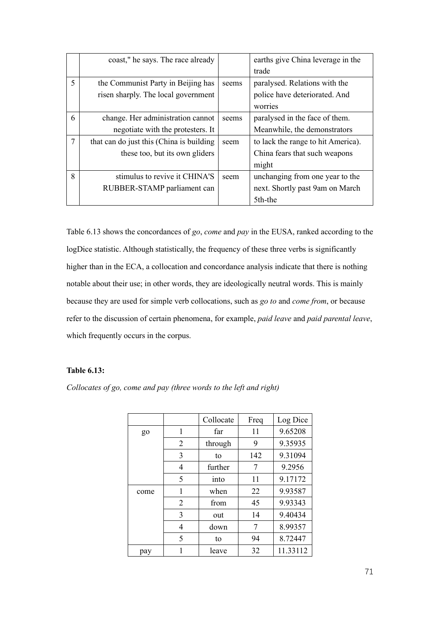|             | coast," he says. The race already        |       | earths give China leverage in the  |
|-------------|------------------------------------------|-------|------------------------------------|
|             |                                          |       | trade                              |
| $\varsigma$ | the Communist Party in Beijing has       | seems | paralysed. Relations with the      |
|             | risen sharply. The local government      |       | police have deteriorated. And      |
|             |                                          |       | worries                            |
| 6           | change. Her administration cannot        | seems | paralysed in the face of them.     |
|             | negotiate with the protesters. It        |       | Meanwhile, the demonstrators       |
| 7           | that can do just this (China is building | seem  | to lack the range to hit America). |
|             | these too, but its own gliders           |       | China fears that such weapons      |
|             |                                          |       | might                              |
| 8           | stimulus to revive it CHINA'S            | seem  | unchanging from one year to the    |
|             | RUBBER-STAMP parliament can              |       | next. Shortly past 9am on March    |
|             |                                          |       | 5th-the                            |

Table 6.13 shows the concordances of *go*, *come* and *pay* in the EUSA, ranked according to the logDice statistic. Although statistically, the frequency of these three verbs is significantly higher than in the ECA, a collocation and concordance analysis indicate that there is nothing notable about their use; in other words, they are ideologically neutral words. This is mainly because they are used for simple verb collocations, such as *go to* and *come from*, or because refer to the discussion of certain phenomena, for example, *paid leave* and *paid parental leave*, which frequently occurs in the corpus.

# **Table 6.13:**

*Collocates of go, come and pay (three words to the left and right)*

|      |   | Collocate | Freq | Log Dice |
|------|---|-----------|------|----------|
| go   | 1 | far       | 11   | 9.65208  |
|      | 2 | through   | 9    | 9.35935  |
|      | 3 | to        | 142  | 9.31094  |
|      | 4 | further   | 7    | 9.2956   |
|      | 5 | into      | 11   | 9.17172  |
| come | 1 | when      | 22   | 9.93587  |
|      | 2 | from      | 45   | 9.93343  |
|      | 3 | out       | 14   | 9.40434  |
|      | 4 | down      | 7    | 8.99357  |
|      | 5 | to        | 94   | 8.72447  |
| pay  |   | leave     | 32   | 11.33112 |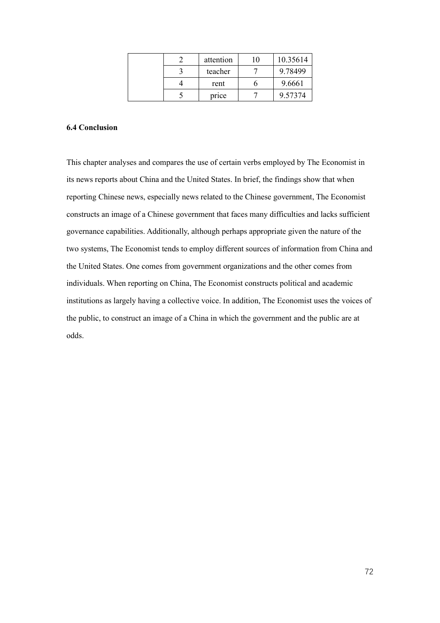|  | attention | 10 | 10.35614 |
|--|-----------|----|----------|
|  | teacher   |    | 9.78499  |
|  | rent      |    | 9.6661   |
|  | price     |    | 9.57374  |

## **6.4 Conclusion**

This chapter analyses and compares the use of certain verbs employed by The Economist in its news reports about China and the United States. In brief, the findings show that when reporting Chinese news, especially news related to the Chinese government, The Economist constructs an image of a Chinese government that faces many difficulties and lacks sufficient governance capabilities. Additionally, although perhaps appropriate given the nature of the two systems, The Economist tends to employ different sources of information from China and the United States. One comes from government organizations and the other comes from individuals. When reporting on China, The Economist constructs political and academic institutions as largely having a collective voice. In addition, The Economist uses the voices of the public, to construct an image of a China in which the government and the public are at odds.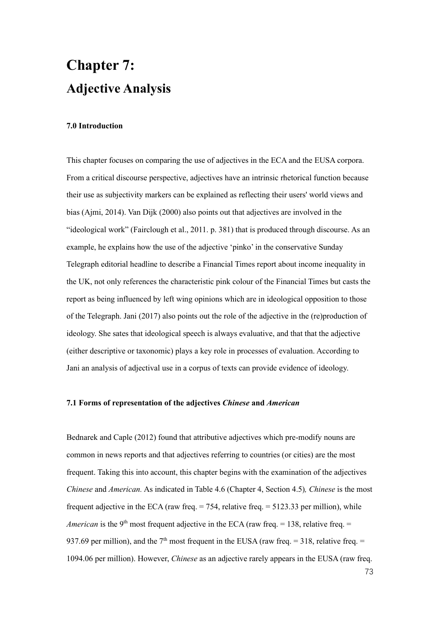# **Chapter 7: Adjective Analysis**

## **7.0 Introduction**

This chapter focuses on comparing the use of adjectives in the ECA and the EUSA corpora. From a critical discourse perspective, adjectives have an intrinsic rhetorical function because their use as subjectivity markers can be explained as reflecting their users' world views and bias (Ajmi, 2014). Van Dijk (2000) also points out that adjectives are involved in the "ideological work" (Fairclough et al., 2011. p. 381) that is produced through discourse. As an example, he explains how the use of the adjective 'pinko' in the conservative Sunday Telegraph editorial headline to describe a Financial Times report about income inequality in the UK, not only references the characteristic pink colour of the Financial Times but casts the report as being influenced by left wing opinions which are in ideological opposition to those of the Telegraph. Jani (2017) also points out the role of the adjective in the (re)production of ideology. She sates that ideological speech is always evaluative, and that that the adjective (either descriptive or taxonomic) plays a key role in processes of evaluation. According to Jani an analysis of adjectival use in a corpus of texts can provide evidence of ideology.

#### **7.1 Forms of representation of the adjectives** *Chinese* **and** *American*

Bednarek and Caple (2012) found that attributive adjectives which pre-modify nouns are common in news reports and that adjectives referring to countries (or cities) are the most frequent. Taking this into account, this chapter begins with the examination of the adjectives *Chinese* and *American.* As indicated in Table 4.6 (Chapter 4, Section 4.5)*, Chinese* is the most frequent adjective in the ECA (raw freq.  $= 754$ , relative freq.  $= 5123.33$  per million), while *American* is the 9<sup>th</sup> most frequent adjective in the ECA (raw freq.  $= 138$ , relative freq.  $=$ 937.69 per million), and the 7<sup>th</sup> most frequent in the EUSA (raw freq. = 318, relative freq. = 1094.06 per million). However, *Chinese* as an adjective rarely appears in the EUSA (raw freq.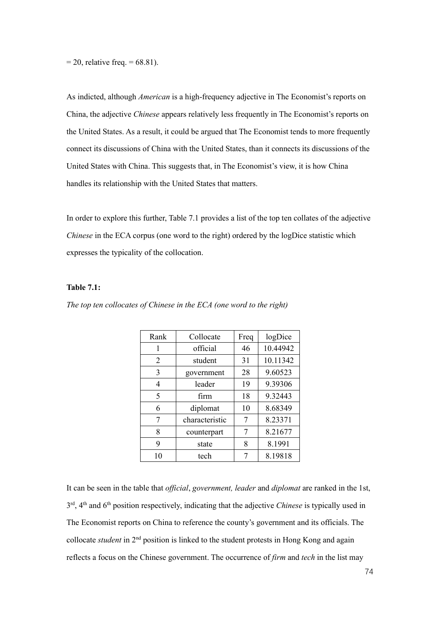$= 20$ , relative freq.  $= 68.81$ ).

As indicted, although *American* is a high-frequency adjective in The Economist's reports on China, the adjective *Chinese* appears relatively less frequently in The Economist's reports on the United States. As a result, it could be argued that The Economist tends to more frequently connect its discussions of China with the United States, than it connects its discussions of the United States with China. This suggests that, in The Economist's view, it is how China handles its relationship with the United States that matters.

In order to explore this further, Table 7.1 provides a list of the top ten collates of the adjective *Chinese* in the ECA corpus (one word to the right) ordered by the logDice statistic which expresses the typicality of the collocation.

# **Table 7.1:**

| Rank           | Collocate      | Freq | logDice  |
|----------------|----------------|------|----------|
| 1              | official       | 46   | 10.44942 |
| $\overline{2}$ | student        | 31   | 10.11342 |
| 3              | government     | 28   | 9.60523  |
| 4              | leader         | 19   | 9.39306  |
| 5              | firm           | 18   | 9.32443  |
| 6              | diplomat       | 10   | 8.68349  |
| 7              | characteristic | 7    | 8.23371  |
| 8              | counterpart    | 7    | 8.21677  |
| 9              | state          | 8    | 8.1991   |
| 10             | tech           | 7    | 8.19818  |

*The top ten collocates of Chinese in the ECA (one word to the right)*

It can be seen in the table that *official*, *government, leader* and *diplomat* are ranked in the 1st, 3rd, 4th and 6th position respectively, indicating that the adjective *Chinese* is typically used in The Economist reports on China to reference the county's government and its officials. The collocate *student* in 2nd position is linked to the student protests in Hong Kong and again reflects a focus on the Chinese government. The occurrence of *firm* and *tech* in the list may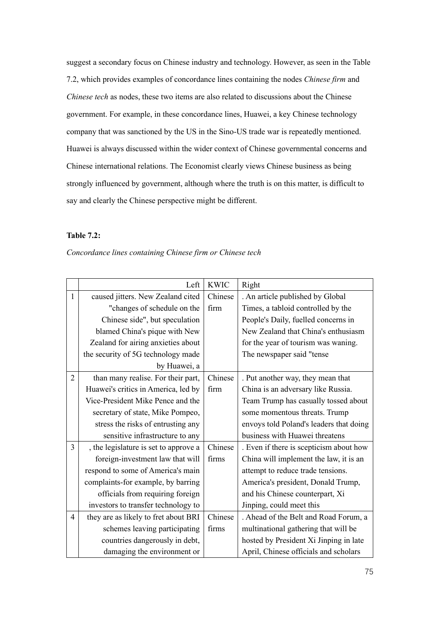suggest a secondary focus on Chinese industry and technology. However, as seen in the Table 7.2, which provides examples of concordance lines containing the nodes *Chinese firm* and *Chinese tech* as nodes, these two items are also related to discussions about the Chinese government. For example, in these concordance lines, Huawei, a key Chinese technology company that was sanctioned by the US in the Sino-US trade war is repeatedly mentioned. Huawei is always discussed within the wider context of Chinese governmental concerns and Chinese international relations. The Economist clearly views Chinese business as being strongly influenced by government, although where the truth is on this matter, is difficult to say and clearly the Chinese perspective might be different.

## **Table 7.2:**

## *Concordance lines containing Chinese firm or Chinese tech*

|                | Left                                  | <b>KWIC</b> | Right                                   |
|----------------|---------------------------------------|-------------|-----------------------------------------|
| 1              | caused jitters. New Zealand cited     | Chinese     | . An article published by Global        |
|                | "changes of schedule on the           | firm        | Times, a tabloid controlled by the      |
|                | Chinese side", but speculation        |             | People's Daily, fuelled concerns in     |
|                | blamed China's pique with New         |             | New Zealand that China's enthusiasm     |
|                | Zealand for airing anxieties about    |             | for the year of tourism was waning.     |
|                | the security of 5G technology made    |             | The newspaper said "tense               |
|                | by Huawei, a                          |             |                                         |
| $\overline{2}$ | than many realise. For their part,    | Chinese     | . Put another way, they mean that       |
|                | Huawei's critics in America, led by   | firm        | China is an adversary like Russia.      |
|                | Vice-President Mike Pence and the     |             | Team Trump has casually tossed about    |
|                | secretary of state, Mike Pompeo,      |             | some momentous threats. Trump           |
|                | stress the risks of entrusting any    |             | envoys told Poland's leaders that doing |
|                | sensitive infrastructure to any       |             | business with Huawei threatens          |
| 3              | , the legislature is set to approve a | Chinese     | . Even if there is scepticism about how |
|                | foreign-investment law that will      | firms       | China will implement the law, it is an  |
|                | respond to some of America's main     |             | attempt to reduce trade tensions.       |
|                | complaints-for example, by barring    |             | America's president, Donald Trump,      |
|                | officials from requiring foreign      |             | and his Chinese counterpart, Xi         |
|                | investors to transfer technology to   |             | Jinping, could meet this                |
| 4              | they are as likely to fret about BRI  | Chinese     | . Ahead of the Belt and Road Forum, a   |
|                | schemes leaving participating         | firms       | multinational gathering that will be    |
|                | countries dangerously in debt,        |             | hosted by President Xi Jinping in late  |
|                | damaging the environment or           |             | April, Chinese officials and scholars   |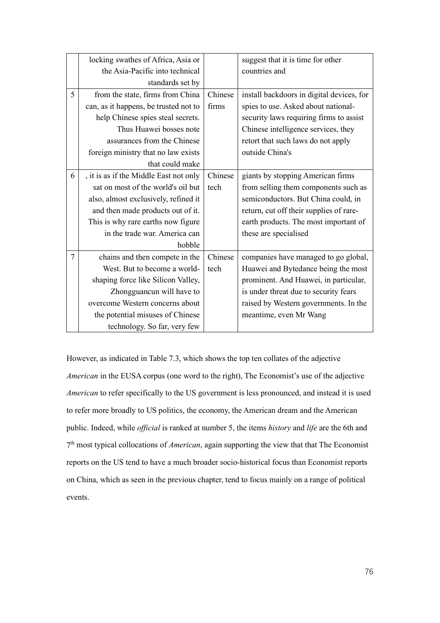|   | locking swathes of Africa, Asia or     |         | suggest that it is time for other         |
|---|----------------------------------------|---------|-------------------------------------------|
|   | the Asia-Pacific into technical        |         | countries and                             |
|   | standards set by                       |         |                                           |
| 5 | from the state, firms from China       | Chinese | install backdoors in digital devices, for |
|   | can, as it happens, be trusted not to  | firms   | spies to use. Asked about national-       |
|   | help Chinese spies steal secrets.      |         | security laws requiring firms to assist   |
|   | Thus Huawei bosses note                |         | Chinese intelligence services, they       |
|   | assurances from the Chinese            |         | retort that such laws do not apply        |
|   | foreign ministry that no law exists    |         | outside China's                           |
|   | that could make                        |         |                                           |
| 6 | , it is as if the Middle East not only | Chinese | giants by stopping American firms         |
|   | sat on most of the world's oil but     | tech    | from selling them components such as      |
|   | also, almost exclusively, refined it   |         | semiconductors. But China could, in       |
|   | and then made products out of it.      |         | return, cut off their supplies of rare-   |
|   | This is why rare earths now figure     |         | earth products. The most important of     |
|   | in the trade war. America can          |         | these are specialised                     |
|   | hobble                                 |         |                                           |
| 7 | chains and then compete in the         | Chinese | companies have managed to go global,      |
|   | West. But to become a world-           | tech    | Huawei and Bytedance being the most       |
|   | shaping force like Silicon Valley,     |         | prominent. And Huawei, in particular,     |
|   | Zhongguancun will have to              |         | is under threat due to security fears     |
|   | overcome Western concerns about        |         | raised by Western governments. In the     |
|   | the potential misuses of Chinese       |         | meantime, even Mr Wang                    |
|   | technology. So far, very few           |         |                                           |

However, as indicated in Table 7.3, which shows the top ten collates of the adjective *American* in the EUSA corpus (one word to the right), The Economist's use of the adjective *American* to refer specifically to the US government is less pronounced, and instead it is used to refer more broadly to US politics, the economy, the American dream and the American public. Indeed, while *official* is ranked at number 5, the items *history* and *life* are the 6th and 7th most typical collocations of *American*, again supporting the view that that The Economist reports on the US tend to have a much broader socio-historical focus than Economist reports on China, which as seen in the previous chapter, tend to focus mainly on a range of political events.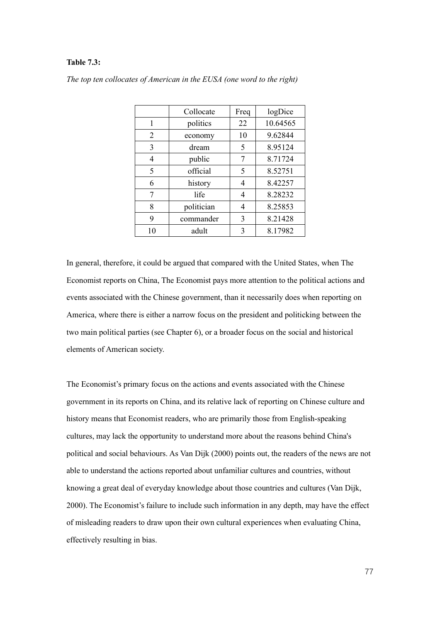### **Table 7.3:**

|    | Collocate  | Freq | logDice  |
|----|------------|------|----------|
| 1  | politics   | 22   | 10.64565 |
| 2  | economy    | 10   | 9.62844  |
| 3  | dream      | 5    | 8.95124  |
| 4  | public     | 7    | 8.71724  |
| 5  | official   | 5    | 8.52751  |
| 6  | history    | 4    | 8.42257  |
| 7  | life       | 4    | 8.28232  |
| 8  | politician | 4    | 8.25853  |
| 9  | commander  | 3    | 8.21428  |
| 10 | adult      | 3    | 8.17982  |

*The top ten collocates of American in the EUSA (one word to the right)*

In general, therefore, it could be argued that compared with the United States, when The Economist reports on China, The Economist pays more attention to the political actions and events associated with the Chinese government, than it necessarily does when reporting on America, where there is either a narrow focus on the president and politicking between the two main political parties (see Chapter 6), or a broader focus on the social and historical elements of American society.

The Economist's primary focus on the actions and events associated with the Chinese government in its reports on China, and its relative lack of reporting on Chinese culture and history means that Economist readers, who are primarily those from English-speaking cultures, may lack the opportunity to understand more about the reasons behind China's political and social behaviours. As Van Dijk (2000) points out, the readers of the news are not able to understand the actions reported about unfamiliar cultures and countries, without knowing a great deal of everyday knowledge about those countries and cultures (Van Dijk, 2000). The Economist's failure to include such information in any depth, may have the effect of misleading readers to draw upon their own cultural experiences when evaluating China, effectively resulting in bias.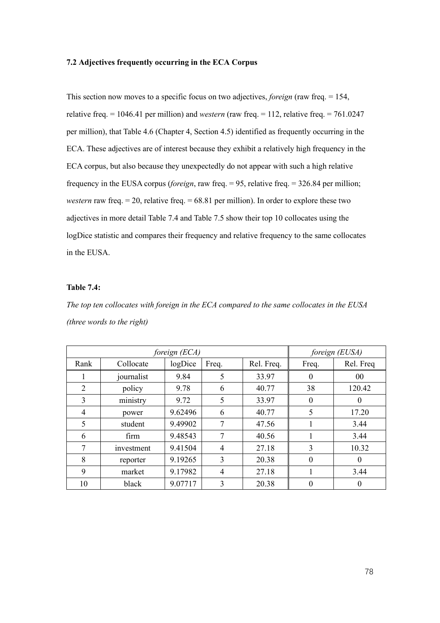## **7.2 Adjectives frequently occurring in the ECA Corpus**

This section now moves to a specific focus on two adjectives, *foreign* (raw freq. = 154, relative freq. = 1046.41 per million) and *western* (raw freq. = 112, relative freq. = 761.0247 per million), that Table 4.6 (Chapter 4, Section 4.5) identified as frequently occurring in the ECA. These adjectives are of interest because they exhibit a relatively high frequency in the ECA corpus, but also because they unexpectedly do not appear with such a high relative frequency in the EUSA corpus (*foreign*, raw freq. = 95, relative freq. = 326.84 per million; *western* raw freq.  $= 20$ , relative freq.  $= 68.81$  per million). In order to explore these two adjectives in more detail Table 7.4 and Table 7.5 show their top 10 collocates using the logDice statistic and compares their frequency and relative frequency to the same collocates in the EUSA.

# **Table 7.4:**

*The top ten collocates with foreign in the ECA compared to the same collocates in the EUSA (three words to the right)*

| foreign $(ECA)$ |            |         |                |            |          | foreign (EUSA) |
|-----------------|------------|---------|----------------|------------|----------|----------------|
| Rank            | Collocate  | logDice | Freq.          | Rel. Freq. | Freq.    | Rel. Freq      |
|                 | journalist | 9.84    | 5              | 33.97      | $\theta$ | 00             |
| 2               | policy     | 9.78    | 6              | 40.77      | 38       | 120.42         |
| 3               | ministry   | 9.72    | 5              | 33.97      | $\theta$ | $\Omega$       |
| 4               | power      | 9.62496 | 6              | 40.77      | 5        | 17.20          |
| 5               | student    | 9.49902 | 7              | 47.56      |          | 3.44           |
| 6               | firm       | 9.48543 | 7              | 40.56      |          | 3.44           |
| 7               | investment | 9.41504 | 4              | 27.18      | 3        | 10.32          |
| 8               | reporter   | 9.19265 | 3              | 20.38      | $\theta$ | $\Omega$       |
| 9               | market     | 9.17982 | $\overline{4}$ | 27.18      |          | 3.44           |
| 10              | black      | 9.07717 | 3              | 20.38      | 0        | $\theta$       |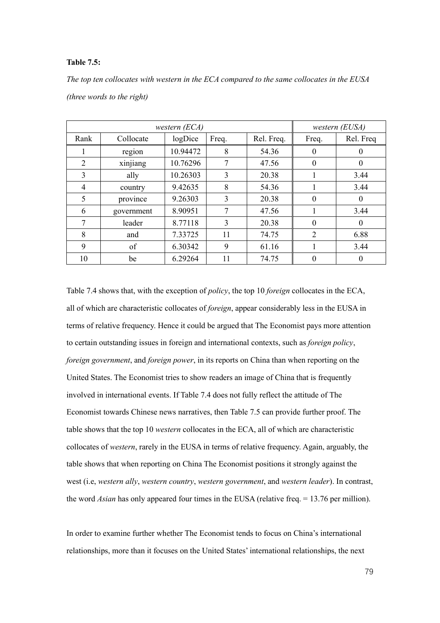## **Table 7.5:**

*The top ten collocates with western in the ECA compared to the same collocates in the EUSA (three words to the right)*

| western $(ECA)$ |            |          |       |            |          | western (EUSA) |
|-----------------|------------|----------|-------|------------|----------|----------------|
| Rank            | Collocate  | logDice  | Freq. | Rel. Freq. | Freq.    | Rel. Freq      |
|                 | region     | 10.94472 | 8     | 54.36      | $\theta$ |                |
| 2               | xinjiang   | 10.76296 | 7     | 47.56      | $\theta$ | $\theta$       |
| 3               | ally       | 10.26303 | 3     | 20.38      |          | 3.44           |
| 4               | country    | 9.42635  | 8     | 54.36      |          | 3.44           |
| 5               | province   | 9.26303  | 3     | 20.38      | $\theta$ | $\theta$       |
| 6               | government | 8.90951  |       | 47.56      |          | 3.44           |
| 7               | leader     | 8.77118  | 3     | 20.38      | $\Omega$ | $\theta$       |
| 8               | and        | 7.33725  | 11    | 74.75      | 2        | 6.88           |
| 9               | of         | 6.30342  | 9     | 61.16      |          | 3.44           |
| 10              | be         | 6.29264  | 11    | 74.75      | 0        | $\theta$       |

Table 7.4 shows that, with the exception of *policy*, the top 10 *foreign* collocates in the ECA, all of which are characteristic collocates of *foreign*, appear considerably less in the EUSA in terms of relative frequency. Hence it could be argued that The Economist pays more attention to certain outstanding issues in foreign and international contexts, such as *foreign policy*, *foreign government*, and *foreign power*, in its reports on China than when reporting on the United States. The Economist tries to show readers an image of China that is frequently involved in international events. If Table 7.4 does not fully reflect the attitude of The Economist towards Chinese news narratives, then Table 7.5 can provide further proof. The table shows that the top 10 *western* collocates in the ECA, all of which are characteristic collocates of *western*, rarely in the EUSA in terms of relative frequency. Again, arguably, the table shows that when reporting on China The Economist positions it strongly against the west (i.e, *western ally*, *western country*, *western government*, and *western leader*). In contrast, the word *Asian* has only appeared four times in the EUSA (relative freq. = 13.76 per million).

In order to examine further whether The Economist tends to focus on China's international relationships, more than it focuses on the United States' international relationships, the next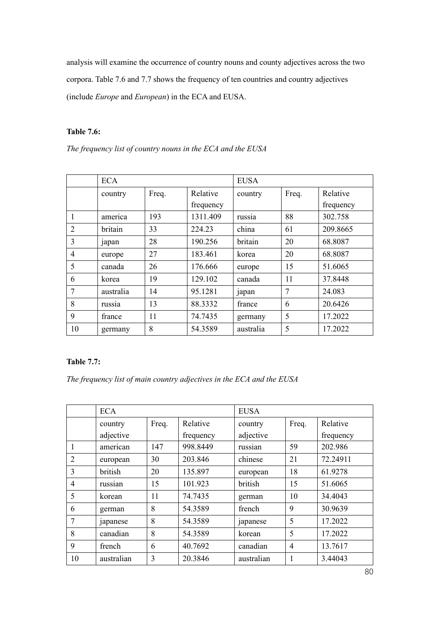analysis will examine the occurrence of country nouns and county adjectives across the two corpora. Table 7.6 and 7.7 shows the frequency of ten countries and country adjectives (include *Europe* and *European*) in the ECA and EUSA.

# **Table 7.6:**

*The frequency list of country nouns in the ECA and the EUSA*

|                | <b>ECA</b> |       |           | <b>EUSA</b> |       |           |
|----------------|------------|-------|-----------|-------------|-------|-----------|
|                | country    | Freq. | Relative  | country     | Freq. | Relative  |
|                |            |       | frequency |             |       | frequency |
| 1              | america    | 193   | 1311.409  | russia      | 88    | 302.758   |
| 2              | britain    | 33    | 224.23    | china       | 61    | 209.8665  |
| 3              | japan      | 28    | 190.256   | britain     | 20    | 68.8087   |
| $\overline{4}$ | europe     | 27    | 183.461   | korea       | 20    | 68.8087   |
| 5              | canada     | 26    | 176.666   | europe      | 15    | 51.6065   |
| 6              | korea      | 19    | 129.102   | canada      | 11    | 37.8448   |
| 7              | australia  | 14    | 95.1281   | japan       | 7     | 24.083    |
| 8              | russia     | 13    | 88.3332   | france      | 6     | 20.6426   |
| 9              | france     | 11    | 74.7435   | germany     | 5     | 17.2022   |
| 10             | germany    | 8     | 54.3589   | australia   | 5     | 17.2022   |

## **Table 7.7:**

*The frequency list of main country adjectives in the ECA and the EUSA*

|    | <b>ECA</b> |       |           | <b>EUSA</b> |                |           |
|----|------------|-------|-----------|-------------|----------------|-----------|
|    | country    | Freq. | Relative  | country     | Freq.          | Relative  |
|    | adjective  |       | frequency | adjective   |                | frequency |
|    | american   | 147   | 998.8449  | russian     | 59             | 202.986   |
| 2  | european   | 30    | 203.846   | chinese     | 21             | 72.24911  |
| 3  | british    | 20    | 135.897   | european    | 18             | 61.9278   |
| 4  | russian    | 15    | 101.923   | british     | 15             | 51.6065   |
| 5  | korean     | 11    | 74.7435   | german      | 10             | 34.4043   |
| 6  | german     | 8     | 54.3589   | french      | 9              | 30.9639   |
| 7  | japanese   | 8     | 54.3589   | japanese    | 5              | 17.2022   |
| 8  | canadian   | 8     | 54.3589   | korean      | 5              | 17.2022   |
| 9  | french     | 6     | 40.7692   | canadian    | $\overline{4}$ | 13.7617   |
| 10 | australian | 3     | 20.3846   | australian  |                | 3.44043   |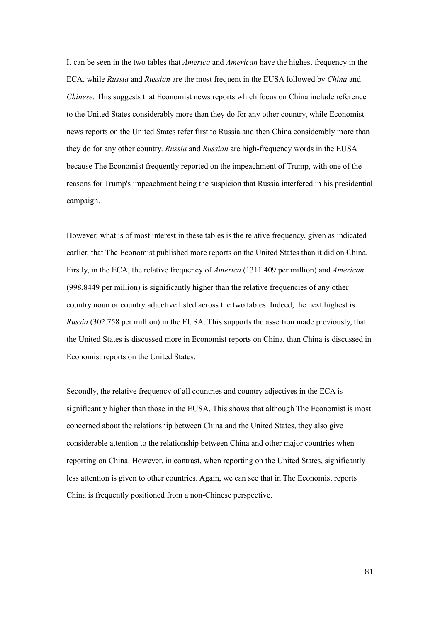It can be seen in the two tables that *America* and *American* have the highest frequency in the ECA, while *Russia* and *Russian* are the most frequent in the EUSA followed by *China* and *Chinese*. This suggests that Economist news reports which focus on China include reference to the United States considerably more than they do for any other country, while Economist news reports on the United States refer first to Russia and then China considerably more than they do for any other country. *Russia* and *Russian* are high-frequency words in the EUSA because The Economist frequently reported on the impeachment of Trump, with one of the reasons for Trump's impeachment being the suspicion that Russia interfered in his presidential campaign.

However, what is of most interest in these tables is the relative frequency, given as indicated earlier, that The Economist published more reports on the United States than it did on China. Firstly, in the ECA, the relative frequency of *America* (1311.409 per million) and *American* (998.8449 per million) is significantly higher than the relative frequencies of any other country noun or country adjective listed across the two tables. Indeed, the next highest is *Russia* (302.758 per million) in the EUSA. This supports the assertion made previously, that the United States is discussed more in Economist reports on China, than China is discussed in Economist reports on the United States.

Secondly, the relative frequency of all countries and country adjectives in the ECA is significantly higher than those in the EUSA. This shows that although The Economist is most concerned about the relationship between China and the United States, they also give considerable attention to the relationship between China and other major countries when reporting on China. However, in contrast, when reporting on the United States, significantly less attention is given to other countries. Again, we can see that in The Economist reports China is frequently positioned from a non-Chinese perspective.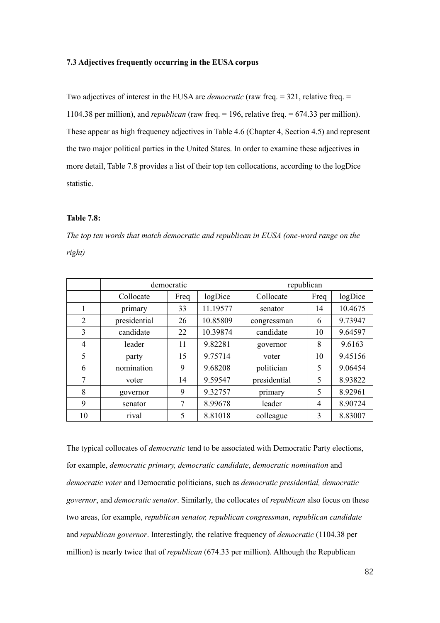### **7.3 Adjectives frequently occurring in the EUSA corpus**

Two adjectives of interest in the EUSA are *democratic* (raw freq. = 321, relative freq. = 1104.38 per million), and *republican* (raw freq. = 196, relative freq. = 674.33 per million). These appear as high frequency adjectives in Table 4.6 (Chapter 4, Section 4.5) and represent the two major political parties in the United States. In order to examine these adjectives in more detail, Table 7.8 provides a list of their top ten collocations, according to the logDice statistic.

#### **Table 7.8:**

*The top ten words that match democratic and republican in EUSA (one-word range on the right)*

|                | democratic   |      | republican |              |                |         |
|----------------|--------------|------|------------|--------------|----------------|---------|
|                | Collocate    | Freq | logDice    | Collocate    | Freq           | logDice |
| 1              | primary      | 33   | 11.19577   | senator      | 14             | 10.4675 |
| $\overline{2}$ | presidential | 26   | 10.85809   | congressman  | 6              | 9.73947 |
| 3              | candidate    | 22   | 10.39874   | candidate    | 10             | 9.64597 |
| $\overline{4}$ | leader       | 11   | 9.82281    | governor     | 8              | 9.6163  |
| 5              | party        | 15   | 9.75714    | voter        | 10             | 9.45156 |
| 6              | nomination   | 9    | 9.68208    | politician   | 5              | 9.06454 |
| 7              | voter        | 14   | 9.59547    | presidential | 5              | 8.93822 |
| 8              | governor     | 9    | 9.32757    | primary      | 5              | 8.92961 |
| 9              | senator      | 7    | 8.99678    | leader       | $\overline{4}$ | 8.90724 |
| 10             | rival        | 5    | 8.81018    | colleague    | 3              | 8.83007 |

The typical collocates of *democratic* tend to be associated with Democratic Party elections, for example, *democratic primary, democratic candidate*, *democratic nomination* and *democratic voter* and Democratic politicians, such as *democratic presidential, democratic governor*, and *democratic senator*. Similarly, the collocates of *republican* also focus on these two areas, for example, *republican senator, republican congressman*, *republican candidate*  and *republican governor*. Interestingly, the relative frequency of *democratic* (1104.38 per million) is nearly twice that of *republican* (674.33 per million). Although the Republican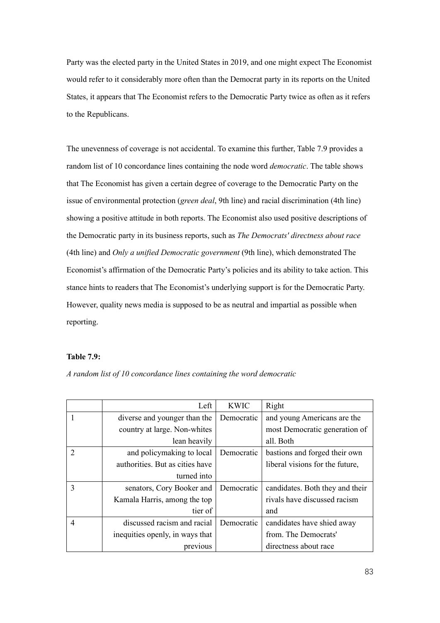Party was the elected party in the United States in 2019, and one might expect The Economist would refer to it considerably more often than the Democrat party in its reports on the United States, it appears that The Economist refers to the Democratic Party twice as often as it refers to the Republicans.

The unevenness of coverage is not accidental. To examine this further, Table 7.9 provides a random list of 10 concordance lines containing the node word *democratic*. The table shows that The Economist has given a certain degree of coverage to the Democratic Party on the issue of environmental protection (*green deal*, 9th line) and racial discrimination (4th line) showing a positive attitude in both reports. The Economist also used positive descriptions of the Democratic party in its business reports, such as *The Democrats' directness about race* (4th line) and *Only a unified Democratic government* (9th line), which demonstrated The Economist's affirmation of the Democratic Party's policies and its ability to take action. This stance hints to readers that The Economist's underlying support is for the Democratic Party. However, quality news media is supposed to be as neutral and impartial as possible when reporting.

## **Table 7.9:**

*A random list of 10 concordance lines containing the word democratic*

|                             | Left                            | <b>KWIC</b> | Right                           |
|-----------------------------|---------------------------------|-------------|---------------------------------|
|                             | diverse and younger than the    | Democratic  | and young Americans are the     |
|                             | country at large. Non-whites    |             | most Democratic generation of   |
|                             | lean heavily                    |             | all. Both                       |
| $\mathcal{D}_{\mathcal{L}}$ | and policymaking to local       | Democratic  | bastions and forged their own   |
|                             | authorities. But as cities have |             | liberal visions for the future, |
|                             | turned into                     |             |                                 |
| 3                           | senators, Cory Booker and       | Democratic  | candidates. Both they and their |
|                             | Kamala Harris, among the top    |             | rivals have discussed racism    |
|                             | tier of                         |             | and                             |
| $\overline{4}$              | discussed racism and racial     | Democratic  | candidates have shied away      |
|                             | inequities openly, in ways that |             | from. The Democrats'            |
|                             | previous                        |             | directness about race           |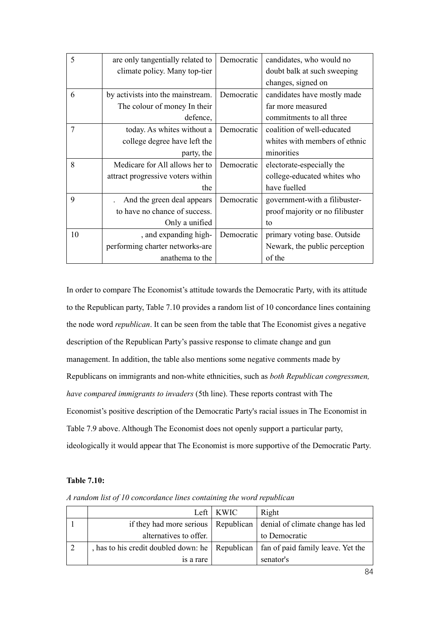| 5              | are only tangentially related to  | Democratic | candidates, who would no        |
|----------------|-----------------------------------|------------|---------------------------------|
|                | climate policy. Many top-tier     |            | doubt balk at such sweeping     |
|                |                                   |            | changes, signed on              |
| 6              | by activists into the mainstream. | Democratic | candidates have mostly made     |
|                | The colour of money In their      |            | far more measured               |
|                | defence,                          |            | commitments to all three        |
| $\overline{7}$ | today. As whites without a        | Democratic | coalition of well-educated      |
|                | college degree have left the      |            | whites with members of ethnic   |
|                | party, the                        |            | minorities                      |
| 8              | Medicare for All allows her to    | Democratic | electorate-especially the       |
|                | attract progressive voters within |            | college-educated whites who     |
|                | the                               |            | have fuelled                    |
| 9              | And the green deal appears        | Democratic | government-with a filibuster-   |
|                | to have no chance of success.     |            | proof majority or no filibuster |
|                | Only a unified                    |            | to                              |
| 10             | , and expanding high-             | Democratic | primary voting base. Outside    |
|                | performing charter networks-are   |            | Newark, the public perception   |
|                | anathema to the                   |            | of the                          |

In order to compare The Economist's attitude towards the Democratic Party, with its attitude to the Republican party, Table 7.10 provides a random list of 10 concordance lines containing the node word *republican*. It can be seen from the table that The Economist gives a negative description of the Republican Party's passive response to climate change and gun management. In addition, the table also mentions some negative comments made by Republicans on immigrants and non-white ethnicities, such as *both Republican congressmen, have compared immigrants to invaders* (5th line). These reports contrast with The Economist's positive description of the Democratic Party's racial issues in The Economist in Table 7.9 above. Although The Economist does not openly support a particular party, ideologically it would appear that The Economist is more supportive of the Democratic Party.

## **Table 7.10:**

|  |  |  |  |  | A random list of 10 concordance lines containing the word republican |  |  |  |  |  |  |
|--|--|--|--|--|----------------------------------------------------------------------|--|--|--|--|--|--|
|--|--|--|--|--|----------------------------------------------------------------------|--|--|--|--|--|--|

|                                                                                       | Left   KWIC | Right                                                                    |  |
|---------------------------------------------------------------------------------------|-------------|--------------------------------------------------------------------------|--|
|                                                                                       |             | if they had more serious   Republican   denial of climate change has led |  |
| alternatives to offer.                                                                |             | to Democratic                                                            |  |
| , has to his credit doubled down: he   Republican   fan of paid family leave. Yet the |             |                                                                          |  |
| is a rare                                                                             |             | senator's                                                                |  |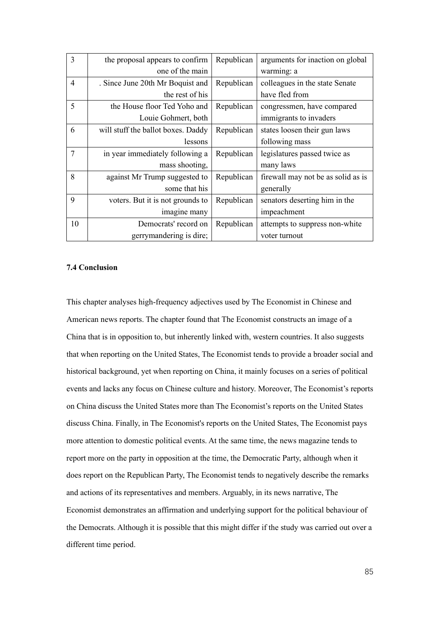| $\overline{3}$ | the proposal appears to confirm    | Republican | arguments for inaction on global   |
|----------------|------------------------------------|------------|------------------------------------|
|                | one of the main                    |            | warming: a                         |
| $\overline{4}$ | . Since June 20th Mr Boquist and   | Republican | colleagues in the state Senate     |
|                | the rest of his                    |            | have fled from                     |
| 5              | the House floor Ted Yoho and       | Republican | congressmen, have compared         |
|                | Louie Gohmert, both                |            | immigrants to invaders             |
| 6              | will stuff the ballot boxes. Daddy | Republican | states loosen their gun laws       |
|                | lessons                            |            | following mass                     |
| 7              | in year immediately following a    | Republican | legislatures passed twice as       |
|                | mass shooting,                     |            | many laws                          |
| 8              | against Mr Trump suggested to      | Republican | firewall may not be as solid as is |
|                | some that his                      |            | generally                          |
| 9              | voters. But it is not grounds to   | Republican | senators deserting him in the      |
|                | imagine many                       |            | impeachment                        |
| 10             | Democrats' record on               | Republican | attempts to suppress non-white     |
|                | gerrymandering is dire;            |            | voter turnout                      |

#### **7.4 Conclusion**

This chapter analyses high-frequency adjectives used by The Economist in Chinese and American news reports. The chapter found that The Economist constructs an image of a China that is in opposition to, but inherently linked with, western countries. It also suggests that when reporting on the United States, The Economist tends to provide a broader social and historical background, yet when reporting on China, it mainly focuses on a series of political events and lacks any focus on Chinese culture and history. Moreover, The Economist's reports on China discuss the United States more than The Economist's reports on the United States discuss China. Finally, in The Economist's reports on the United States, The Economist pays more attention to domestic political events. At the same time, the news magazine tends to report more on the party in opposition at the time, the Democratic Party, although when it does report on the Republican Party, The Economist tends to negatively describe the remarks and actions of its representatives and members. Arguably, in its news narrative, The Economist demonstrates an affirmation and underlying support for the political behaviour of the Democrats. Although it is possible that this might differ if the study was carried out over a different time period.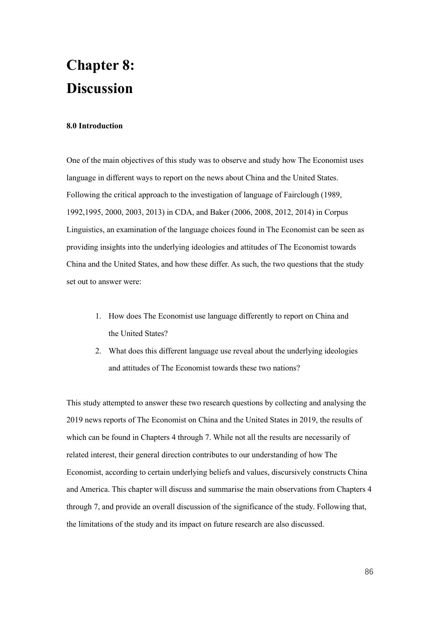# **Chapter 8: Discussion**

## **8.0 Introduction**

One of the main objectives of this study was to observe and study how The Economist uses language in different ways to report on the news about China and the United States. Following the critical approach to the investigation of language of Fairclough (1989, 1992,1995, 2000, 2003, 2013) in CDA, and Baker (2006, 2008, 2012, 2014) in Corpus Linguistics, an examination of the language choices found in The Economist can be seen as providing insights into the underlying ideologies and attitudes of The Economist towards China and the United States, and how these differ. As such, the two questions that the study set out to answer were:

- 1. How does The Economist use language differently to report on China and the United States?
- 2. What does this different language use reveal about the underlying ideologies and attitudes of The Economist towards these two nations?

This study attempted to answer these two research questions by collecting and analysing the 2019 news reports of The Economist on China and the United States in 2019, the results of which can be found in Chapters 4 through 7. While not all the results are necessarily of related interest, their general direction contributes to our understanding of how The Economist, according to certain underlying beliefs and values, discursively constructs China and America. This chapter will discuss and summarise the main observations from Chapters 4 through 7, and provide an overall discussion of the significance of the study. Following that, the limitations of the study and its impact on future research are also discussed.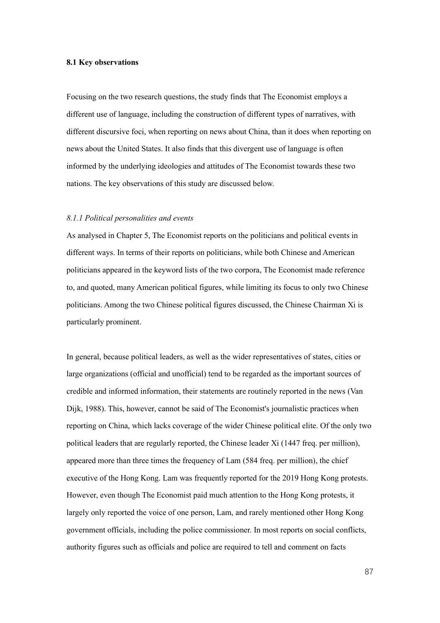#### **8.1 Key observations**

Focusing on the two research questions, the study finds that The Economist employs a different use of language, including the construction of different types of narratives, with different discursive foci, when reporting on news about China, than it does when reporting on news about the United States. It also finds that this divergent use of language is often informed by the underlying ideologies and attitudes of The Economist towards these two nations. The key observations of this study are discussed below.

#### *8.1.1 Political personalities and events*

As analysed in Chapter 5, The Economist reports on the politicians and political events in different ways. In terms of their reports on politicians, while both Chinese and American politicians appeared in the keyword lists of the two corpora, The Economist made reference to, and quoted, many American political figures, while limiting its focus to only two Chinese politicians. Among the two Chinese political figures discussed, the Chinese Chairman Xi is particularly prominent.

In general, because political leaders, as well as the wider representatives of states, cities or large organizations (official and unofficial) tend to be regarded as the important sources of credible and informed information, their statements are routinely reported in the news (Van Dijk, 1988). This, however, cannot be said of The Economist's journalistic practices when reporting on China, which lacks coverage of the wider Chinese political elite. Of the only two political leaders that are regularly reported, the Chinese leader Xi (1447 freq. per million), appeared more than three times the frequency of Lam (584 freq. per million), the chief executive of the Hong Kong. Lam was frequently reported for the 2019 Hong Kong protests. However, even though The Economist paid much attention to the Hong Kong protests, it largely only reported the voice of one person, Lam, and rarely mentioned other Hong Kong government officials, including the police commissioner. In most reports on social conflicts, authority figures such as officials and police are required to tell and comment on facts

87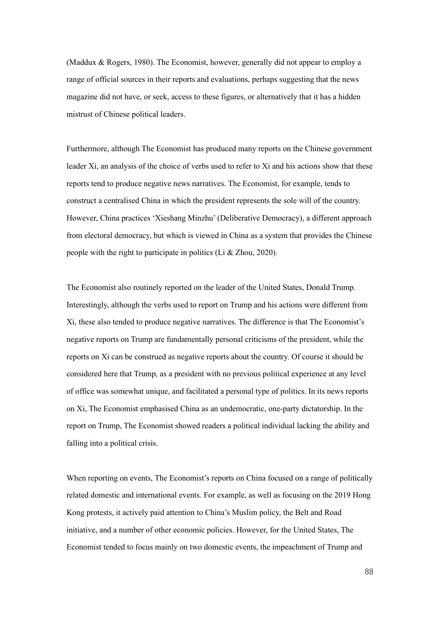(Maddux & Rogers, 1980). The Economist, however, generally did not appear to employ a range of official sources in their reports and evaluations, perhaps suggesting that the news magazine did not have, or seek, access to these figures, or alternatively that it has a hidden mistrust of Chinese political leaders.

Furthermore, although The Economist has produced many reports on the Chinese government leader Xi, an analysis of the choice of verbs used to refer to Xi and his actions show that these reports tend to produce negative news narratives. The Economist, for example, tends to construct a centralised China in which the president represents the sole will of the country. However, China practices 'Xieshang Minzhu' (Deliberative Democracy), a different approach from electoral democracy, but which is viewed in China as a system that provides the Chinese people with the right to participate in politics (Li & Zhou, 2020).

The Economist also routinely reported on the leader of the United States, Donald Trump. Interestingly, although the verbs used to report on Trump and his actions were different from Xi, these also tended to produce negative narratives. The difference is that The Economist's negative reports on Trump are fundamentally personal criticisms of the president, while the reports on Xi can be construed as negative reports about the country. Of course it should be considered here that Trump, as a president with no previous political experience at any level of office was somewhat unique, and facilitated a personal type of politics. In its news reports on Xi, The Economist emphasised China as an undemocratic, one-party dictatorship. In the report on Trump, The Economist showed readers a political individual lacking the ability and falling into a political crisis.

When reporting on events, The Economist's reports on China focused on a range of politically related domestic and international events. For example, as well as focusing on the 2019 Hong Kong protests, it actively paid attention to China's Muslim policy, the Belt and Road initiative, and a number of other economic policies. However, for the United States, The Economist tended to focus mainly on two domestic events, the impeachment of Trump and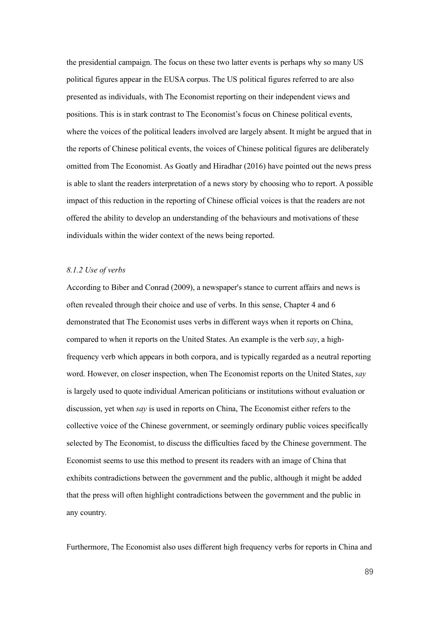the presidential campaign. The focus on these two latter events is perhaps why so many US political figures appear in the EUSA corpus. The US political figures referred to are also presented as individuals, with The Economist reporting on their independent views and positions. This is in stark contrast to The Economist's focus on Chinese political events, where the voices of the political leaders involved are largely absent. It might be argued that in the reports of Chinese political events, the voices of Chinese political figures are deliberately omitted from The Economist. As Goatly and Hiradhar (2016) have pointed out the news press is able to slant the readers interpretation of a news story by choosing who to report. A possible impact of this reduction in the reporting of Chinese official voices is that the readers are not offered the ability to develop an understanding of the behaviours and motivations of these individuals within the wider context of the news being reported.

#### *8.1.2 Use of verbs*

According to Biber and Conrad (2009), a newspaper's stance to current affairs and news is often revealed through their choice and use of verbs. In this sense, Chapter 4 and 6 demonstrated that The Economist uses verbs in different ways when it reports on China, compared to when it reports on the United States. An example is the verb *say*, a highfrequency verb which appears in both corpora, and is typically regarded as a neutral reporting word. However, on closer inspection, when The Economist reports on the United States, *say* is largely used to quote individual American politicians or institutions without evaluation or discussion, yet when *say* is used in reports on China, The Economist either refers to the collective voice of the Chinese government, or seemingly ordinary public voices specifically selected by The Economist, to discuss the difficulties faced by the Chinese government. The Economist seems to use this method to present its readers with an image of China that exhibits contradictions between the government and the public, although it might be added that the press will often highlight contradictions between the government and the public in any country.

Furthermore, The Economist also uses different high frequency verbs for reports in China and

89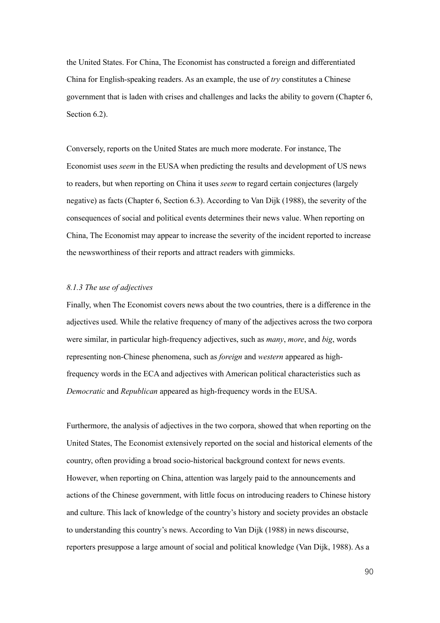the United States. For China, The Economist has constructed a foreign and differentiated China for English-speaking readers. As an example, the use of *try* constitutes a Chinese government that is laden with crises and challenges and lacks the ability to govern (Chapter 6, Section 6.2).

Conversely, reports on the United States are much more moderate. For instance, The Economist uses *seem* in the EUSA when predicting the results and development of US news to readers, but when reporting on China it uses *seem* to regard certain conjectures (largely negative) as facts (Chapter 6, Section 6.3). According to Van Dijk (1988), the severity of the consequences of social and political events determines their news value. When reporting on China, The Economist may appear to increase the severity of the incident reported to increase the newsworthiness of their reports and attract readers with gimmicks.

## *8.1.3 The use of adjectives*

Finally, when The Economist covers news about the two countries, there is a difference in the adjectives used. While the relative frequency of many of the adjectives across the two corpora were similar, in particular high-frequency adjectives, such as *many*, *more*, and *big*, words representing non-Chinese phenomena, such as *foreign* and *western* appeared as highfrequency words in the ECA and adjectives with American political characteristics such as *Democratic* and *Republican* appeared as high-frequency words in the EUSA.

Furthermore, the analysis of adjectives in the two corpora, showed that when reporting on the United States, The Economist extensively reported on the social and historical elements of the country, often providing a broad socio-historical background context for news events. However, when reporting on China, attention was largely paid to the announcements and actions of the Chinese government, with little focus on introducing readers to Chinese history and culture. This lack of knowledge of the country's history and society provides an obstacle to understanding this country's news. According to Van Dijk (1988) in news discourse, reporters presuppose a large amount of social and political knowledge (Van Dijk, 1988). As a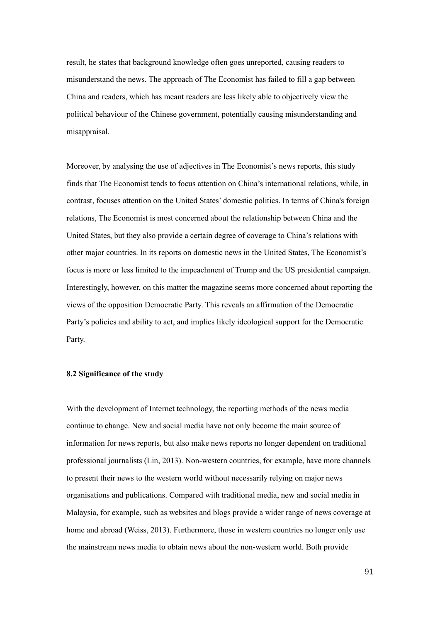result, he states that background knowledge often goes unreported, causing readers to misunderstand the news. The approach of The Economist has failed to fill a gap between China and readers, which has meant readers are less likely able to objectively view the political behaviour of the Chinese government, potentially causing misunderstanding and misappraisal.

Moreover, by analysing the use of adjectives in The Economist's news reports, this study finds that The Economist tends to focus attention on China's international relations, while, in contrast, focuses attention on the United States' domestic politics. In terms of China's foreign relations, The Economist is most concerned about the relationship between China and the United States, but they also provide a certain degree of coverage to China's relations with other major countries. In its reports on domestic news in the United States, The Economist's focus is more or less limited to the impeachment of Trump and the US presidential campaign. Interestingly, however, on this matter the magazine seems more concerned about reporting the views of the opposition Democratic Party. This reveals an affirmation of the Democratic Party's policies and ability to act, and implies likely ideological support for the Democratic Party.

#### **8.2 Significance of the study**

With the development of Internet technology, the reporting methods of the news media continue to change. New and social media have not only become the main source of information for news reports, but also make news reports no longer dependent on traditional professional journalists (Lin, 2013). Non-western countries, for example, have more channels to present their news to the western world without necessarily relying on major news organisations and publications. Compared with traditional media, new and social media in Malaysia, for example, such as websites and blogs provide a wider range of news coverage at home and abroad (Weiss, 2013). Furthermore, those in western countries no longer only use the mainstream news media to obtain news about the non-western world. Both provide

91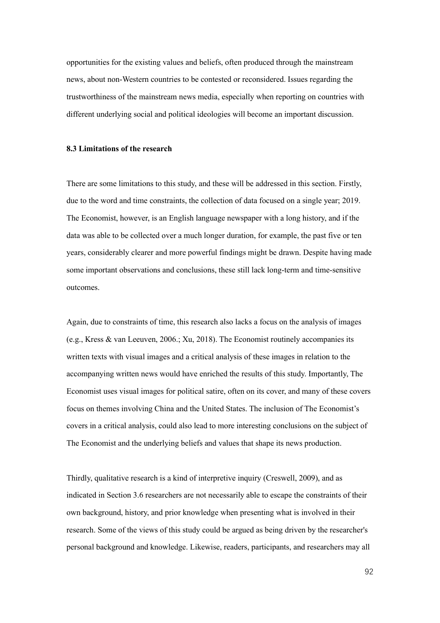opportunities for the existing values and beliefs, often produced through the mainstream news, about non-Western countries to be contested or reconsidered. Issues regarding the trustworthiness of the mainstream news media, especially when reporting on countries with different underlying social and political ideologies will become an important discussion.

#### **8.3 Limitations of the research**

There are some limitations to this study, and these will be addressed in this section. Firstly, due to the word and time constraints, the collection of data focused on a single year; 2019. The Economist, however, is an English language newspaper with a long history, and if the data was able to be collected over a much longer duration, for example, the past five or ten years, considerably clearer and more powerful findings might be drawn. Despite having made some important observations and conclusions, these still lack long-term and time-sensitive outcomes.

Again, due to constraints of time, this research also lacks a focus on the analysis of images (e.g., Kress & van Leeuven, 2006.; Xu, 2018). The Economist routinely accompanies its written texts with visual images and a critical analysis of these images in relation to the accompanying written news would have enriched the results of this study. Importantly, The Economist uses visual images for political satire, often on its cover, and many of these covers focus on themes involving China and the United States. The inclusion of The Economist's covers in a critical analysis, could also lead to more interesting conclusions on the subject of The Economist and the underlying beliefs and values that shape its news production.

Thirdly, qualitative research is a kind of interpretive inquiry (Creswell, 2009), and as indicated in Section 3.6 researchers are not necessarily able to escape the constraints of their own background, history, and prior knowledge when presenting what is involved in their research. Some of the views of this study could be argued as being driven by the researcher's personal background and knowledge. Likewise, readers, participants, and researchers may all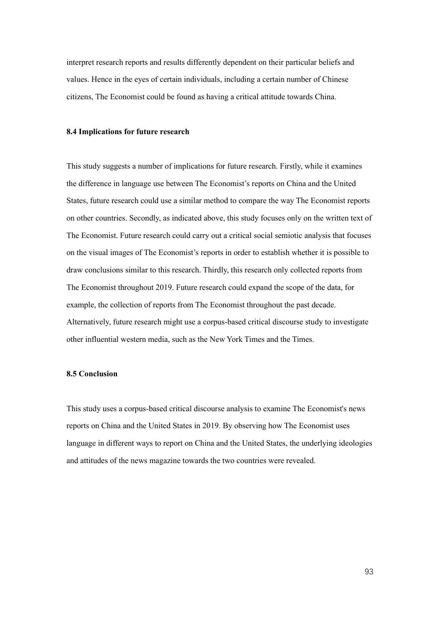interpret research reports and results differently dependent on their particular beliefs and values. Hence in the eyes of certain individuals, including a certain number of Chinese citizens, The Economist could be found as having a critical attitude towards China.

#### **8.4 Implications for future research**

This study suggests a number of implications for future research. Firstly, while it examines the difference in language use between The Economist's reports on China and the United States, future research could use a similar method to compare the way The Economist reports on other countries. Secondly, as indicated above, this study focuses only on the written text of The Economist. Future research could carry out a critical social semiotic analysis that focuses on the visual images of The Economist's reports in order to establish whether it is possible to draw conclusions similar to this research. Thirdly, this research only collected reports from The Economist throughout 2019. Future research could expand the scope of the data, for example, the collection of reports from The Economist throughout the past decade. Alternatively, future research might use a corpus-based critical discourse study to investigate other influential western media, such as the New York Times and the Times.

#### **8.5 Conclusion**

This study uses a corpus-based critical discourse analysis to examine The Economist's news reports on China and the United States in 2019. By observing how The Economist uses language in different ways to report on China and the United States, the underlying ideologies and attitudes of the news magazine towards the two countries were revealed.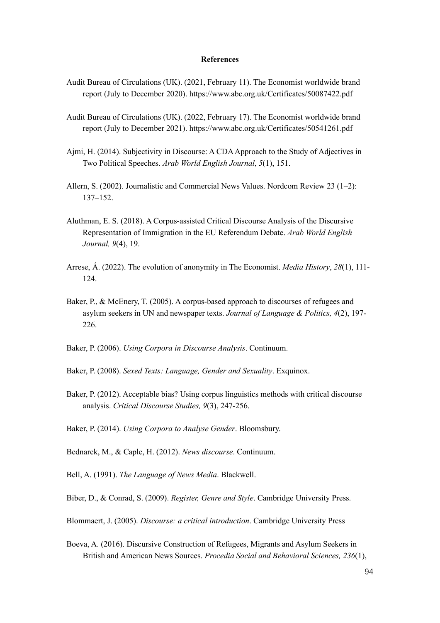#### **References**

- Audit Bureau of Circulations (UK). (2021, February 11). The Economist worldwide brand report (July to December 2020). https://www.abc.org.uk/Certificates/50087422.pdf
- Audit Bureau of Circulations (UK). (2022, February 17). The Economist worldwide brand report (July to December 2021). https://www.abc.org.uk/Certificates/50541261.pdf
- Ajmi, H. (2014). Subjectivity in Discourse: A CDA Approach to the Study of Adjectives in Two Political Speeches. *Arab World English Journal*, *5*(1), 151.
- Allern, S. (2002). Journalistic and Commercial News Values. Nordcom Review 23 (1–2): 137–152.
- Aluthman, E. S. (2018). A Corpus-assisted Critical Discourse Analysis of the Discursive Representation of Immigration in the EU Referendum Debate. *Arab World English Journal, 9*(4), 19.
- Arrese, Á. (2022). The evolution of anonymity in The Economist. *Media History*, *28*(1), 111- 124.
- Baker, P., & McEnery, T. (2005). A corpus-based approach to discourses of refugees and asylum seekers in UN and newspaper texts. *Journal of Language & Politics, 4*(2), 197- 226.
- Baker, P. (2006). *Using Corpora in Discourse Analysis*. Continuum.
- Baker, P. (2008). *Sexed Texts: Language, Gender and Sexuality*. Exquinox.
- Baker, P. (2012). Acceptable bias? Using corpus linguistics methods with critical discourse analysis. *Critical Discourse Studies, 9*(3), 247-256.
- Baker, P. (2014). *Using Corpora to Analyse Gender*. Bloomsbury.
- Bednarek, M., & Caple, H. (2012). *News discourse*. Continuum.
- Bell, A. (1991). *The Language of News Media*. Blackwell.
- Biber, D., & Conrad, S. (2009). *Register, Genre and Style*. Cambridge University Press.
- Blommaert, J. (2005). *Discourse: a critical introduction*. Cambridge University Press
- Boeva, A. (2016). Discursive Construction of Refugees, Migrants and Asylum Seekers in British and American News Sources. *Procedia Social and Behavioral Sciences, 236*(1),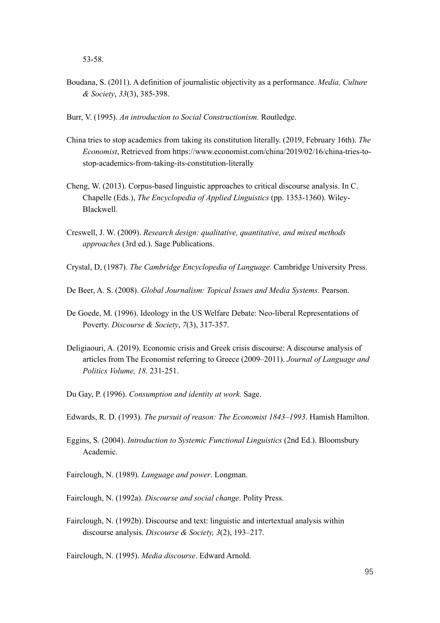- Boudana, S. (2011). A definition of journalistic objectivity as a performance. *Media, Culture & Society*, *33*(3), 385-398.
- Burr, V. (1995). *An introduction to Social Constructionism.* Routledge.
- China tries to stop academics from taking its constitution literally. (2019, February 16th). *The Economist*, Retrieved from https://www.economist.com/china/2019/02/16/china-tries-tostop-academics-from-taking-its-constitution-literally
- Cheng, W. (2013). Corpus-based linguistic approaches to critical discourse analysis. In C. Chapelle (Eds.), *The Encyclopedia of Applied Linguistics* (pp. 1353-1360). Wiley-Blackwell.
- Creswell, J. W. (2009). *Research design: qualitative, quantitative, and mixed methods approaches* (3rd ed.). Sage Publications.
- Crystal, D, (1987). *The Cambridge Encyclopedia of Language.* Cambridge University Press.
- De Beer, A. S. (2008). *Global Journalism: Topical Issues and Media Systems*. Pearson.
- De Goede, M. (1996). Ideology in the US Welfare Debate: Neo-liberal Representations of Poverty. *Discourse & Society*, *7*(3), 317-357.
- Deligiaouri, A. (2019). Economic crisis and Greek crisis discourse: A discourse analysis of articles from The Economist referring to Greece (2009–2011). *Journal of Language and Politics Volume, 18*. 231-251.
- Du Gay, P. (1996). *Consumption and identity at work.* Sage.
- Edwards, R. D. (1993). *The pursuit of reason: The Economist 1843–1993*. Hamish Hamilton.
- Eggins, S. (2004). *Introduction to Systemic Functional Linguistics* (2nd Ed.). Bloomsbury Academic.
- Fairclough, N. (1989). *Language and power*. Longman.
- Fairclough, N. (1992a). *Discourse and social change*. Polity Press.
- Fairclough, N. (1992b). Discourse and text: linguistic and intertextual analysis within discourse analysis. *Discourse & Society, 3*(2), 193–217.

Fairclough, N. (1995). *Media discourse*. Edward Arnold.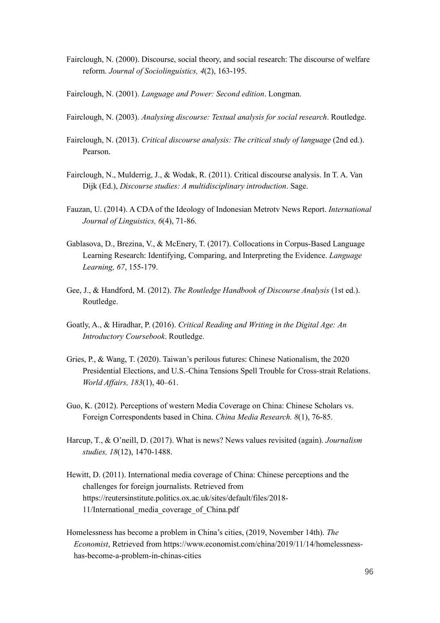- Fairclough, N. (2000). Discourse, social theory, and social research: The discourse of welfare reform. *Journal of Sociolinguistics, 4*(2), 163-195.
- Fairclough, N. (2001). *Language and Power: Second edition*. Longman.
- Fairclough, N. (2003). *Analysing discourse: Textual analysis for social research*. Routledge.
- Fairclough, N. (2013). *Critical discourse analysis: The critical study of language* (2nd ed.). Pearson.
- Fairclough, N., Mulderrig, J., & Wodak, R. (2011). Critical discourse analysis. In T. A. Van Dijk (Ed.), *Discourse studies: A multidisciplinary introduction*. Sage.
- Fauzan, U. (2014). A CDA of the Ideology of Indonesian Metrotv News Report. *International Journal of Linguistics, 6*(4), 71-86.
- Gablasova, D., Brezina, V., & McEnery, T. (2017). Collocations in Corpus-Based Language Learning Research: Identifying, Comparing, and Interpreting the Evidence. *Language Learning, 67*, 155-179.
- Gee, J., & Handford, M. (2012). *The Routledge Handbook of Discourse Analysis* (1st ed.). Routledge.
- Goatly, A., & Hiradhar, P. (2016). *Critical Reading and Writing in the Digital Age: An Introductory Coursebook*. Routledge.
- Gries, P., & Wang, T. (2020). Taiwan's perilous futures: Chinese Nationalism, the 2020 Presidential Elections, and U.S.-China Tensions Spell Trouble for Cross-strait Relations. *World Affairs, 183*(1), 40–61.
- Guo, K. (2012). Perceptions of western Media Coverage on China: Chinese Scholars vs. Foreign Correspondents based in China. *China Media Research. 8*(1), 76-85.
- Harcup, T., & O'neill, D. (2017). What is news? News values revisited (again). *Journalism studies, 18*(12), 1470-1488.
- Hewitt, D. (2011). International media coverage of China: Chinese perceptions and the challenges for foreign journalists. Retrieved from https://reutersinstitute.politics.ox.ac.uk/sites/default/files/2018- 11/International\_media\_coverage\_of\_China.pdf
- Homelessness has become a problem in China's cities, (2019, November 14th). *The Economist*, Retrieved from https://www.economist.com/china/2019/11/14/homelessnesshas-become-a-problem-in-chinas-cities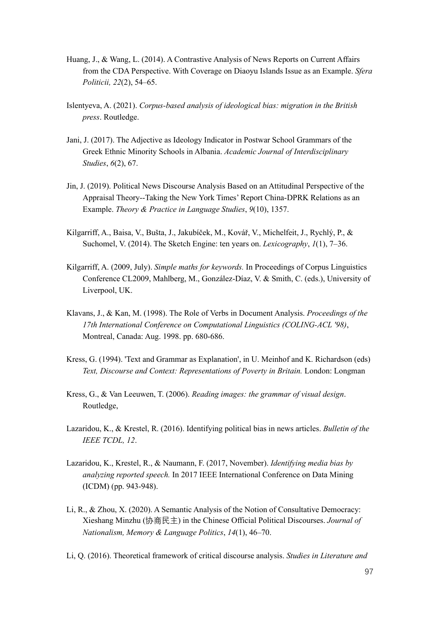- Huang, J., & Wang, L. (2014). A Contrastive Analysis of News Reports on Current Affairs from the CDA Perspective. With Coverage on Diaoyu Islands Issue as an Example. *Sfera Politicii, 22*(2), 54–65.
- Islentyeva, A. (2021). *Corpus-based analysis of ideological bias: migration in the British press*. Routledge.
- Jani, J. (2017). The Adjective as Ideology Indicator in Postwar School Grammars of the Greek Ethnic Minority Schools in Albania. *Academic Journal of Interdisciplinary Studies*, *6*(2), 67.
- Jin, J. (2019). Political News Discourse Analysis Based on an Attitudinal Perspective of the Appraisal Theory--Taking the New York Times' Report China-DPRK Relations as an Example. *Theory & Practice in Language Studies*, *9*(10), 1357.
- Kilgarriff, A., Baisa, V., Bušta, J., Jakubíček, M., Kovář, V., Michelfeit, J., Rychlý, P., & Suchomel, V. (2014). The Sketch Engine: ten years on. *Lexicography*, *1*(1), 7–36.
- Kilgarriff, A. (2009, July). *Simple maths for keywords.* In Proceedings of Corpus Linguistics Conference CL2009, Mahlberg, M., González-Díaz, V. & Smith, C. (eds.), University of Liverpool, UK.
- Klavans, J., & Kan, M. (1998). The Role of Verbs in Document Analysis. *Proceedings of the 17th International Conference on Computational Linguistics (COLING-ACL '98)*, Montreal, Canada: Aug. 1998. pp. 680-686.
- Kress, G. (1994). 'Text and Grammar as Explanation', in U. Meinhof and K. Richardson (eds) *Text, Discourse and Context: Representations of Poverty in Britain.* London: Longman
- Kress, G., & Van Leeuwen, T. (2006). *Reading images: the grammar of visual design*. Routledge,
- Lazaridou, K., & Krestel, R. (2016). Identifying political bias in news articles. *Bulletin of the IEEE TCDL, 12*.
- Lazaridou, K., Krestel, R., & Naumann, F. (2017, November). *Identifying media bias by analyzing reported speech.* In 2017 IEEE International Conference on Data Mining (ICDM) (pp. 943-948).
- Li, R., & Zhou, X. (2020). A Semantic Analysis of the Notion of Consultative Democracy: Xieshang Minzhu (协商民主) in the Chinese Official Political Discourses. *Journal of Nationalism, Memory & Language Politics*, *14*(1), 46–70.
- Li, Q. (2016). Theoretical framework of critical discourse analysis. *Studies in Literature and*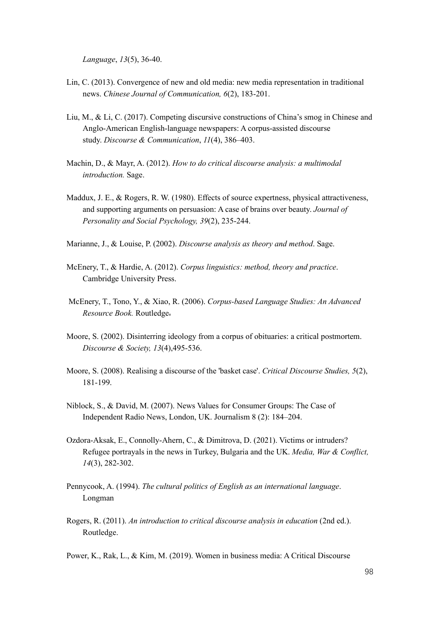*Language*, *13*(5), 36-40.

- Lin, C. (2013). Convergence of new and old media: new media representation in traditional news. *Chinese Journal of Communication, 6*(2), 183-201.
- Liu, M., & Li, C. (2017). Competing discursive constructions of China's smog in Chinese and Anglo-American English-language newspapers: A corpus-assisted discourse study. *Discourse & Communication*, *11*(4), 386–403.
- Machin, D., & Mayr, A. (2012). *How to do critical discourse analysis: a multimodal introduction.* Sage.
- Maddux, J. E., & Rogers, R. W. (1980). Effects of source expertness, physical attractiveness, and supporting arguments on persuasion: A case of brains over beauty. *Journal of Personality and Social Psychology, 39*(2), 235-244.
- Marianne, J., & Louise, P. (2002). *Discourse analysis as theory and method*. Sage.
- McEnery, T., & Hardie, A. (2012). *Corpus linguistics: method, theory and practice*. Cambridge University Press.
- McEnery, T., Tono, Y., & Xiao, R. (2006). *Corpus-based Language Studies: An Advanced Resource Book.* Routledge.
- Moore, S. (2002). Disinterring ideology from a corpus of obituaries: a critical postmortem. *Discourse & Society, 13*(4),495-536.
- Moore, S. (2008). Realising a discourse of the 'basket case'. *Critical Discourse Studies, 5*(2), 181-199.
- Niblock, S., & David, M. (2007). News Values for Consumer Groups: The Case of Independent Radio News, London, UK. Journalism 8 (2): 184–204.
- Ozdora-Aksak, E., Connolly-Ahern, C., & Dimitrova, D. (2021). Victims or intruders? Refugee portrayals in the news in Turkey, Bulgaria and the UK. *Media, War & Conflict, 14*(3), 282-302.
- Pennycook, A. (1994). *The cultural politics of English as an international language*. Longman
- Rogers, R. (2011). *An introduction to critical discourse analysis in education* (2nd ed.). Routledge.

Power, K., Rak, L., & Kim, M. (2019). Women in business media: A Critical Discourse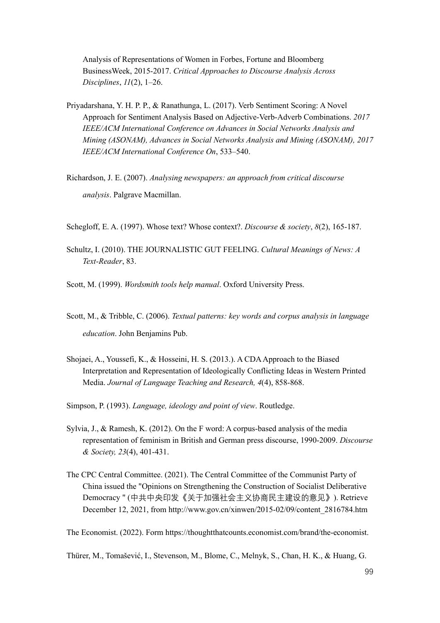Analysis of Representations of Women in Forbes, Fortune and Bloomberg BusinessWeek, 2015-2017. *Critical Approaches to Discourse Analysis Across Disciplines*, *11*(2), 1–26.

- Priyadarshana, Y. H. P. P., & Ranathunga, L. (2017). Verb Sentiment Scoring: A Novel Approach for Sentiment Analysis Based on Adjective-Verb-Adverb Combinations. *2017 IEEE/ACM International Conference on Advances in Social Networks Analysis and Mining (ASONAM), Advances in Social Networks Analysis and Mining (ASONAM), 2017 IEEE/ACM International Conference On*, 533–540.
- Richardson, J. E. (2007). *Analysing newspapers: an approach from critical discourse analysis*. Palgrave Macmillan.
- Schegloff, E. A. (1997). Whose text? Whose context?. *Discourse & society*, *8*(2), 165-187.
- Schultz, I. (2010). THE JOURNALISTIC GUT FEELING. *Cultural Meanings of News: A Text-Reader*, 83.
- Scott, M. (1999). *Wordsmith tools help manual*. Oxford University Press.
- Scott, M., & Tribble, C. (2006). *Textual patterns: key words and corpus analysis in language education*. John Benjamins Pub.
- Shojaei, A., Youssefi, K., & Hosseini, H. S. (2013.). A CDA Approach to the Biased Interpretation and Representation of Ideologically Conflicting Ideas in Western Printed Media. *Journal of Language Teaching and Research, 4*(4), 858-868.

Simpson, P. (1993). *Language, ideology and point of view*. Routledge.

- Sylvia, J., & Ramesh, K. (2012). On the F word: A corpus-based analysis of the media representation of feminism in British and German press discourse, 1990-2009. *Discourse & Society, 23*(4), 401-431.
- The CPC Central Committee. (2021). The Central Committee of the Communist Party of China issued the "Opinions on Strengthening the Construction of Socialist Deliberative Democracy " (中共中央印发《关于加强社会主义协商民主建设的意见》). Retrieve December 12, 2021, from http://www.gov.cn/xinwen/2015-02/09/content\_2816784.htm

The Economist. (2022). Form https://thoughtthatcounts.economist.com/brand/the-economist.

Thürer, M., Tomašević, I., Stevenson, M., Blome, C., Melnyk, S., Chan, H. K., & Huang, G.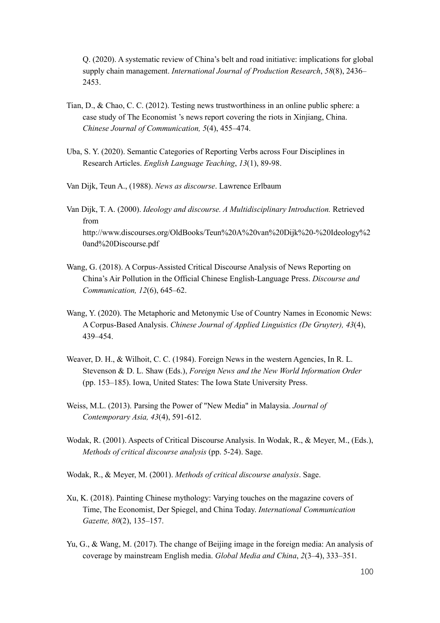Q. (2020). A systematic review of China's belt and road initiative: implications for global supply chain management. *International Journal of Production Research*, *58*(8), 2436– 2453.

- Tian, D., & Chao, C. C. (2012). Testing news trustworthiness in an online public sphere: a case study of The Economist 's news report covering the riots in Xinjiang, China. *Chinese Journal of Communication, 5*(4), 455–474.
- Uba, S. Y. (2020). Semantic Categories of Reporting Verbs across Four Disciplines in Research Articles. *English Language Teaching*, *13*(1), 89-98.
- Van Dijk, Teun A., (1988). *News as discourse*. Lawrence Erlbaum
- Van Dijk, T. A. (2000). *Ideology and discourse. A Multidisciplinary Introduction.* Retrieved from http://www.discourses.org/OldBooks/Teun%20A%20van%20Dijk%20-%20Ideology%2 0and%20Discourse.pdf
- Wang, G. (2018). A Corpus-Assisted Critical Discourse Analysis of News Reporting on China's Air Pollution in the Official Chinese English-Language Press. *Discourse and Communication, 12*(6), 645–62.
- Wang, Y. (2020). The Metaphoric and Metonymic Use of Country Names in Economic News: A Corpus-Based Analysis. *Chinese Journal of Applied Linguistics (De Gruyter), 43*(4), 439–454.
- Weaver, D. H., & Wilhoit, C. C. (1984). Foreign News in the western Agencies, In R. L. Stevenson & D. L. Shaw (Eds.), *Foreign News and the New World Information Order* (pp. 153–185). Iowa, United States: The Iowa State University Press.
- Weiss, M.L. (2013). Parsing the Power of "New Media" in Malaysia. *Journal of Contemporary Asia, 43*(4), 591-612.
- Wodak, R. (2001). Aspects of Critical Discourse Analysis. In Wodak, R., & Meyer, M., (Eds.), *Methods of critical discourse analysis* (pp. 5-24). Sage.
- Wodak, R., & Meyer, M. (2001). *Methods of critical discourse analysis*. Sage.
- Xu, K. (2018). Painting Chinese mythology: Varying touches on the magazine covers of Time, The Economist, Der Spiegel, and China Today. *International Communication Gazette, 80*(2), 135–157.
- Yu, G., & Wang, M. (2017). The change of Beijing image in the foreign media: An analysis of coverage by mainstream English media. *Global Media and China*, *2*(3–4), 333–351.